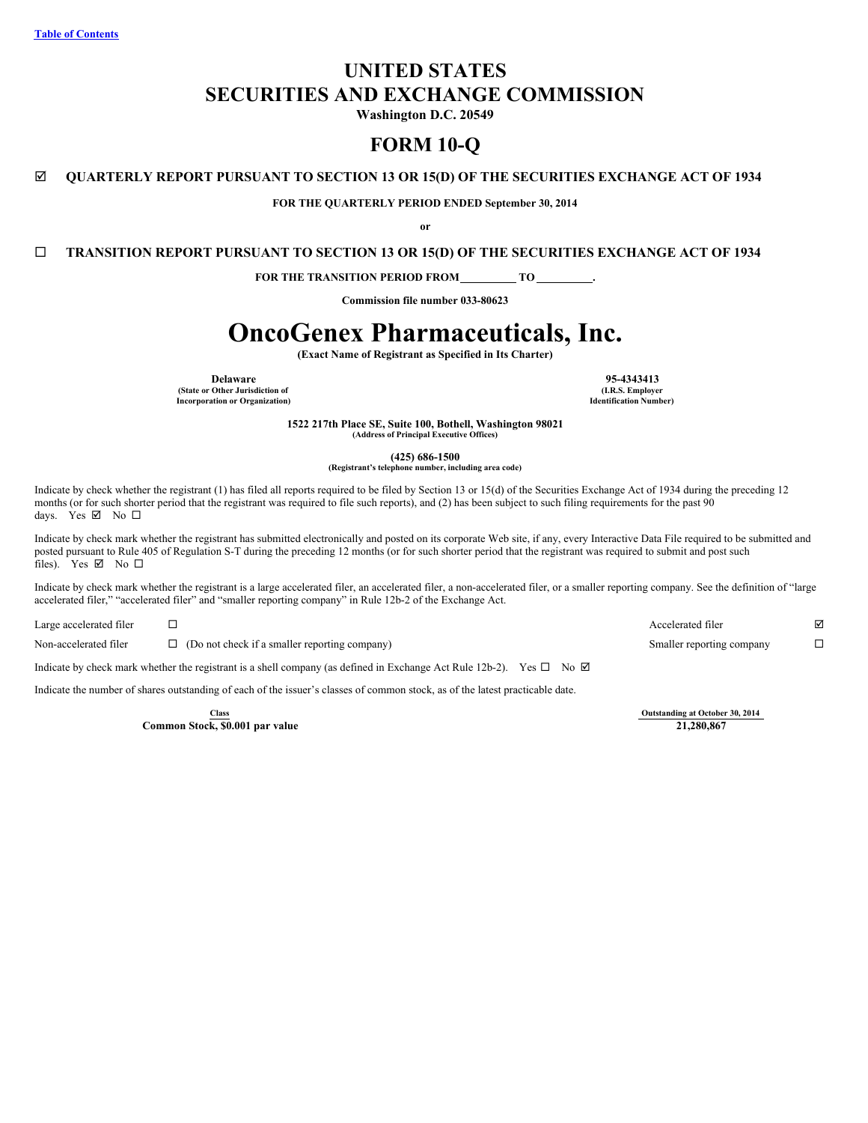# **UNITED STATES SECURITIES AND EXCHANGE COMMISSION**

**Washington D.C. 20549**

# **FORM 10-Q**

# þ **QUARTERLY REPORT PURSUANT TO SECTION 13 OR 15(D) OF THE SECURITIES EXCHANGE ACT OF 1934**

**FOR THE QUARTERLY PERIOD ENDED September 30, 2014**

**or**

¨ **TRANSITION REPORT PURSUANT TO SECTION 13 OR 15(D) OF THE SECURITIES EXCHANGE ACT OF 1934**

**FOR THE TRANSITION PERIOD FROM TO .**

**Commission file number 033-80623**

# **OncoGenex Pharmaceuticals, Inc.**

**(Exact Name of Registrant as Specified in Its Charter)**

**Delaware 95-4343413 (State or Other Jurisdiction of Incorporation or Organization)**

**(I.R.S. Employer Identification Number)**

**1522 217th Place SE, Suite 100, Bothell, Washington 98021 (Address of Principal Executive Offices)**

**(425) 686-1500**

**(Registrant's telephone number, including area code)**

Indicate by check whether the registrant (1) has filed all reports required to be filed by Section 13 or 15(d) of the Securities Exchange Act of 1934 during the preceding 12 months (or for such shorter period that the registrant was required to file such reports), and (2) has been subject to such filing requirements for the past 90 days. Yes Ø No □

Indicate by check mark whether the registrant has submitted electronically and posted on its corporate Web site, if any, every Interactive Data File required to be submitted and posted pursuant to Rule 405 of Regulation S-T during the preceding 12 months (or for such shorter period that the registrant was required to submit and post such files). Yes  $\boxtimes$  No  $\square$ 

Indicate by check mark whether the registrant is a large accelerated filer, an accelerated filer, a non-accelerated filer, or a smaller reporting company. See the definition of "large accelerated filer," "accelerated filer" and "smaller reporting company" in Rule 12b-2 of the Exchange Act.

| Large accelerated filer |                                                                                                                                     | Accelerated filer         |  |
|-------------------------|-------------------------------------------------------------------------------------------------------------------------------------|---------------------------|--|
| Non-accelerated filer   | $\Box$ (Do not check if a smaller reporting company)                                                                                | Smaller reporting company |  |
|                         | Indicate by check mark whether the registrant is a shell company (as defined in Exchange Act Rule 12b-2). Yes $\Box$ No $\boxtimes$ |                           |  |

Indicate the number of shares outstanding of each of the issuer's classes of common stock, as of the latest practicable date.

**Common Stock, \$0.001 par value 21,280,867**

**Class Outstanding at October 30, 2014**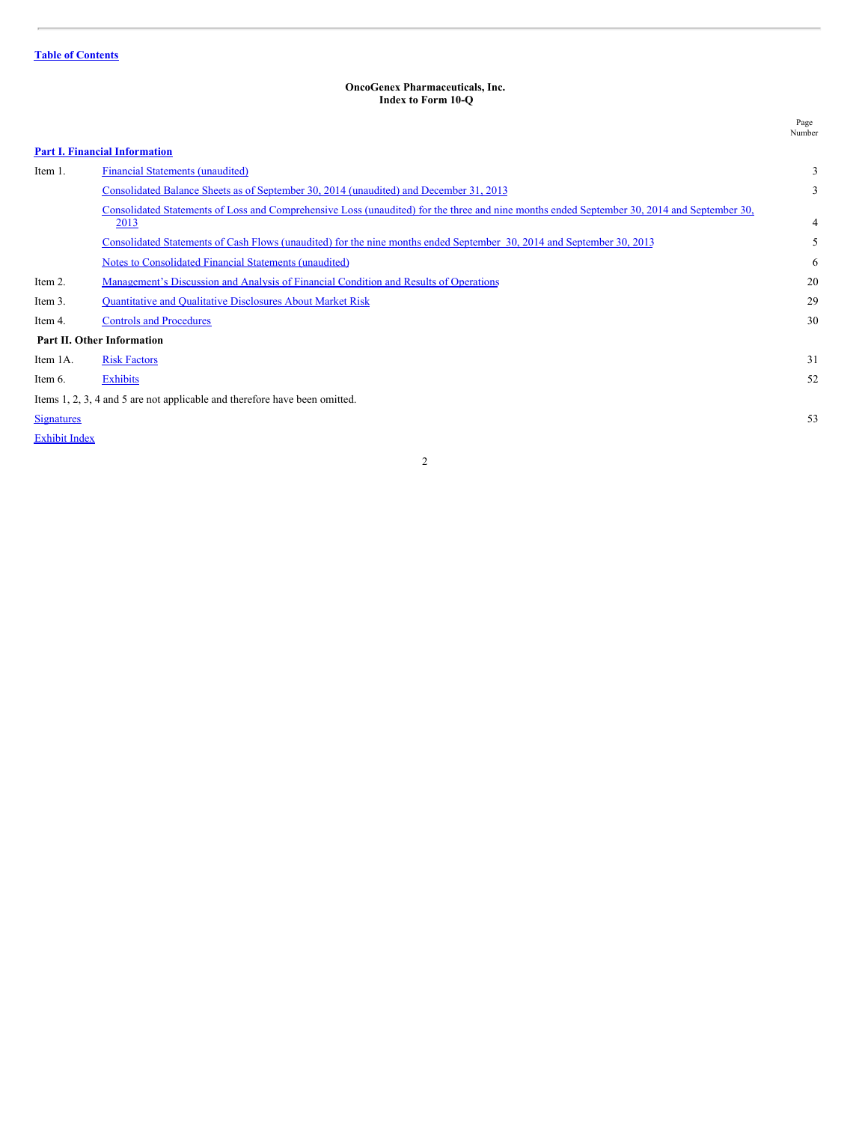#### <span id="page-1-0"></span>**OncoGenex Pharmaceuticals, Inc. Index to Form 10-Q**

Page

|                      |                                                                                                                                                     | Number |
|----------------------|-----------------------------------------------------------------------------------------------------------------------------------------------------|--------|
|                      | <b>Part I. Financial Information</b>                                                                                                                |        |
| Item 1.              | <b>Financial Statements (unaudited)</b>                                                                                                             | 3      |
|                      | Consolidated Balance Sheets as of September 30, 2014 (unaudited) and December 31, 2013                                                              | 3      |
|                      | Consolidated Statements of Loss and Comprehensive Loss (unaudited) for the three and nine months ended September 30, 2014 and September 30,<br>2013 | 4      |
|                      | Consolidated Statements of Cash Flows (unaudited) for the nine months ended September 30, 2014 and September 30, 2013                               | 5      |
|                      | Notes to Consolidated Financial Statements (unaudited)                                                                                              | 6      |
| Item 2.              | Management's Discussion and Analysis of Financial Condition and Results of Operations                                                               | 20     |
| Item 3.              | <b>Quantitative and Qualitative Disclosures About Market Risk</b>                                                                                   | 29     |
| Item 4.              | <b>Controls and Procedures</b>                                                                                                                      | 30     |
|                      | Part II. Other Information                                                                                                                          |        |
| Item 1A.             | <b>Risk Factors</b>                                                                                                                                 | 31     |
| Item 6.              | <b>Exhibits</b>                                                                                                                                     | 52     |
|                      | Items 1, 2, 3, 4 and 5 are not applicable and therefore have been omitted.                                                                          |        |
| <b>Signatures</b>    |                                                                                                                                                     | 53     |
| <b>Exhibit Index</b> |                                                                                                                                                     |        |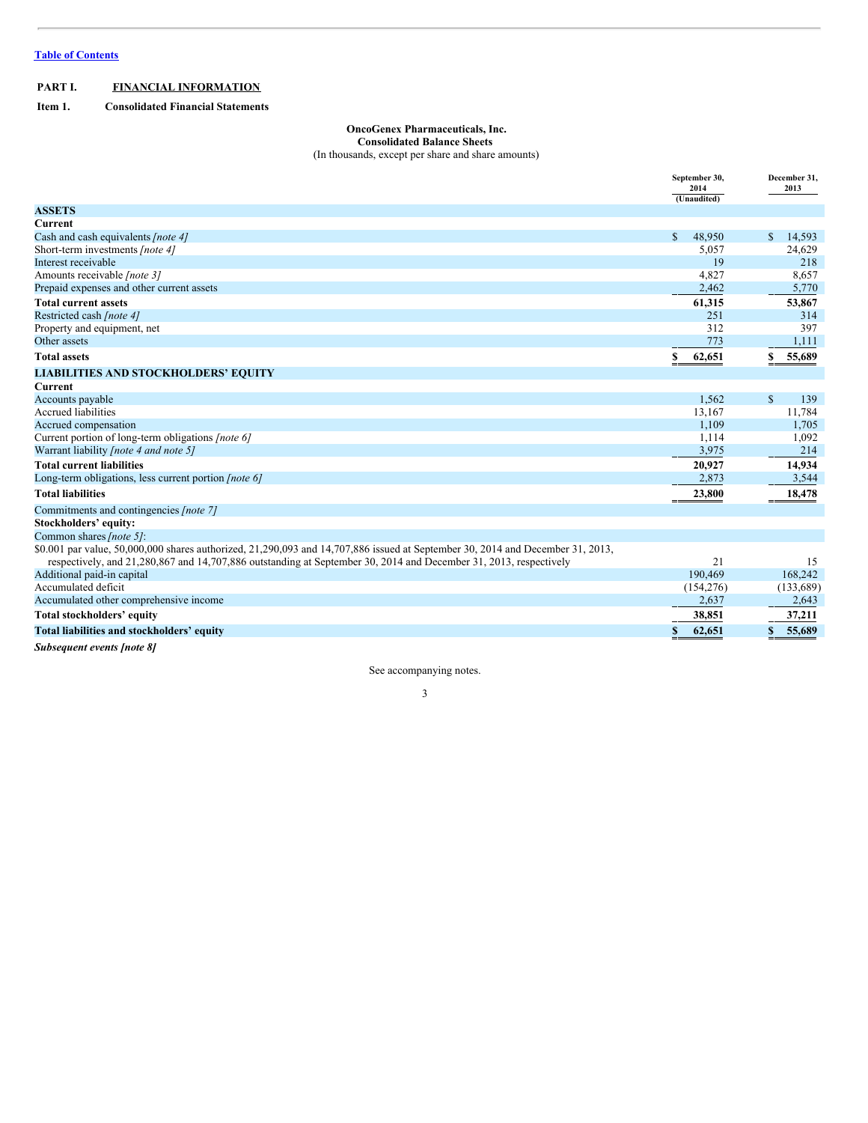# <span id="page-2-0"></span>**PART I. FINANCIAL INFORMATION**

<span id="page-2-1"></span>**Item 1. Consolidated Financial Statements**

# <span id="page-2-2"></span>**OncoGenex Pharmaceuticals, Inc.**

**Consolidated Balance Sheets** (In thousands, except per share and share amounts)

|                                                                                                                                                                                                                                                     | September 30,<br>2014<br>(Unaudited) | December 31,<br>2013   |
|-----------------------------------------------------------------------------------------------------------------------------------------------------------------------------------------------------------------------------------------------------|--------------------------------------|------------------------|
| <b>ASSETS</b>                                                                                                                                                                                                                                       |                                      |                        |
| Current                                                                                                                                                                                                                                             |                                      |                        |
| Cash and cash equivalents [note 4]                                                                                                                                                                                                                  | <sup>\$</sup><br>48.950              | $\mathbb{S}$<br>14.593 |
| Short-term investments [note 4]                                                                                                                                                                                                                     | 5,057                                | 24,629                 |
| Interest receivable                                                                                                                                                                                                                                 | 19                                   | 218                    |
| Amounts receivable [note 3]                                                                                                                                                                                                                         | 4.827                                | 8,657                  |
| Prepaid expenses and other current assets                                                                                                                                                                                                           | 2,462                                | 5,770                  |
| <b>Total current assets</b>                                                                                                                                                                                                                         | 61,315                               | 53,867                 |
| Restricted cash [note 4]                                                                                                                                                                                                                            | 251                                  | 314                    |
| Property and equipment, net                                                                                                                                                                                                                         | 312                                  | 397                    |
| Other assets                                                                                                                                                                                                                                        | 773                                  | 1,111                  |
| <b>Total assets</b>                                                                                                                                                                                                                                 | \$<br>62,651                         | 55,689<br>\$           |
| <b>LIABILITIES AND STOCKHOLDERS' EQUITY</b>                                                                                                                                                                                                         |                                      |                        |
| Current                                                                                                                                                                                                                                             |                                      |                        |
| Accounts payable                                                                                                                                                                                                                                    | 1,562                                | $\mathbb{S}$<br>139    |
| <b>Accrued liabilities</b>                                                                                                                                                                                                                          | 13,167                               | 11,784                 |
| Accrued compensation                                                                                                                                                                                                                                | 1,109                                | 1,705                  |
| Current portion of long-term obligations [note 6]                                                                                                                                                                                                   | 1,114                                | 1,092                  |
| Warrant liability <i>[note 4 and note 5]</i>                                                                                                                                                                                                        | 3,975                                | 214                    |
| <b>Total current liabilities</b>                                                                                                                                                                                                                    | 20,927                               | 14,934                 |
| Long-term obligations, less current portion [note 6]                                                                                                                                                                                                | 2,873                                | 3,544                  |
| <b>Total liabilities</b>                                                                                                                                                                                                                            | 23,800                               | 18,478                 |
| Commitments and contingencies [note 7]                                                                                                                                                                                                              |                                      |                        |
| Stockholders' equity:                                                                                                                                                                                                                               |                                      |                        |
| Common shares [note 5]:                                                                                                                                                                                                                             |                                      |                        |
| \$0.001 par value, 50,000,000 shares authorized, 21,290,093 and 14,707,886 issued at September 30, 2014 and December 31, 2013,<br>respectively, and 21,280,867 and 14,707,886 outstanding at September 30, 2014 and December 31, 2013, respectively | 21                                   | 15                     |
| Additional paid-in capital                                                                                                                                                                                                                          | 190.469                              | 168,242                |
| Accumulated deficit                                                                                                                                                                                                                                 | (154, 276)                           | (133,689)              |
| Accumulated other comprehensive income                                                                                                                                                                                                              | 2,637                                | 2,643                  |
| <b>Total stockholders' equity</b>                                                                                                                                                                                                                   | 38,851                               | 37,211                 |
| Total liabilities and stockholders' equity                                                                                                                                                                                                          | 62,651<br>\$                         | \$<br>55,689           |
| <b>Subsequent events [note 8]</b>                                                                                                                                                                                                                   |                                      |                        |

See accompanying notes.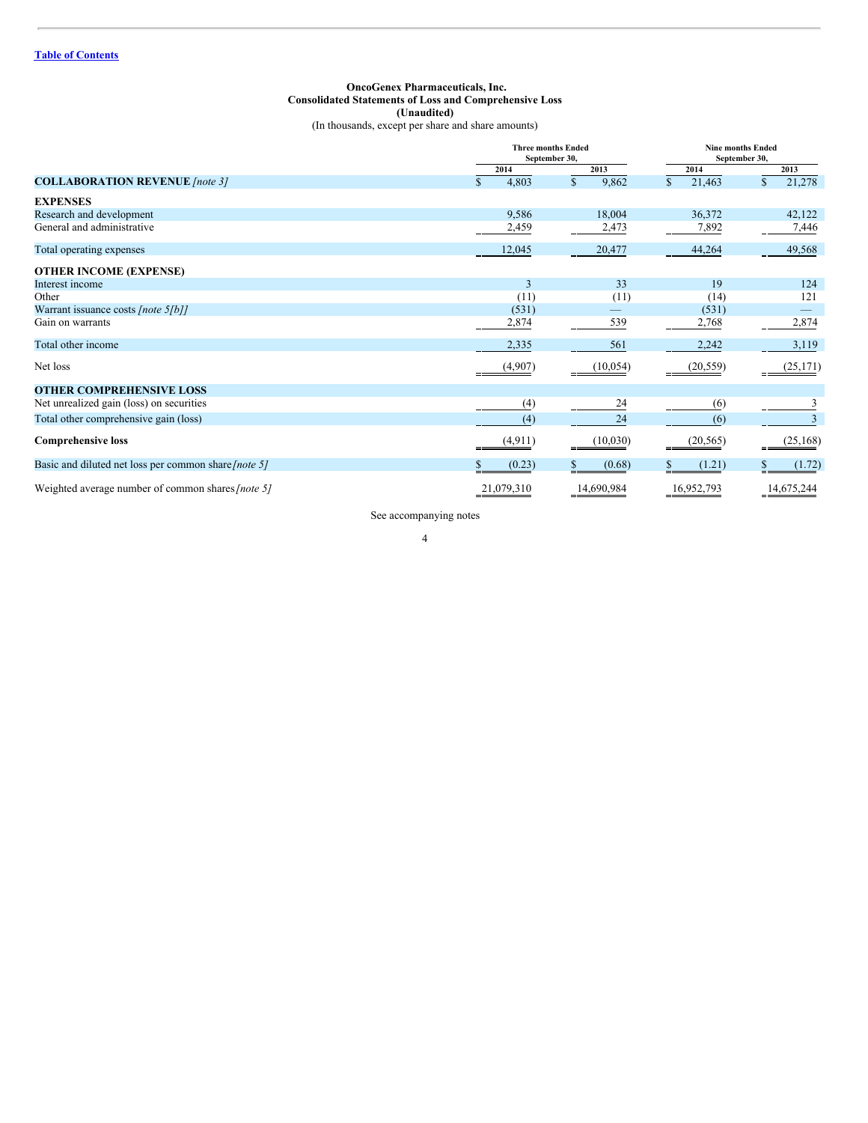#### <span id="page-3-0"></span>**OncoGenex Pharmaceuticals, Inc. Consolidated Statements of Loss and Comprehensive Loss (Unaudited)** (In thousands, except per share and share amounts)

|                                                      |                       | <b>Three months Ended</b><br>September 30, | <b>Nine months Ended</b><br>September 30, |                        |  |  |
|------------------------------------------------------|-----------------------|--------------------------------------------|-------------------------------------------|------------------------|--|--|
|                                                      | 2014                  | 2013                                       | 2014                                      | 2013                   |  |  |
| <b>COLLABORATION REVENUE</b> [note 3]                | 4,803<br>$\mathbb{S}$ | $\mathbb{S}$<br>9,862                      | $\mathbb{S}$<br>21,463                    | $\mathbb{S}$<br>21,278 |  |  |
| <b>EXPENSES</b>                                      |                       |                                            |                                           |                        |  |  |
| Research and development                             | 9,586                 | 18,004                                     | 36,372                                    | 42,122                 |  |  |
| General and administrative                           | 2,459                 | 2,473                                      | 7,892                                     | 7,446                  |  |  |
| Total operating expenses                             | 12,045                | 20,477                                     | 44,264                                    | 49,568                 |  |  |
| <b>OTHER INCOME (EXPENSE)</b>                        |                       |                                            |                                           |                        |  |  |
| Interest income                                      | $\mathbf{3}$          | 33                                         | 19                                        | 124                    |  |  |
| Other                                                | (11)                  | (11)                                       | (14)                                      | 121                    |  |  |
| Warrant issuance costs [note 5[b]]                   | (531)                 |                                            | (531)                                     |                        |  |  |
| Gain on warrants                                     | 2,874                 | 539                                        | 2,768                                     | 2,874                  |  |  |
| Total other income                                   | 2,335                 | 561                                        | 2,242                                     | 3,119                  |  |  |
| Net loss                                             | (4,907)               | (10,054)                                   | (20, 559)                                 | (25,171)               |  |  |
| <b>OTHER COMPREHENSIVE LOSS</b>                      |                       |                                            |                                           |                        |  |  |
| Net unrealized gain (loss) on securities             | (4)                   | $\overline{24}$                            | (6)                                       |                        |  |  |
| Total other comprehensive gain (loss)                | (4)                   | 24                                         | (6)                                       |                        |  |  |
| <b>Comprehensive loss</b>                            | (4, 911)              | (10, 030)                                  | (20, 565)                                 | (25, 168)              |  |  |
| Basic and diluted net loss per common share [note 5] | (0.23)                | (0.68)                                     | (1.21)                                    | (1.72)                 |  |  |
| Weighted average number of common shares [note 5]    | 21,079,310            | 14,690,984                                 | 16,952,793                                | 14,675,244             |  |  |

See accompanying notes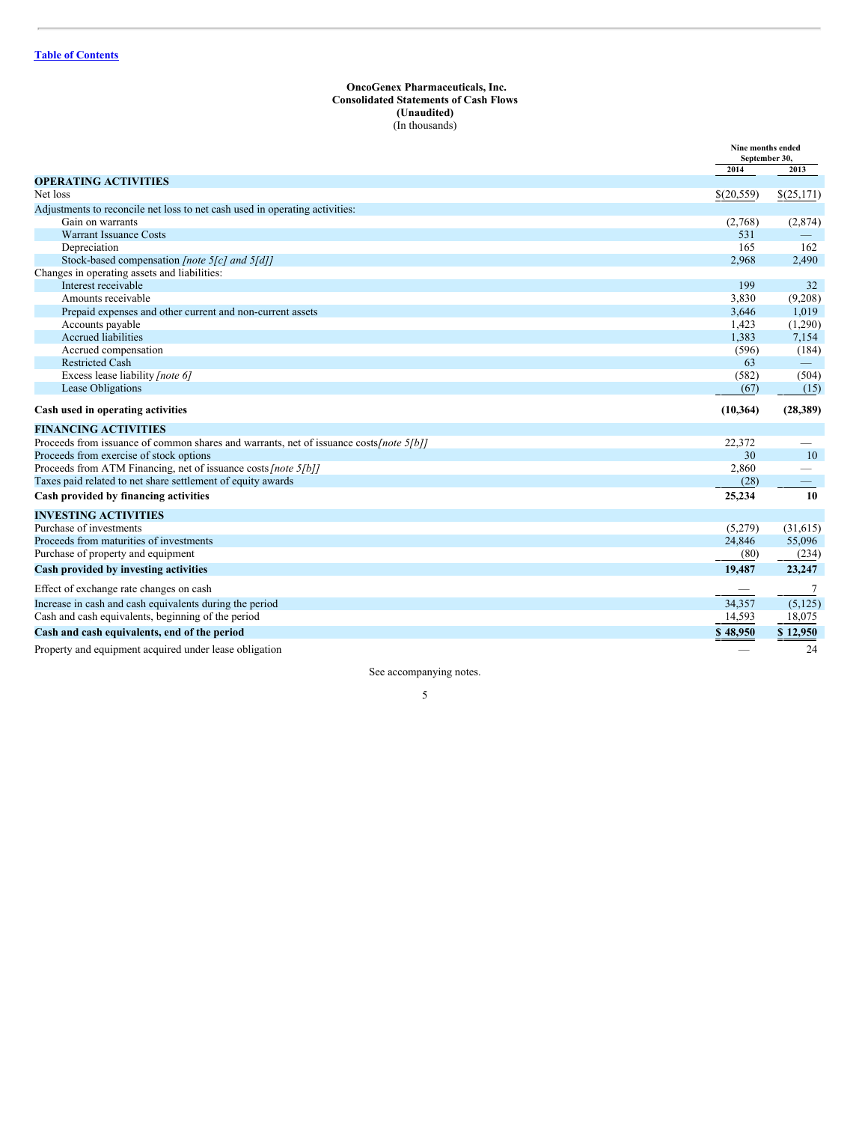#### <span id="page-4-0"></span>**OncoGenex Pharmaceuticals, Inc. Consolidated Statements of Cash Flows (Unaudited)** (In thousands)

|                                                                                       | Nine months ended<br>September 30, |                                 |
|---------------------------------------------------------------------------------------|------------------------------------|---------------------------------|
|                                                                                       | 2014                               | 2013                            |
| <b>OPERATING ACTIVITIES</b>                                                           |                                    |                                 |
| Net loss                                                                              | \$(20,559)                         | \$(25,171)                      |
| Adjustments to reconcile net loss to net cash used in operating activities:           |                                    |                                 |
| Gain on warrants                                                                      | (2,768)                            | (2,874)                         |
| <b>Warrant Issuance Costs</b>                                                         | 531                                |                                 |
| Depreciation                                                                          | 165                                | 162                             |
| Stock-based compensation [note 5[c] and 5[d]]                                         | 2,968                              | 2,490                           |
| Changes in operating assets and liabilities:                                          |                                    |                                 |
| Interest receivable                                                                   | 199                                | 32                              |
| Amounts receivable                                                                    | 3,830                              | (9,208)                         |
| Prepaid expenses and other current and non-current assets                             | 3,646                              | 1,019                           |
| Accounts payable                                                                      | 1,423                              | (1,290)                         |
| <b>Accrued liabilities</b>                                                            | 1,383                              | 7,154                           |
| Accrued compensation                                                                  | (596)                              | (184)                           |
| <b>Restricted Cash</b>                                                                | 63                                 | $\overline{\phantom{m}}$        |
| Excess lease liability [note 6]                                                       | (582)                              | (504)                           |
| Lease Obligations                                                                     | (67)                               | (15)                            |
| Cash used in operating activities                                                     | (10, 364)                          | (28, 389)                       |
|                                                                                       |                                    |                                 |
| <b>FINANCING ACTIVITIES</b>                                                           |                                    |                                 |
| Proceeds from issuance of common shares and warrants, net of issuance costs/note 5/b] | 22,372                             |                                 |
| Proceeds from exercise of stock options                                               | 30                                 | 10                              |
| Proceeds from ATM Financing, net of issuance costs [note 5[b]]                        | 2,860                              |                                 |
| Taxes paid related to net share settlement of equity awards                           | (28)                               | $\hspace{0.1mm}-\hspace{0.1mm}$ |
| Cash provided by financing activities                                                 | 25,234                             | 10                              |
| <b>INVESTING ACTIVITIES</b>                                                           |                                    |                                 |
| Purchase of investments                                                               | (5,279)                            | (31,615)                        |
| Proceeds from maturities of investments                                               | 24,846                             | 55,096                          |
| Purchase of property and equipment                                                    | (80)                               | (234)                           |
| Cash provided by investing activities                                                 | 19,487                             | 23,247                          |
| Effect of exchange rate changes on cash                                               |                                    | 7                               |
| Increase in cash and cash equivalents during the period                               | 34,357                             | (5, 125)                        |
| Cash and cash equivalents, beginning of the period                                    | 14,593                             | 18,075                          |
| Cash and cash equivalents, end of the period                                          | \$48,950                           | \$12,950                        |

See accompanying notes.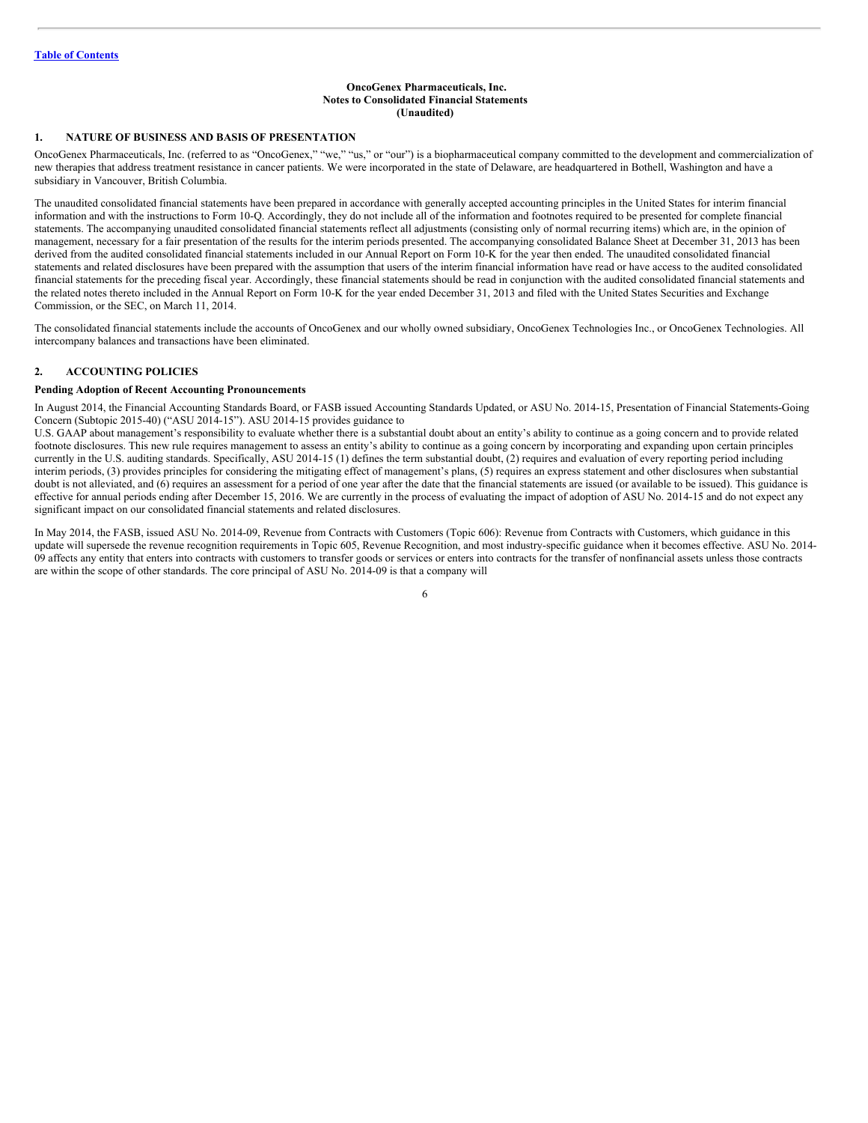#### <span id="page-5-0"></span>**OncoGenex Pharmaceuticals, Inc. Notes to Consolidated Financial Statements (Unaudited)**

#### **1. NATURE OF BUSINESS AND BASIS OF PRESENTATION**

OncoGenex Pharmaceuticals, Inc. (referred to as "OncoGenex," "we," "us," or "our") is a biopharmaceutical company committed to the development and commercialization of new therapies that address treatment resistance in cancer patients. We were incorporated in the state of Delaware, are headquartered in Bothell, Washington and have a subsidiary in Vancouver, British Columbia.

The unaudited consolidated financial statements have been prepared in accordance with generally accepted accounting principles in the United States for interim financial information and with the instructions to Form 10-Q. Accordingly, they do not include all of the information and footnotes required to be presented for complete financial statements. The accompanying unaudited consolidated financial statements reflect all adjustments (consisting only of normal recurring items) which are, in the opinion of management, necessary for a fair presentation of the results for the interim periods presented. The accompanying consolidated Balance Sheet at December 31, 2013 has been derived from the audited consolidated financial statements included in our Annual Report on Form 10-K for the year then ended. The unaudited consolidated financial statements and related disclosures have been prepared with the assumption that users of the interim financial information have read or have access to the audited consolidated financial statements for the preceding fiscal year. Accordingly, these financial statements should be read in conjunction with the audited consolidated financial statements and the related notes thereto included in the Annual Report on Form 10-K for the year ended December 31, 2013 and filed with the United States Securities and Exchange Commission, or the SEC, on March 11, 2014.

The consolidated financial statements include the accounts of OncoGenex and our wholly owned subsidiary, OncoGenex Technologies Inc., or OncoGenex Technologies. All intercompany balances and transactions have been eliminated.

# **2. ACCOUNTING POLICIES**

# **Pending Adoption of Recent Accounting Pronouncements**

In August 2014, the Financial Accounting Standards Board, or FASB issued Accounting Standards Updated, or ASU No. 2014-15, Presentation of Financial Statements-Going Concern (Subtopic 2015-40) ("ASU 2014-15"). ASU 2014-15 provides guidance to

U.S. GAAP about management's responsibility to evaluate whether there is a substantial doubt about an entity's ability to continue as a going concern and to provide related footnote disclosures. This new rule requires management to assess an entity's ability to continue as a going concern by incorporating and expanding upon certain principles currently in the U.S. auditing standards. Specifically, ASU 2014-15 (1) defines the term substantial doubt, (2) requires and evaluation of every reporting period including interim periods, (3) provides principles for considering the mitigating effect of management's plans, (5) requires an express statement and other disclosures when substantial doubt is not alleviated, and (6) requires an assessment for a period of one year after the date that the financial statements are issued (or available to be issued). This guidance is effective for annual periods ending after December 15, 2016. We are currently in the process of evaluating the impact of adoption of ASU No. 2014-15 and do not expect any significant impact on our consolidated financial statements and related disclosures.

In May 2014, the FASB, issued ASU No. 2014-09, Revenue from Contracts with Customers (Topic 606): Revenue from Contracts with Customers, which guidance in this update will supersede the revenue recognition requirements in Topic 605, Revenue Recognition, and most industry-specific guidance when it becomes effective. ASU No. 2014- 09 affects any entity that enters into contracts with customers to transfer goods or services or enters into contracts for the transfer of nonfinancial assets unless those contracts are within the scope of other standards. The core principal of ASU No. 2014-09 is that a company will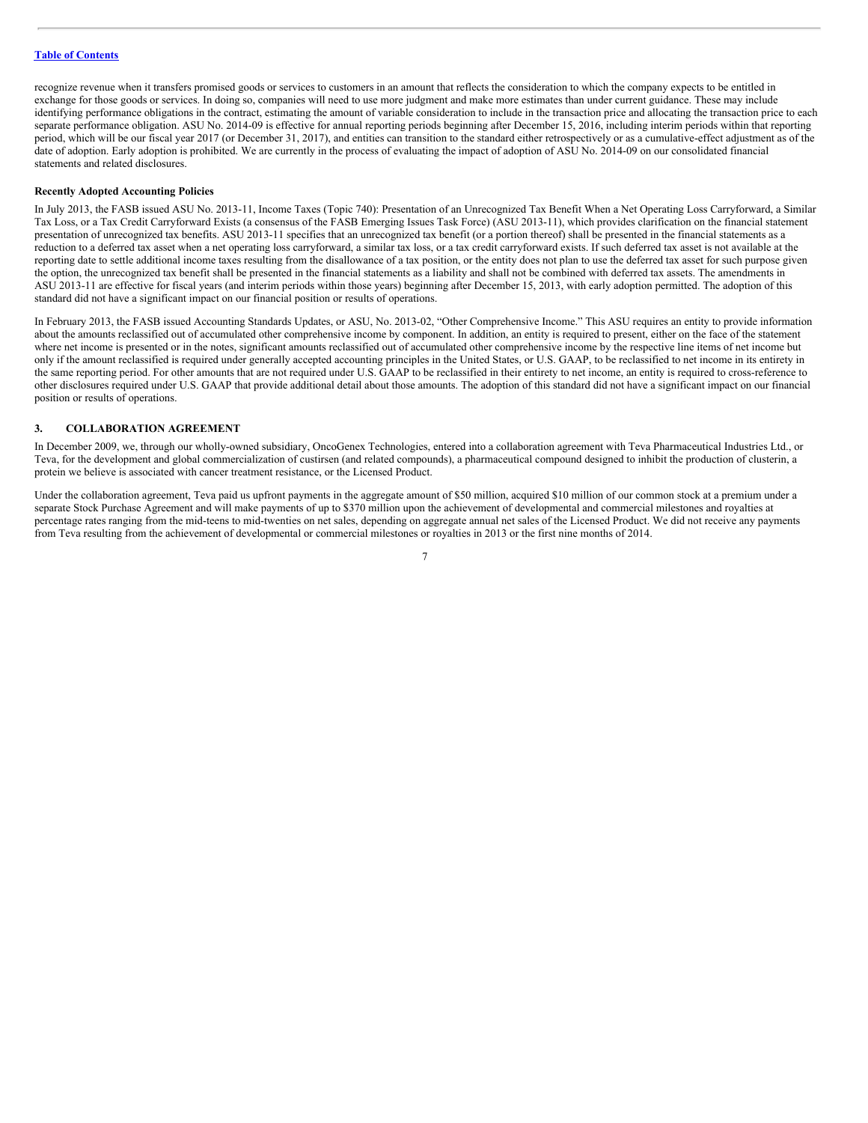recognize revenue when it transfers promised goods or services to customers in an amount that reflects the consideration to which the company expects to be entitled in exchange for those goods or services. In doing so, companies will need to use more judgment and make more estimates than under current guidance. These may include identifying performance obligations in the contract, estimating the amount of variable consideration to include in the transaction price and allocating the transaction price to each separate performance obligation. ASU No. 2014-09 is effective for annual reporting periods beginning after December 15, 2016, including interim periods within that reporting period, which will be our fiscal year 2017 (or December 31, 2017), and entities can transition to the standard either retrospectively or as a cumulative-effect adjustment as of the date of adoption. Early adoption is prohibited. We are currently in the process of evaluating the impact of adoption of ASU No. 2014-09 on our consolidated financial statements and related disclosures.

#### **Recently Adopted Accounting Policies**

In July 2013, the FASB issued ASU No. 2013-11, Income Taxes (Topic 740): Presentation of an Unrecognized Tax Benefit When a Net Operating Loss Carryforward, a Similar Tax Loss, or a Tax Credit Carryforward Exists (a consensus of the FASB Emerging Issues Task Force) (ASU 2013-11), which provides clarification on the financial statement presentation of unrecognized tax benefits. ASU 2013-11 specifies that an unrecognized tax benefit (or a portion thereof) shall be presented in the financial statements as a reduction to a deferred tax asset when a net operating loss carryforward, a similar tax loss, or a tax credit carryforward exists. If such deferred tax asset is not available at the reporting date to settle additional income taxes resulting from the disallowance of a tax position, or the entity does not plan to use the deferred tax asset for such purpose given the option, the unrecognized tax benefit shall be presented in the financial statements as a liability and shall not be combined with deferred tax assets. The amendments in ASU 2013-11 are effective for fiscal years (and interim periods within those years) beginning after December 15, 2013, with early adoption permitted. The adoption of this standard did not have a significant impact on our financial position or results of operations.

In February 2013, the FASB issued Accounting Standards Updates, or ASU, No. 2013-02, "Other Comprehensive Income." This ASU requires an entity to provide information about the amounts reclassified out of accumulated other comprehensive income by component. In addition, an entity is required to present, either on the face of the statement where net income is presented or in the notes, significant amounts reclassified out of accumulated other comprehensive income by the respective line items of net income but only if the amount reclassified is required under generally accepted accounting principles in the United States, or U.S. GAAP, to be reclassified to net income in its entirety in the same reporting period. For other amounts that are not required under U.S. GAAP to be reclassified in their entirety to net income, an entity is required to cross-reference to other disclosures required under U.S. GAAP that provide additional detail about those amounts. The adoption of this standard did not have a significant impact on our financial position or results of operations.

## **3. COLLABORATION AGREEMENT**

In December 2009, we, through our wholly-owned subsidiary, OncoGenex Technologies, entered into a collaboration agreement with Teva Pharmaceutical Industries Ltd., or Teva, for the development and global commercialization of custirsen (and related compounds), a pharmaceutical compound designed to inhibit the production of clusterin, a protein we believe is associated with cancer treatment resistance, or the Licensed Product.

Under the collaboration agreement, Teva paid us upfront payments in the aggregate amount of \$50 million, acquired \$10 million of our common stock at a premium under a separate Stock Purchase Agreement and will make payments of up to \$370 million upon the achievement of developmental and commercial milestones and royalties at percentage rates ranging from the mid-teens to mid-twenties on net sales, depending on aggregate annual net sales of the Licensed Product. We did not receive any payments from Teva resulting from the achievement of developmental or commercial milestones or royalties in 2013 or the first nine months of 2014.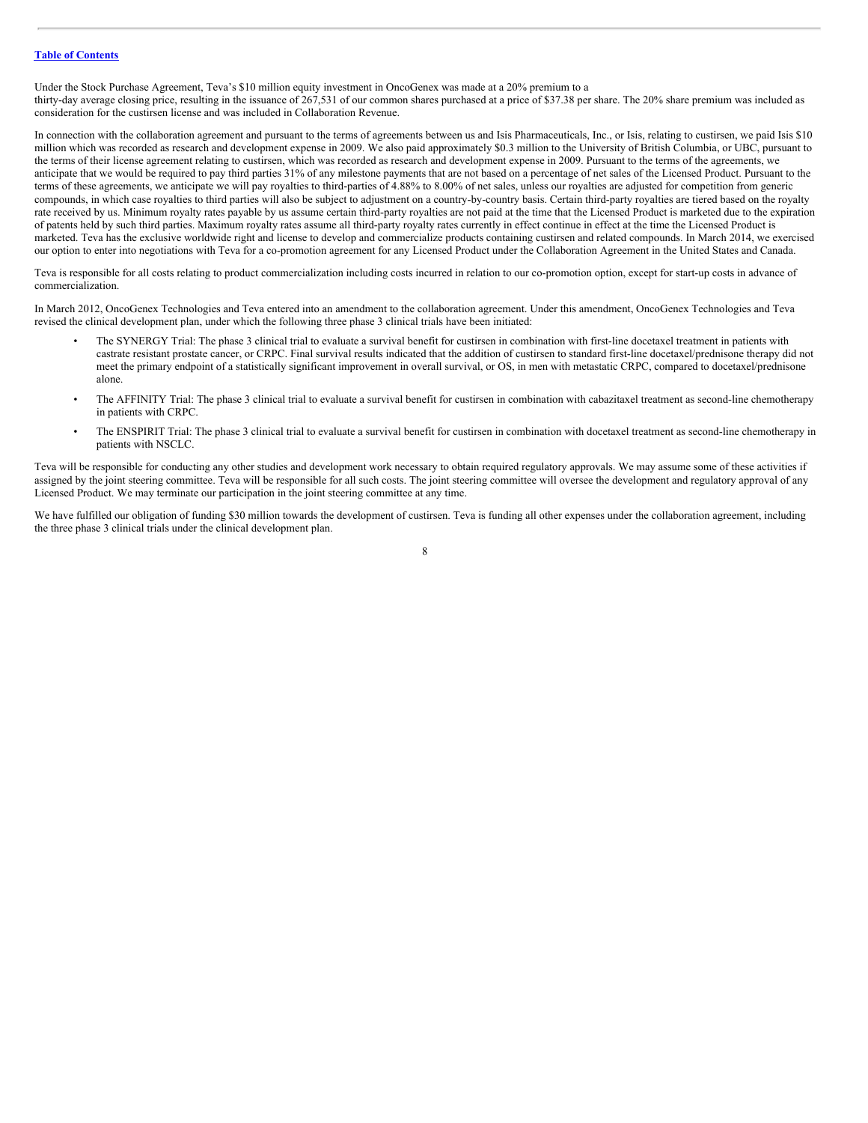Under the Stock Purchase Agreement, Teva's \$10 million equity investment in OncoGenex was made at a 20% premium to a thirty-day average closing price, resulting in the issuance of 267,531 of our common shares purchased at a price of \$37.38 per share. The 20% share premium was included as consideration for the custirsen license and was included in Collaboration Revenue.

In connection with the collaboration agreement and pursuant to the terms of agreements between us and Isis Pharmaceuticals, Inc., or Isis, relating to custirsen, we paid Isis \$10 million which was recorded as research and development expense in 2009. We also paid approximately \$0.3 million to the University of British Columbia, or UBC, pursuant to the terms of their license agreement relating to custirsen, which was recorded as research and development expense in 2009. Pursuant to the terms of the agreements, we anticipate that we would be required to pay third parties 31% of any milestone payments that are not based on a percentage of net sales of the Licensed Product. Pursuant to the terms of these agreements, we anticipate we will pay royalties to third-parties of 4.88% to 8.00% of net sales, unless our royalties are adjusted for competition from generic compounds, in which case royalties to third parties will also be subject to adjustment on a country-by-country basis. Certain third-party royalties are tiered based on the royalty rate received by us. Minimum royalty rates payable by us assume certain third-party royalties are not paid at the time that the Licensed Product is marketed due to the expiration of patents held by such third parties. Maximum royalty rates assume all third-party royalty rates currently in effect continue in effect at the time the Licensed Product is marketed. Teva has the exclusive worldwide right and license to develop and commercialize products containing custirsen and related compounds. In March 2014, we exercised our option to enter into negotiations with Teva for a co-promotion agreement for any Licensed Product under the Collaboration Agreement in the United States and Canada.

Teva is responsible for all costs relating to product commercialization including costs incurred in relation to our co-promotion option, except for start-up costs in advance of commercialization.

In March 2012, OncoGenex Technologies and Teva entered into an amendment to the collaboration agreement. Under this amendment, OncoGenex Technologies and Teva revised the clinical development plan, under which the following three phase 3 clinical trials have been initiated:

- The SYNERGY Trial: The phase 3 clinical trial to evaluate a survival benefit for custirsen in combination with first-line docetaxel treatment in patients with castrate resistant prostate cancer, or CRPC. Final survival results indicated that the addition of custirsen to standard first-line docetaxel/prednisone therapy did not meet the primary endpoint of a statistically significant improvement in overall survival, or OS, in men with metastatic CRPC, compared to docetaxel/prednisone alone.
- The AFFINITY Trial: The phase 3 clinical trial to evaluate a survival benefit for custirsen in combination with cabazitaxel treatment as second-line chemotherapy in patients with CRPC.
- The ENSPIRIT Trial: The phase 3 clinical trial to evaluate a survival benefit for custirsen in combination with docetaxel treatment as second-line chemotherapy in patients with NSCLC.

Teva will be responsible for conducting any other studies and development work necessary to obtain required regulatory approvals. We may assume some of these activities if assigned by the joint steering committee. Teva will be responsible for all such costs. The joint steering committee will oversee the development and regulatory approval of any Licensed Product. We may terminate our participation in the joint steering committee at any time.

We have fulfilled our obligation of funding \$30 million towards the development of custirsen. Teva is funding all other expenses under the collaboration agreement, including the three phase 3 clinical trials under the clinical development plan.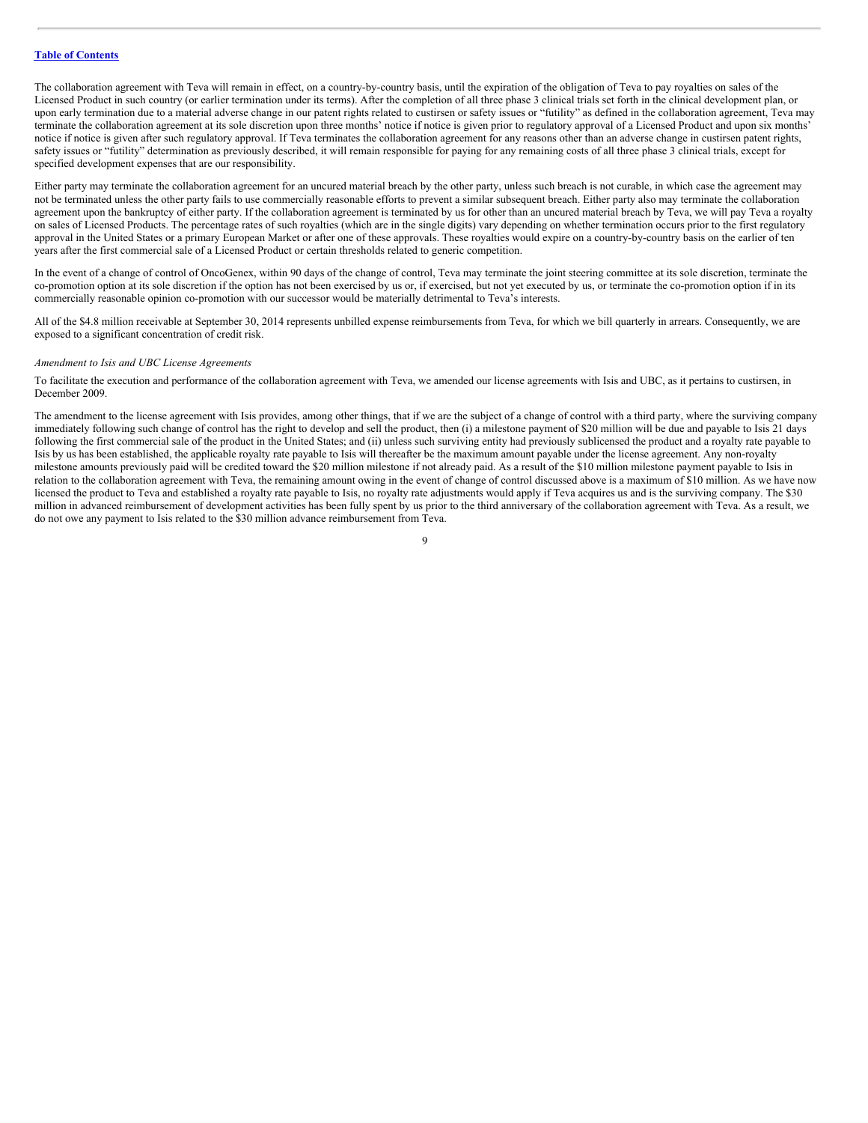The collaboration agreement with Teva will remain in effect, on a country-by-country basis, until the expiration of the obligation of Teva to pay royalties on sales of the Licensed Product in such country (or earlier termination under its terms). After the completion of all three phase 3 clinical trials set forth in the clinical development plan, or upon early termination due to a material adverse change in our patent rights related to custirsen or safety issues or "futility" as defined in the collaboration agreement, Teva may terminate the collaboration agreement at its sole discretion upon three months' notice if notice is given prior to regulatory approval of a Licensed Product and upon six months' notice if notice is given after such regulatory approval. If Teva terminates the collaboration agreement for any reasons other than an adverse change in custirsen patent rights, safety issues or "futility" determination as previously described, it will remain responsible for paying for any remaining costs of all three phase 3 clinical trials, except for specified development expenses that are our responsibility.

Either party may terminate the collaboration agreement for an uncured material breach by the other party, unless such breach is not curable, in which case the agreement may not be terminated unless the other party fails to use commercially reasonable efforts to prevent a similar subsequent breach. Either party also may terminate the collaboration agreement upon the bankruptcy of either party. If the collaboration agreement is terminated by us for other than an uncured material breach by Teva, we will pay Teva a royalty on sales of Licensed Products. The percentage rates of such royalties (which are in the single digits) vary depending on whether termination occurs prior to the first regulatory approval in the United States or a primary European Market or after one of these approvals. These royalties would expire on a country-by-country basis on the earlier of ten years after the first commercial sale of a Licensed Product or certain thresholds related to generic competition.

In the event of a change of control of OncoGenex, within 90 days of the change of control, Teva may terminate the joint steering committee at its sole discretion, terminate the co-promotion option at its sole discretion if the option has not been exercised by us or, if exercised, but not yet executed by us, or terminate the co-promotion option if in its commercially reasonable opinion co-promotion with our successor would be materially detrimental to Teva's interests.

All of the \$4.8 million receivable at September 30, 2014 represents unbilled expense reimbursements from Teva, for which we bill quarterly in arrears. Consequently, we are exposed to a significant concentration of credit risk.

#### *Amendment to Isis and UBC License Agreements*

To facilitate the execution and performance of the collaboration agreement with Teva, we amended our license agreements with Isis and UBC, as it pertains to custirsen, in December 2009.

The amendment to the license agreement with Isis provides, among other things, that if we are the subject of a change of control with a third party, where the surviving company immediately following such change of control has the right to develop and sell the product, then (i) a milestone payment of \$20 million will be due and payable to Isis 21 days following the first commercial sale of the product in the United States; and (ii) unless such surviving entity had previously sublicensed the product and a royalty rate payable to Isis by us has been established, the applicable royalty rate payable to Isis will thereafter be the maximum amount payable under the license agreement. Any non-royalty milestone amounts previously paid will be credited toward the \$20 million milestone if not already paid. As a result of the \$10 million milestone payment payable to Isis in relation to the collaboration agreement with Teva, the remaining amount owing in the event of change of control discussed above is a maximum of \$10 million. As we have now licensed the product to Teva and established a royalty rate payable to Isis, no royalty rate adjustments would apply if Teva acquires us and is the surviving company. The \$30 million in advanced reimbursement of development activities has been fully spent by us prior to the third anniversary of the collaboration agreement with Teva. As a result, we do not owe any payment to Isis related to the \$30 million advance reimbursement from Teva.

#### $\overline{Q}$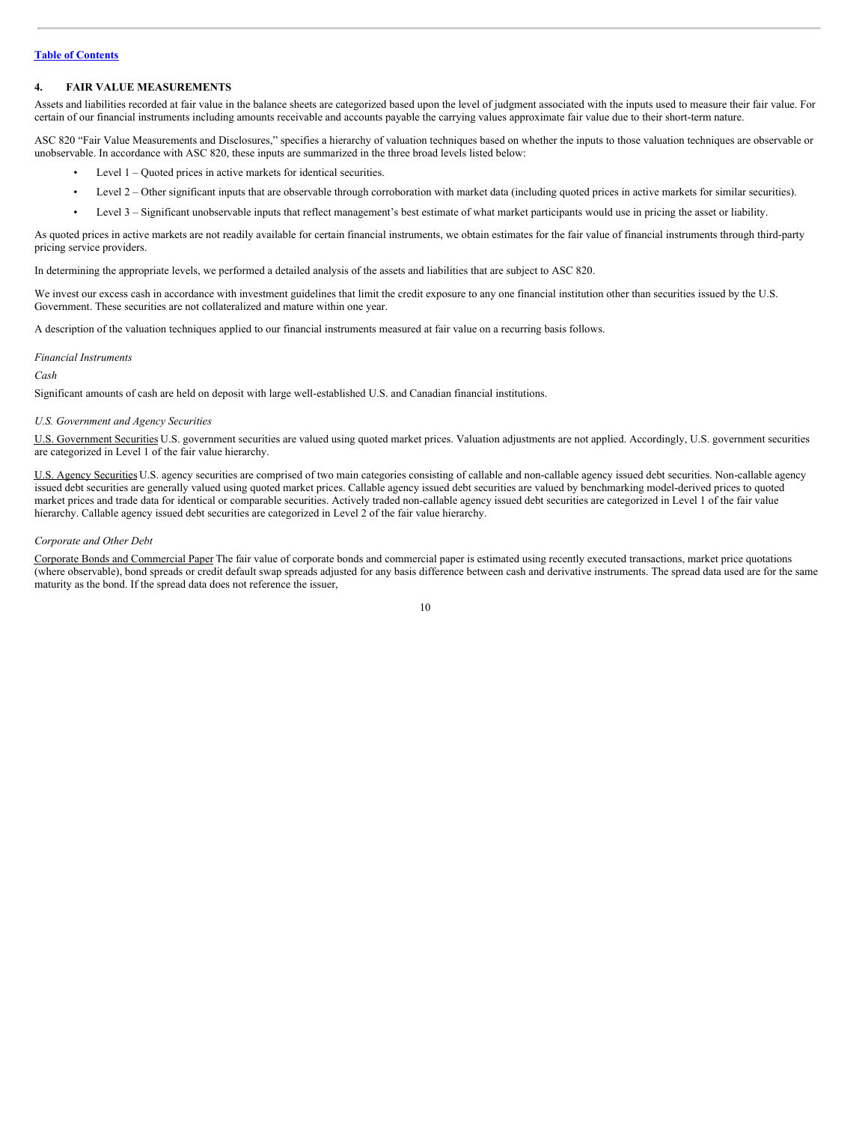### **4. FAIR VALUE MEASUREMENTS**

Assets and liabilities recorded at fair value in the balance sheets are categorized based upon the level of judgment associated with the inputs used to measure their fair value. For certain of our financial instruments including amounts receivable and accounts payable the carrying values approximate fair value due to their short-term nature.

ASC 820 "Fair Value Measurements and Disclosures," specifies a hierarchy of valuation techniques based on whether the inputs to those valuation techniques are observable or unobservable. In accordance with ASC 820, these inputs are summarized in the three broad levels listed below:

- Level 1 Quoted prices in active markets for identical securities.
- Level 2 Other significant inputs that are observable through corroboration with market data (including quoted prices in active markets for similar securities).
- Level 3 Significant unobservable inputs that reflect management's best estimate of what market participants would use in pricing the asset or liability.

As quoted prices in active markets are not readily available for certain financial instruments, we obtain estimates for the fair value of financial instruments through third-party pricing service providers.

In determining the appropriate levels, we performed a detailed analysis of the assets and liabilities that are subject to ASC 820.

We invest our excess cash in accordance with investment guidelines that limit the credit exposure to any one financial institution other than securities issued by the U.S. Government. These securities are not collateralized and mature within one year.

A description of the valuation techniques applied to our financial instruments measured at fair value on a recurring basis follows.

#### *Financial Instruments*

*Cash*

Significant amounts of cash are held on deposit with large well-established U.S. and Canadian financial institutions.

#### *U.S. Government and Agency Securities*

U.S. Government Securities U.S. government securities are valued using quoted market prices. Valuation adjustments are not applied. Accordingly, U.S. government securities are categorized in Level 1 of the fair value hierarchy.

U.S. Agency Securities U.S. agency securities are comprised of two main categories consisting of callable and non-callable agency issued debt securities. Non-callable agency issued debt securities are generally valued using quoted market prices. Callable agency issued debt securities are valued by benchmarking model-derived prices to quoted market prices and trade data for identical or comparable securities. Actively traded non-callable agency issued debt securities are categorized in Level 1 of the fair value hierarchy. Callable agency issued debt securities are categorized in Level 2 of the fair value hierarchy.

#### *Corporate and Other Debt*

Corporate Bonds and Commercial Paper The fair value of corporate bonds and commercial paper is estimated using recently executed transactions, market price quotations (where observable), bond spreads or credit default swap spreads adjusted for any basis difference between cash and derivative instruments. The spread data used are for the same maturity as the bond. If the spread data does not reference the issuer,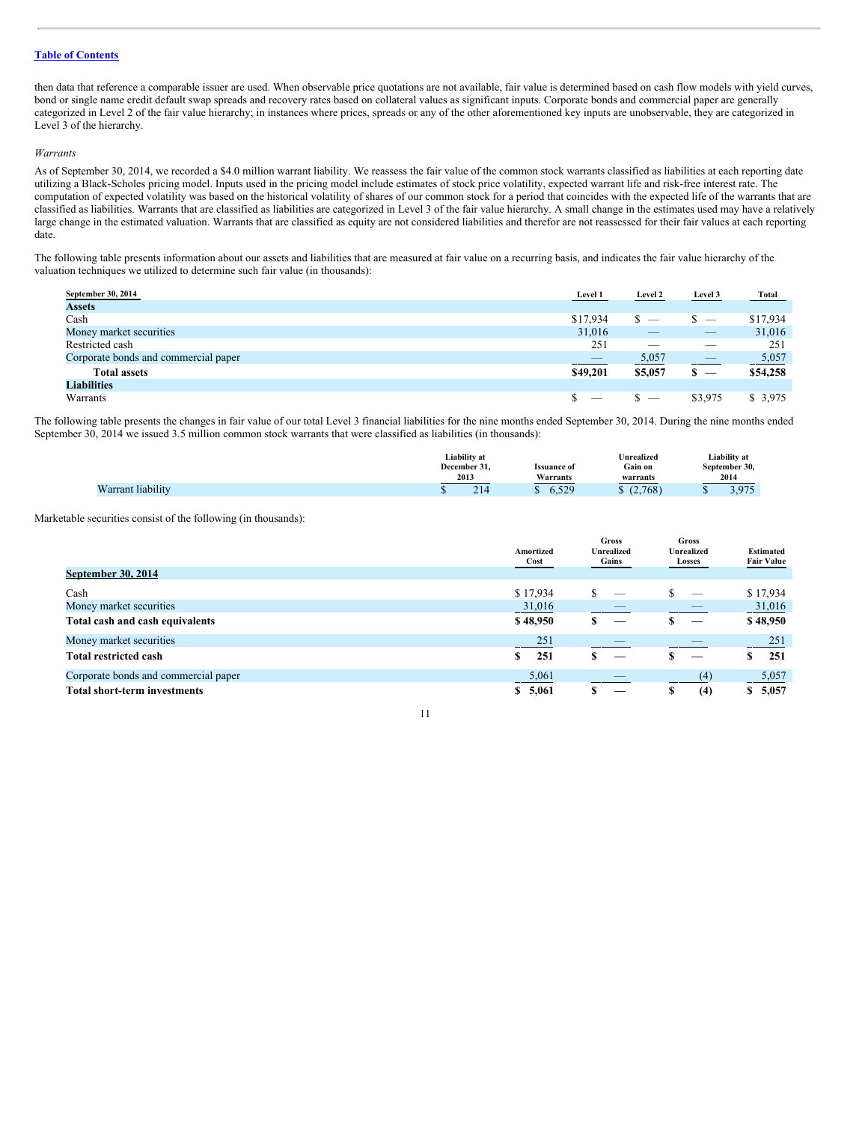then data that reference a comparable issuer are used. When observable price quotations are not available, fair value is determined based on cash flow models with yield curves, bond or single name credit default swap spreads and recovery rates based on collateral values as significant inputs. Corporate bonds and commercial paper are generally categorized in Level 2 of the fair value hierarchy; in instances where prices, spreads or any of the other aforementioned key inputs are unobservable, they are categorized in Level 3 of the hierarchy.

#### *Warrants*

As of September 30, 2014, we recorded a \$4.0 million warrant liability. We reassess the fair value of the common stock warrants classified as liabilities at each reporting date utilizing a Black-Scholes pricing model. Inputs used in the pricing model include estimates of stock price volatility, expected warrant life and risk-free interest rate. The computation of expected volatility was based on the historical volatility of shares of our common stock for a period that coincides with the expected life of the warrants that are classified as liabilities. Warrants that are classified as liabilities are categorized in Level 3 of the fair value hierarchy. A small change in the estimates used may have a relatively large change in the estimated valuation. Warrants that are classified as equity are not considered liabilities and therefor are not reassessed for their fair values at each reporting date.

The following table presents information about our assets and liabilities that are measured at fair value on a recurring basis, and indicates the fair value hierarchy of the valuation techniques we utilized to determine such fair value (in thousands):

| September 30, 2014                   | Level 1                         | Level 2                  | Level 3                         | <b>Total</b> |
|--------------------------------------|---------------------------------|--------------------------|---------------------------------|--------------|
| <b>Assets</b>                        |                                 |                          |                                 |              |
| Cash                                 | \$17,934                        | $\sim$                   | $\hspace{0.1mm}-\hspace{0.1mm}$ | \$17.934     |
| Money market securities              | 31,016                          |                          | $\overline{\phantom{a}}$        | 31,016       |
| Restricted cash                      | 251                             | $\overline{\phantom{a}}$ | $\overline{\phantom{a}}$        | 251          |
| Corporate bonds and commercial paper | $\hspace{0.1mm}-\hspace{0.1mm}$ | 5,057                    | $\hspace{0.1mm}-\hspace{0.1mm}$ | 5,057        |
| <b>Total assets</b>                  | \$49,201                        | \$5,057                  | $s -$                           | \$54,258     |
| <b>Liabilities</b>                   |                                 |                          |                                 |              |
| Warrants                             | $\overbrace{\hspace{25mm}}^{}$  | $\overline{\phantom{a}}$ | \$3,975                         | \$3,975      |

The following table presents the changes in fair value of our total Level 3 financial liabilities for the nine months ended September 30, 2014. During the nine months ended September 30, 2014 we issued 3.5 million common stock warrants that were classified as liabilities (in thousands):

|                   | Liability at |                      | Unrealized | Liability at  |  |
|-------------------|--------------|----------------------|------------|---------------|--|
|                   | December 31. | <b>Issuance of</b>   | Gain on    | September 30, |  |
|                   | 2013         | Warrants             | warrants   | 2014          |  |
| Warrant liability | 214          | 520<br>- 12<br>∪.J∠. | (2.768)    | 3,975         |  |

Marketable securities consist of the following (in thousands):

|                                      | <b>Amortized</b> | <b>Gross</b><br><b>Unrealized</b> | <b>Gross</b><br><b>Unrealized</b> | <b>Estimated</b>  |
|--------------------------------------|------------------|-----------------------------------|-----------------------------------|-------------------|
|                                      | Cost             | Gains                             | Losses                            | <b>Fair Value</b> |
| September 30, 2014                   |                  |                                   |                                   |                   |
| Cash                                 | \$17,934         | --                                | _                                 | \$17,934          |
| Money market securities              | 31,016           |                                   |                                   | 31,016            |
| Total cash and cash equivalents      | \$48,950         | æ                                 |                                   | \$48,950          |
| Money market securities              | 251              |                                   |                                   | 251               |
| <b>Total restricted cash</b>         | 251<br>S         | __                                |                                   | 251<br>S          |
| Corporate bonds and commercial paper | 5,061            |                                   | (4)                               | 5,057             |
| <b>Total short-term investments</b>  | \$5,061          |                                   | (4)                               | \$5,057           |

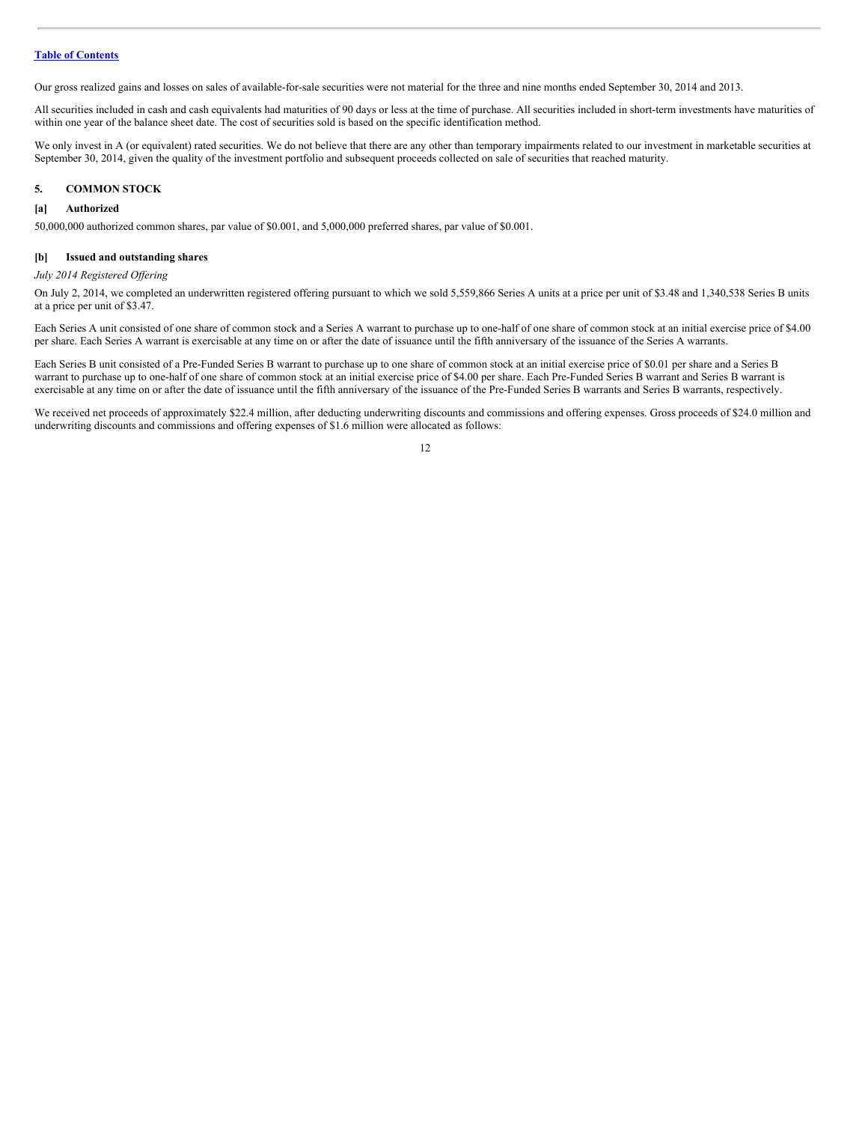Our gross realized gains and losses on sales of available-for-sale securities were not material for the three and nine months ended September 30, 2014 and 2013.

All securities included in cash and cash equivalents had maturities of 90 days or less at the time of purchase. All securities included in short-term investments have maturities of within one year of the balance sheet date. The cost of securities sold is based on the specific identification method.

We only invest in A (or equivalent) rated securities. We do not believe that there are any other than temporary impairments related to our investment in marketable securities at September 30, 2014, given the quality of the investment portfolio and subsequent proceeds collected on sale of securities that reached maturity.

#### **5. COMMON STOCK**

#### **[a] Authorized**

50,000,000 authorized common shares, par value of \$0.001, and 5,000,000 preferred shares, par value of \$0.001.

#### **[b] Issued and outstanding shares**

#### *July 2014 Registered Of ering*

On July 2, 2014, we completed an underwritten registered offering pursuant to which we sold 5,559,866 Series A units at a price per unit of \$3.48 and 1,340,538 Series B units at a price per unit of \$3.47.

Each Series A unit consisted of one share of common stock and a Series A warrant to purchase up to one-half of one share of common stock at an initial exercise price of \$4.00 per share. Each Series A warrant is exercisable at any time on or after the date of issuance until the fifth anniversary of the issuance of the Series A warrants.

Each Series B unit consisted of a Pre-Funded Series B warrant to purchase up to one share of common stock at an initial exercise price of \$0.01 per share and a Series B warrant to purchase up to one-half of one share of common stock at an initial exercise price of \$4.00 per share. Each Pre-Funded Series B warrant and Series B warrant is exercisable at any time on or after the date of issuance until the fifth anniversary of the issuance of the Pre-Funded Series B warrants and Series B warrants, respectively.

We received net proceeds of approximately \$22.4 million, after deducting underwriting discounts and commissions and offering expenses. Gross proceeds of \$24.0 million and underwriting discounts and commissions and offering expenses of \$1.6 million were allocated as follows:

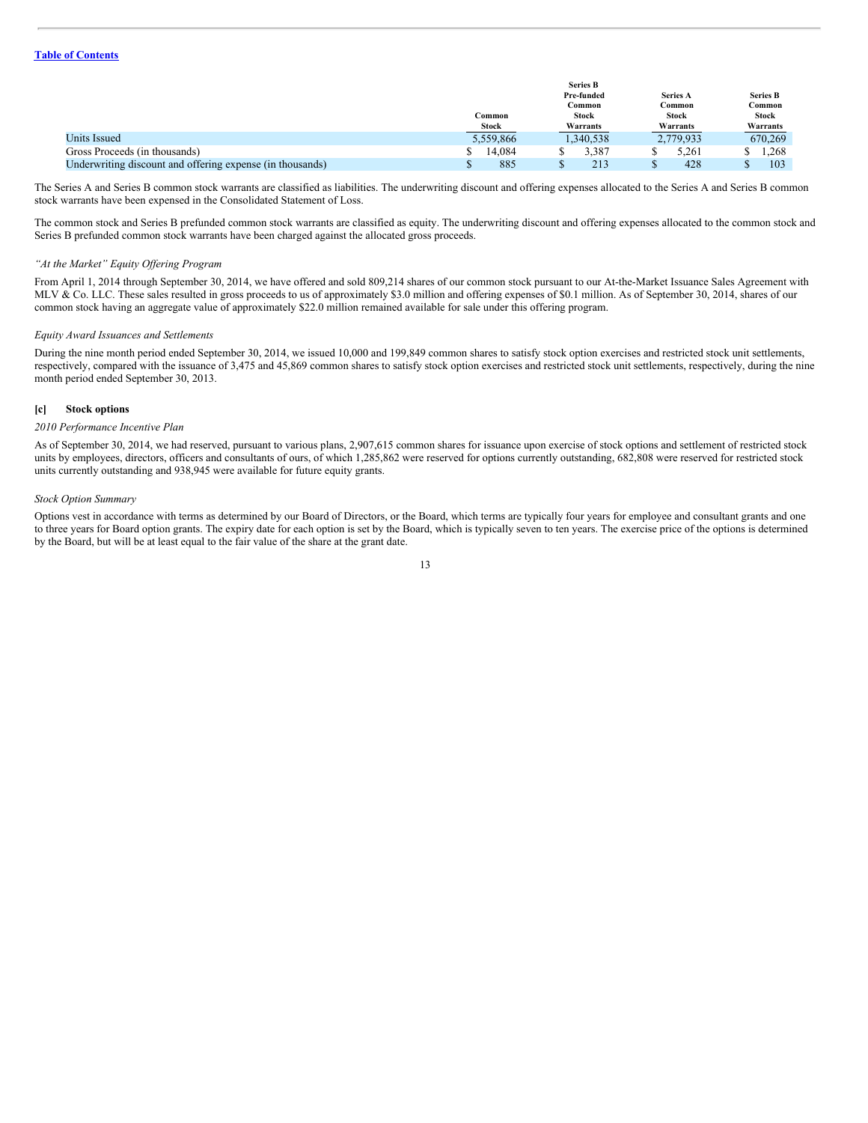|                                                           |              | <b>Series B</b> |                 |                 |  |
|-----------------------------------------------------------|--------------|-----------------|-----------------|-----------------|--|
|                                                           |              | Pre-funded      | <b>Series A</b> | <b>Series B</b> |  |
|                                                           |              | Common          |                 | Common          |  |
|                                                           | Common       | <b>Stock</b>    | <b>Stock</b>    | <b>Stock</b>    |  |
|                                                           | <b>Stock</b> | Warrants        | Warrants        | Warrants        |  |
| <b>Units Issued</b>                                       | 5.559.866    | ,340,538        | 2,779,933       | 670,269         |  |
| Gross Proceeds (in thousands)                             | 14.084       | 3,387           | 5.261           | .268            |  |
| Underwriting discount and offering expense (in thousands) | 885          | 213             | 428             | 103             |  |

The Series A and Series B common stock warrants are classified as liabilities. The underwriting discount and offering expenses allocated to the Series A and Series B common stock warrants have been expensed in the Consolidated Statement of Loss.

The common stock and Series B prefunded common stock warrants are classified as equity. The underwriting discount and offering expenses allocated to the common stock and Series B prefunded common stock warrants have been charged against the allocated gross proceeds.

# *"At the Market" Equity Of ering Program*

From April 1, 2014 through September 30, 2014, we have offered and sold 809,214 shares of our common stock pursuant to our At-the-Market Issuance Sales Agreement with MLV & Co. LLC. These sales resulted in gross proceeds to us of approximately \$3.0 million and offering expenses of \$0.1 million. As of September 30, 2014, shares of our common stock having an aggregate value of approximately \$22.0 million remained available for sale under this offering program.

#### *Equity Award Issuances and Settlements*

During the nine month period ended September 30, 2014, we issued 10,000 and 199,849 common shares to satisfy stock option exercises and restricted stock unit settlements, respectively, compared with the issuance of 3,475 and 45,869 common shares to satisfy stock option exercises and restricted stock unit settlements, respectively, during the nine month period ended September 30, 2013.

#### **[c] Stock options**

# *2010 Performance Incentive Plan*

As of September 30, 2014, we had reserved, pursuant to various plans, 2,907,615 common shares for issuance upon exercise of stock options and settlement of restricted stock units by employees, directors, officers and consultants of ours, of which 1,285,862 were reserved for options currently outstanding, 682,808 were reserved for restricted stock units currently outstanding and 938,945 were available for future equity grants.

#### *Stock Option Summary*

Options vest in accordance with terms as determined by our Board of Directors, or the Board, which terms are typically four years for employee and consultant grants and one to three years for Board option grants. The expiry date for each option is set by the Board, which is typically seven to ten years. The exercise price of the options is determined by the Board, but will be at least equal to the fair value of the share at the grant date.

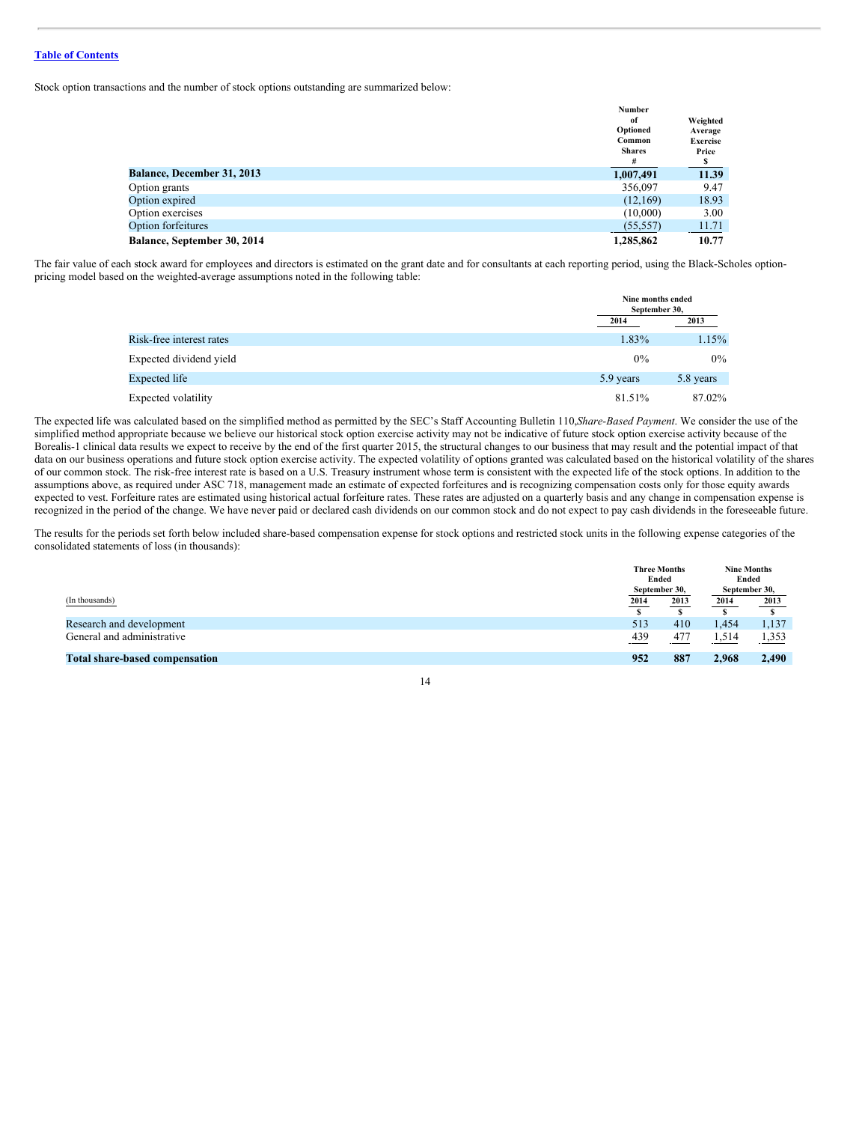Stock option transactions and the number of stock options outstanding are summarized below:

|                             | <b>Number</b> |                 |
|-----------------------------|---------------|-----------------|
|                             | of            | Weighted        |
|                             | Optioned      | Average         |
|                             | Common        | <b>Exercise</b> |
|                             | <b>Shares</b> | Price           |
|                             | #             |                 |
| Balance, December 31, 2013  | 1,007,491     | 11.39           |
| Option grants               | 356,097       | 9.47            |
| Option expired              | (12,169)      | 18.93           |
| Option exercises            | (10,000)      | 3.00            |
| <b>Option forfeitures</b>   | (55, 557)     | 11.71           |
| Balance, September 30, 2014 | 1,285,862     | 10.77           |

The fair value of each stock award for employees and directors is estimated on the grant date and for consultants at each reporting period, using the Black-Scholes optionpricing model based on the weighted-average assumptions noted in the following table:

|                          | Nine months ended<br>September 30, |           |
|--------------------------|------------------------------------|-----------|
|                          | 2014                               | 2013      |
| Risk-free interest rates | 1.83%                              | 1.15%     |
| Expected dividend yield  | $0\%$                              | $0\%$     |
| Expected life            | 5.9 years                          | 5.8 years |
| Expected volatility      | 81.51%                             | 87.02%    |

The expected life was calculated based on the simplified method as permitted by the SEC's Staff Accounting Bulletin 110,*Share-Based Payment*. We consider the use of the simplified method appropriate because we believe our historical stock option exercise activity may not be indicative of future stock option exercise activity because of the Borealis-1 clinical data results we expect to receive by the end of the first quarter 2015, the structural changes to our business that may result and the potential impact of that data on our business operations and future stock option exercise activity. The expected volatility of options granted was calculated based on the historical volatility of the shares of our common stock. The risk-free interest rate is based on a U.S. Treasury instrument whose term is consistent with the expected life of the stock options. In addition to the assumptions above, as required under ASC 718, management made an estimate of expected forfeitures and is recognizing compensation costs only for those equity awards expected to vest. Forfeiture rates are estimated using historical actual forfeiture rates. These rates are adjusted on a quarterly basis and any change in compensation expense is recognized in the period of the change. We have never paid or declared cash dividends on our common stock and do not expect to pay cash dividends in the foreseeable future.

The results for the periods set forth below included share-based compensation expense for stock options and restricted stock units in the following expense categories of the consolidated statements of loss (in thousands):

|                                       |      | <b>Three Months</b><br>Ended<br>September 30, |       | <b>Nine Months</b><br>Ended<br>September 30, |  |
|---------------------------------------|------|-----------------------------------------------|-------|----------------------------------------------|--|
| (In thousands)                        | 2014 | 2013                                          | 2014  | 2013                                         |  |
|                                       |      |                                               |       |                                              |  |
| Research and development              | 513  | 410                                           | 1,454 | 1,137                                        |  |
| General and administrative            | 439  | 477                                           | 1,514 | 1,353                                        |  |
| <b>Total share-based compensation</b> | 952  | 887                                           | 2,968 | 2,490                                        |  |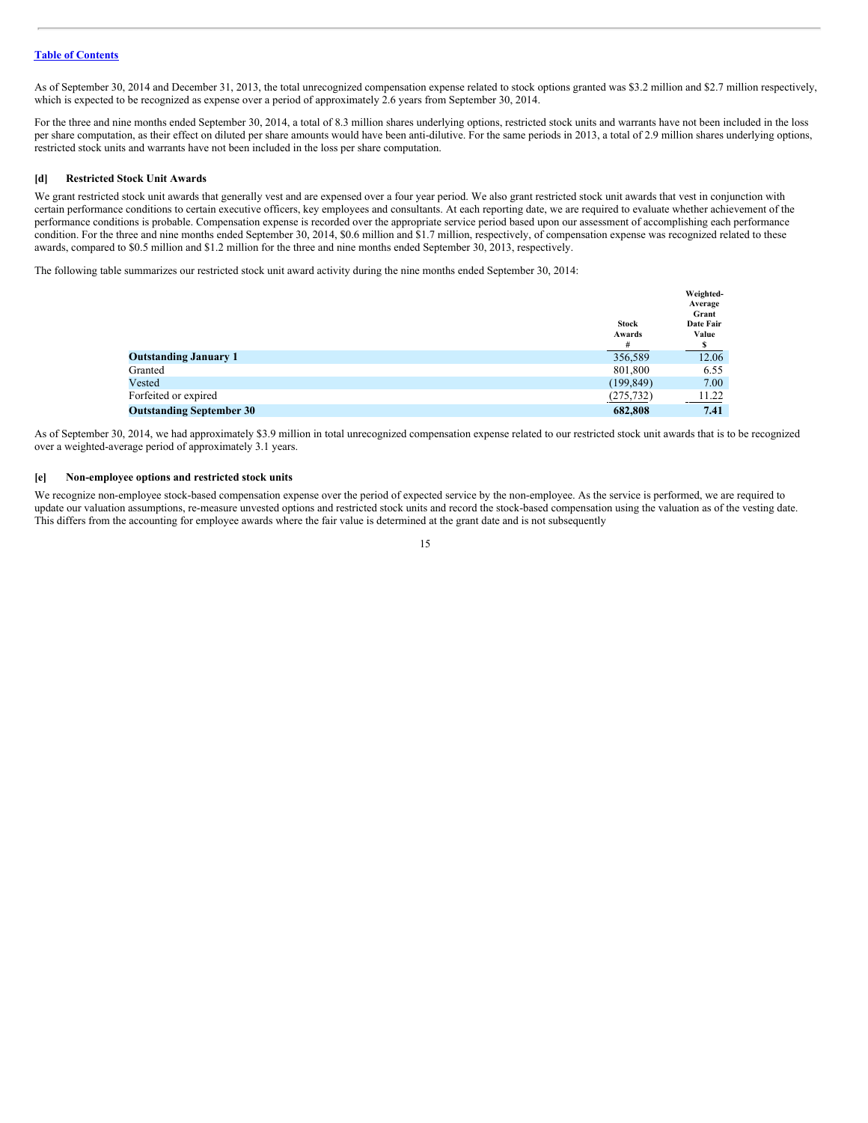As of September 30, 2014 and December 31, 2013, the total unrecognized compensation expense related to stock options granted was \$3.2 million and \$2.7 million respectively, which is expected to be recognized as expense over a period of approximately 2.6 years from September 30, 2014.

For the three and nine months ended September 30, 2014, a total of 8.3 million shares underlying options, restricted stock units and warrants have not been included in the loss per share computation, as their effect on diluted per share amounts would have been anti-dilutive. For the same periods in 2013, a total of 2.9 million shares underlying options, restricted stock units and warrants have not been included in the loss per share computation.

# **[d] Restricted Stock Unit Awards**

We grant restricted stock unit awards that generally vest and are expensed over a four year period. We also grant restricted stock unit awards that vest in conjunction with certain performance conditions to certain executive officers, key employees and consultants. At each reporting date, we are required to evaluate whether achievement of the performance conditions is probable. Compensation expense is recorded over the appropriate service period based upon our assessment of accomplishing each performance condition. For the three and nine months ended September 30, 2014, \$0.6 million and \$1.7 million, respectively, of compensation expense was recognized related to these awards, compared to \$0.5 million and \$1.2 million for the three and nine months ended September 30, 2013, respectively.

The following table summarizes our restricted stock unit award activity during the nine months ended September 30, 2014:

|                                 | <b>Stock</b><br>Awards<br># | Weighted-<br>Average<br>Grant<br>Date Fair<br>Value |
|---------------------------------|-----------------------------|-----------------------------------------------------|
| <b>Outstanding January 1</b>    | 356,589                     | 12.06                                               |
| Granted                         | 801,800                     | 6.55                                                |
| Vested                          | (199, 849)                  | 7.00                                                |
| Forfeited or expired            | (275, 732)                  | 11.22                                               |
| <b>Outstanding September 30</b> | 682,808                     | 7.41                                                |

As of September 30, 2014, we had approximately \$3.9 million in total unrecognized compensation expense related to our restricted stock unit awards that is to be recognized over a weighted-average period of approximately 3.1 years.

# **[e] Non-employee options and restricted stock units**

We recognize non-employee stock-based compensation expense over the period of expected service by the non-employee. As the service is performed, we are required to update our valuation assumptions, re-measure unvested options and restricted stock units and record the stock-based compensation using the valuation as of the vesting date. This differs from the accounting for employee awards where the fair value is determined at the grant date and is not subsequently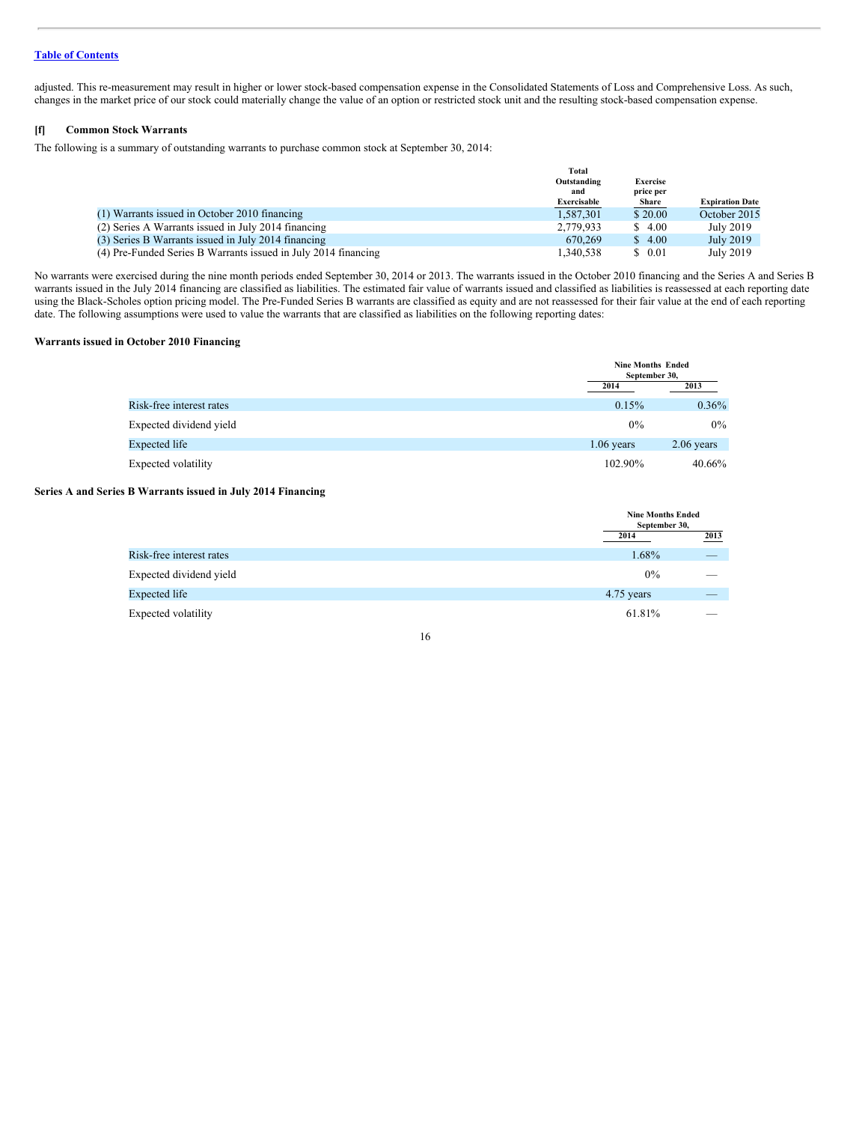adjusted. This re-measurement may result in higher or lower stock-based compensation expense in the Consolidated Statements of Loss and Comprehensive Loss. As such, changes in the market price of our stock could materially change the value of an option or restricted stock unit and the resulting stock-based compensation expense.

# **[f] Common Stock Warrants**

The following is a summary of outstanding warrants to purchase common stock at September 30, 2014:

|                                                                | Total              |           |                        |
|----------------------------------------------------------------|--------------------|-----------|------------------------|
|                                                                | Outstanding        | Exercise  |                        |
|                                                                | and                | price per |                        |
|                                                                | <b>Exercisable</b> | Share     | <b>Expiration Date</b> |
| (1) Warrants issued in October 2010 financing                  | 1.587.301          | \$20.00   | October 2015           |
| (2) Series A Warrants issued in July 2014 financing            | 2.779.933          | \$4.00    | July 2019              |
| (3) Series B Warrants issued in July 2014 financing            | 670.269            | \$4.00    | July 2019              |
| (4) Pre-Funded Series B Warrants issued in July 2014 financing | 1.340.538          | \$ 0.01   | July 2019              |

No warrants were exercised during the nine month periods ended September 30, 2014 or 2013. The warrants issued in the October 2010 financing and the Series A and Series B warrants issued in the July 2014 financing are classified as liabilities. The estimated fair value of warrants issued and classified as liabilities is reassessed at each reporting date using the Black-Scholes option pricing model. The Pre-Funded Series B warrants are classified as equity and are not reassessed for their fair value at the end of each reporting date. The following assumptions were used to value the warrants that are classified as liabilities on the following reporting dates:

# **Warrants issued in October 2010 Financing**

|                          |              | <b>Nine Months Ended</b><br>September 30, |  |
|--------------------------|--------------|-------------------------------------------|--|
|                          | 2014         | 2013                                      |  |
| Risk-free interest rates | 0.15%        | $0.36\%$                                  |  |
| Expected dividend yield  | $0\%$        | $0\%$                                     |  |
| Expected life            | $1.06$ years | $2.06$ years                              |  |
| Expected volatility      | 102.90%      | 40.66%                                    |  |

# **Series A and Series B Warrants issued in July 2014 Financing**

|                          |            | <b>Nine Months Ended</b><br>September 30, |  |
|--------------------------|------------|-------------------------------------------|--|
|                          | 2014       | 2013                                      |  |
| Risk-free interest rates | 1.68%      | _                                         |  |
| Expected dividend yield  | $0\%$      | __                                        |  |
| Expected life            | 4.75 years | _                                         |  |
| Expected volatility      | 61.81%     | ___                                       |  |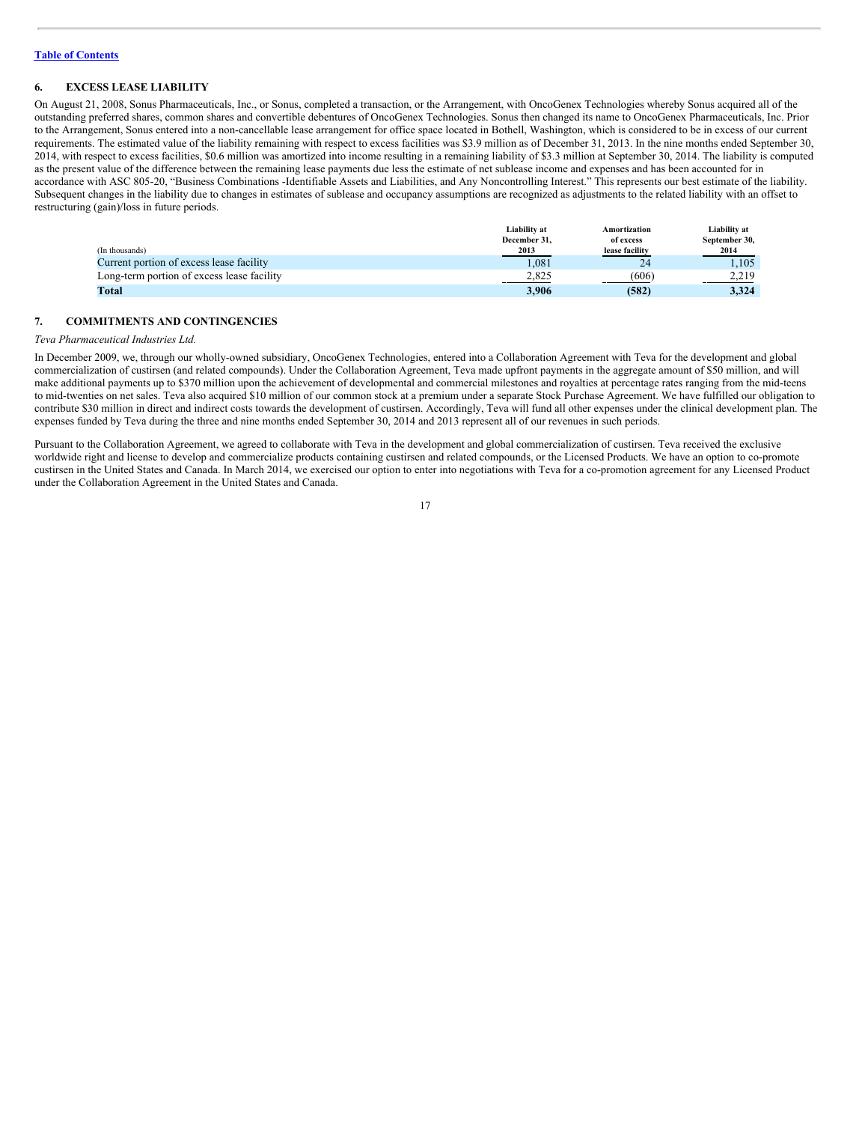# **6. EXCESS LEASE LIABILITY**

On August 21, 2008, Sonus Pharmaceuticals, Inc., or Sonus, completed a transaction, or the Arrangement, with OncoGenex Technologies whereby Sonus acquired all of the outstanding preferred shares, common shares and convertible debentures of OncoGenex Technologies. Sonus then changed its name to OncoGenex Pharmaceuticals, Inc. Prior to the Arrangement, Sonus entered into a non-cancellable lease arrangement for office space located in Bothell, Washington, which is considered to be in excess of our current requirements. The estimated value of the liability remaining with respect to excess facilities was \$3.9 million as of December 31, 2013. In the nine months ended September 30, 2014, with respect to excess facilities, \$0.6 million was amortized into income resulting in a remaining liability of \$3.3 million at September 30, 2014. The liability is computed as the present value of the difference between the remaining lease payments due less the estimate of net sublease income and expenses and has been accounted for in accordance with ASC 805-20, "Business Combinations -Identifiable Assets and Liabilities, and Any Noncontrolling Interest." This represents our best estimate of the liability. Subsequent changes in the liability due to changes in estimates of sublease and occupancy assumptions are recognized as adjustments to the related liability with an offset to restructuring (gain)/loss in future periods.

|                                            | Liability at | Amortization   | Liability at  |
|--------------------------------------------|--------------|----------------|---------------|
|                                            | December 31, | of excess      | September 30, |
| (In thousands)                             | 2013         | lease facility | 2014          |
| Current portion of excess lease facility   | 1.081        | 24             | 1.105         |
| Long-term portion of excess lease facility | 2.825        | (606)          | 2,219         |
| Total                                      | 3.906        | (582)          | 3,324         |

#### **7. COMMITMENTS AND CONTINGENCIES**

#### *Teva Pharmaceutical Industries Ltd.*

In December 2009, we, through our wholly-owned subsidiary, OncoGenex Technologies, entered into a Collaboration Agreement with Teva for the development and global commercialization of custirsen (and related compounds). Under the Collaboration Agreement, Teva made upfront payments in the aggregate amount of \$50 million, and will make additional payments up to \$370 million upon the achievement of developmental and commercial milestones and royalties at percentage rates ranging from the mid-teens to mid-twenties on net sales. Teva also acquired \$10 million of our common stock at a premium under a separate Stock Purchase Agreement. We have fulfilled our obligation to contribute \$30 million in direct and indirect costs towards the development of custirsen. Accordingly, Teva will fund all other expenses under the clinical development plan. The expenses funded by Teva during the three and nine months ended September 30, 2014 and 2013 represent all of our revenues in such periods.

Pursuant to the Collaboration Agreement, we agreed to collaborate with Teva in the development and global commercialization of custirsen. Teva received the exclusive worldwide right and license to develop and commercialize products containing custirsen and related compounds, or the Licensed Products. We have an option to co-promote custirsen in the United States and Canada. In March 2014, we exercised our option to enter into negotiations with Teva for a co-promotion agreement for any Licensed Product under the Collaboration Agreement in the United States and Canada.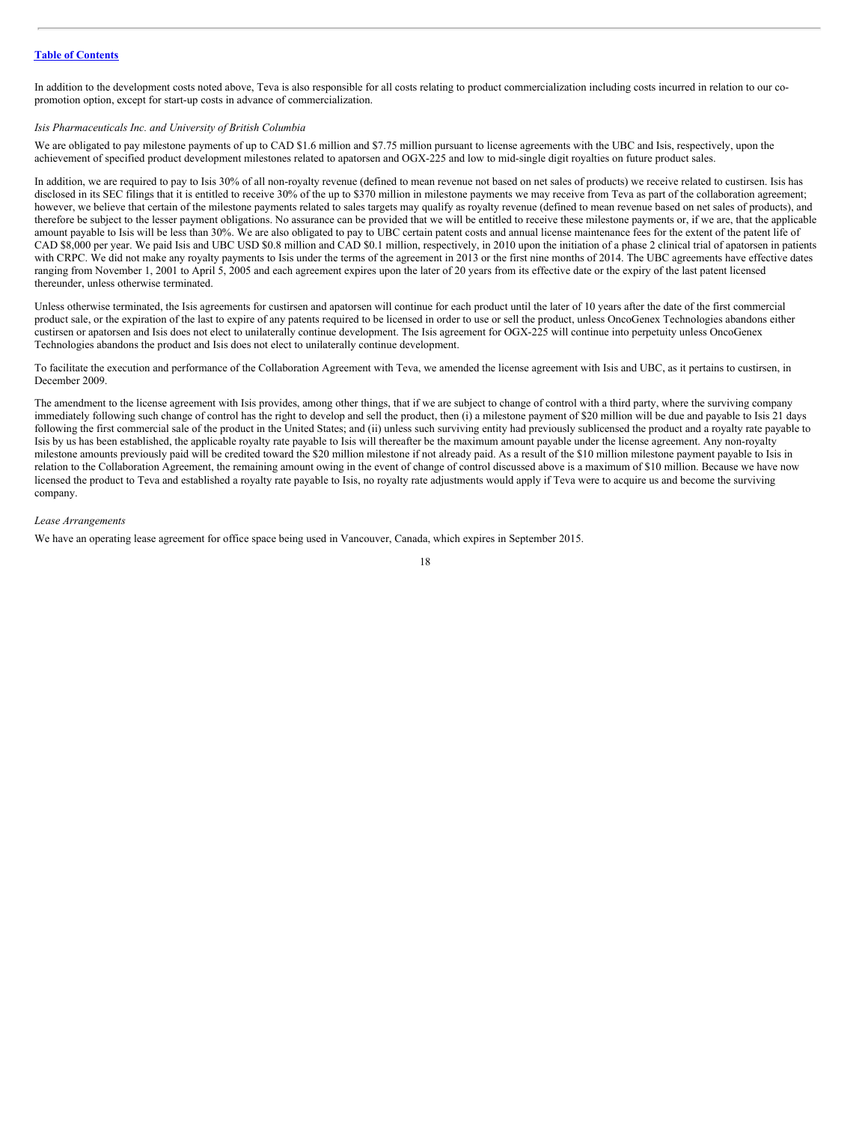In addition to the development costs noted above, Teva is also responsible for all costs relating to product commercialization including costs incurred in relation to our copromotion option, except for start-up costs in advance of commercialization.

#### *Isis Pharmaceuticals Inc. and University of British Columbia*

We are obligated to pay milestone payments of up to CAD \$1.6 million and \$7.75 million pursuant to license agreements with the UBC and Isis, respectively, upon the achievement of specified product development milestones related to apatorsen and OGX-225 and low to mid-single digit royalties on future product sales.

In addition, we are required to pay to Isis 30% of all non-royalty revenue (defined to mean revenue not based on net sales of products) we receive related to custirsen. Isis has disclosed in its SEC filings that it is entitled to receive 30% of the up to \$370 million in milestone payments we may receive from Teva as part of the collaboration agreement; however, we believe that certain of the milestone payments related to sales targets may qualify as royalty revenue (defined to mean revenue based on net sales of products), and therefore be subject to the lesser payment obligations. No assurance can be provided that we will be entitled to receive these milestone payments or, if we are, that the applicable amount payable to Isis will be less than 30%. We are also obligated to pay to UBC certain patent costs and annual license maintenance fees for the extent of the patent life of CAD \$8,000 per year. We paid Isis and UBC USD \$0.8 million and CAD \$0.1 million, respectively, in 2010 upon the initiation of a phase 2 clinical trial of apatorsen in patients with CRPC. We did not make any royalty payments to Isis under the terms of the agreement in 2013 or the first nine months of 2014. The UBC agreements have effective dates ranging from November 1, 2001 to April 5, 2005 and each agreement expires upon the later of 20 years from its effective date or the expiry of the last patent licensed thereunder, unless otherwise terminated.

Unless otherwise terminated, the Isis agreements for custirsen and apatorsen will continue for each product until the later of 10 years after the date of the first commercial product sale, or the expiration of the last to expire of any patents required to be licensed in order to use or sell the product, unless OncoGenex Technologies abandons either custirsen or apatorsen and Isis does not elect to unilaterally continue development. The Isis agreement for OGX-225 will continue into perpetuity unless OncoGenex Technologies abandons the product and Isis does not elect to unilaterally continue development.

To facilitate the execution and performance of the Collaboration Agreement with Teva, we amended the license agreement with Isis and UBC, as it pertains to custirsen, in December 2009.

The amendment to the license agreement with Isis provides, among other things, that if we are subject to change of control with a third party, where the surviving company immediately following such change of control has the right to develop and sell the product, then (i) a milestone payment of \$20 million will be due and payable to Isis 21 days following the first commercial sale of the product in the United States; and (ii) unless such surviving entity had previously sublicensed the product and a royalty rate payable to Isis by us has been established, the applicable royalty rate payable to Isis will thereafter be the maximum amount payable under the license agreement. Any non-royalty milestone amounts previously paid will be credited toward the \$20 million milestone if not already paid. As a result of the \$10 million milestone payment payable to Isis in relation to the Collaboration Agreement, the remaining amount owing in the event of change of control discussed above is a maximum of \$10 million. Because we have now licensed the product to Teva and established a royalty rate payable to Isis, no royalty rate adjustments would apply if Teva were to acquire us and become the surviving company.

# *Lease Arrangements*

We have an operating lease agreement for office space being used in Vancouver, Canada, which expires in September 2015.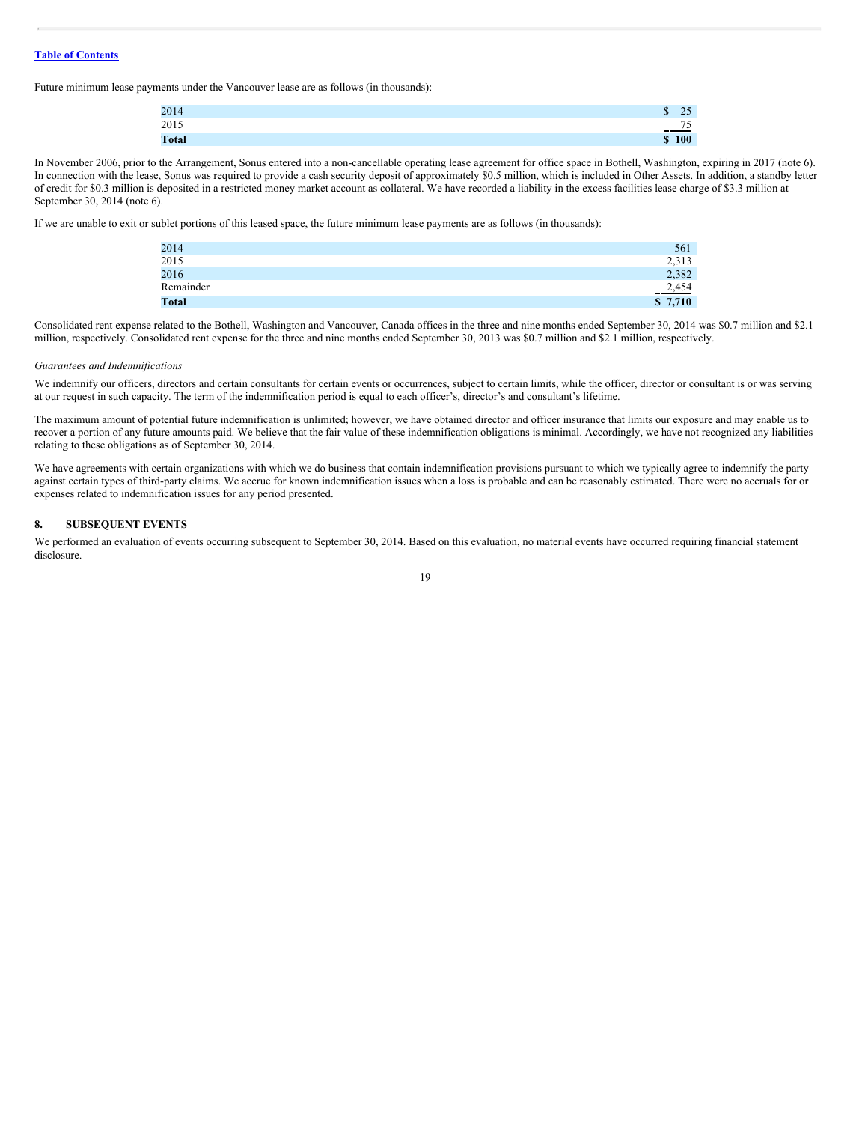Future minimum lease payments under the Vancouver lease are as follows (in thousands):

| 2014         | $\sim$ $\sim$<br>ر ے |
|--------------|----------------------|
| 2015         | 75<br>____           |
| <b>Total</b> | 100                  |

In November 2006, prior to the Arrangement, Sonus entered into a non-cancellable operating lease agreement for office space in Bothell, Washington, expiring in 2017 (note 6). In connection with the lease, Sonus was required to provide a cash security deposit of approximately \$0.5 million, which is included in Other Assets. In addition, a standby letter of credit for \$0.3 million is deposited in a restricted money market account as collateral. We have recorded a liability in the excess facilities lease charge of \$3.3 million at September 30, 2014 (note 6).

If we are unable to exit or sublet portions of this leased space, the future minimum lease payments are as follows (in thousands):

| 2014         | 561      |
|--------------|----------|
| 2015         | 2,313    |
| 2016         | 2,382    |
| Remainder    | $-2,454$ |
| <b>Total</b> | \$7,710  |

Consolidated rent expense related to the Bothell, Washington and Vancouver, Canada offices in the three and nine months ended September 30, 2014 was \$0.7 million and \$2.1 million, respectively. Consolidated rent expense for the three and nine months ended September 30, 2013 was \$0.7 million and \$2.1 million, respectively.

#### *Guarantees and Indemnifications*

We indemnify our officers, directors and certain consultants for certain events or occurrences, subject to certain limits, while the officer, director or consultant is or was serving at our request in such capacity. The term of the indemnification period is equal to each officer's, director's and consultant's lifetime.

The maximum amount of potential future indemnification is unlimited; however, we have obtained director and officer insurance that limits our exposure and may enable us to recover a portion of any future amounts paid. We believe that the fair value of these indemnification obligations is minimal. Accordingly, we have not recognized any liabilities relating to these obligations as of September 30, 2014.

We have agreements with certain organizations with which we do business that contain indemnification provisions pursuant to which we typically agree to indemnify the party against certain types of third-party claims. We accrue for known indemnification issues when a loss is probable and can be reasonably estimated. There were no accruals for or expenses related to indemnification issues for any period presented.

# **8. SUBSEQUENT EVENTS**

We performed an evaluation of events occurring subsequent to September 30, 2014. Based on this evaluation, no material events have occurred requiring financial statement disclosure.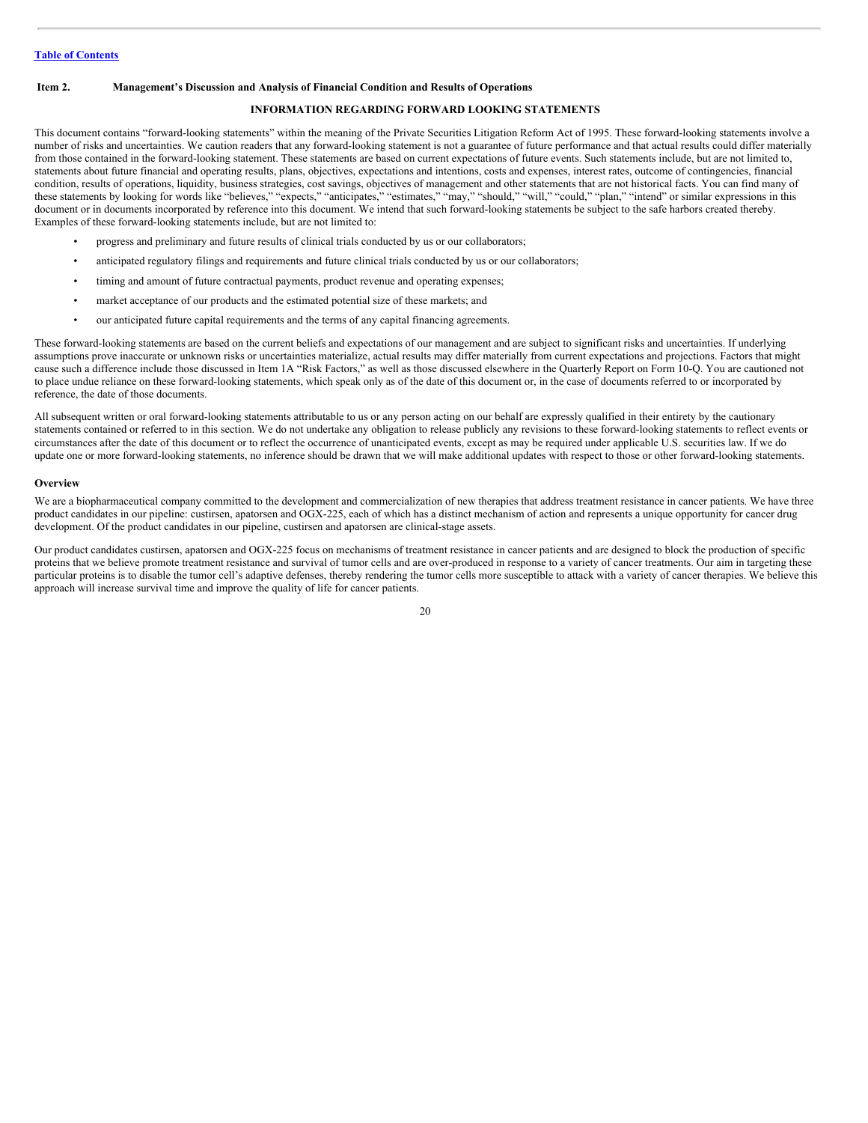#### <span id="page-19-0"></span>**Item 2. Management's Discussion and Analysis of Financial Condition and Results of Operations**

#### **INFORMATION REGARDING FORWARD LOOKING STATEMENTS**

This document contains "forward-looking statements" within the meaning of the Private Securities Litigation Reform Act of 1995. These forward-looking statements involve a number of risks and uncertainties. We caution readers that any forward-looking statement is not a guarantee of future performance and that actual results could differ materially from those contained in the forward-looking statement. These statements are based on current expectations of future events. Such statements include, but are not limited to, statements about future financial and operating results, plans, objectives, expectations and intentions, costs and expenses, interest rates, outcome of contingencies, financial condition, results of operations, liquidity, business strategies, cost savings, objectives of management and other statements that are not historical facts. You can find many of these statements by looking for words like "believes," "expects," "anticipates," "estimates," "may," "should," "will," "could," "plan," "intend" or similar expressions in this document or in documents incorporated by reference into this document. We intend that such forward-looking statements be subject to the safe harbors created thereby. Examples of these forward-looking statements include, but are not limited to:

- progress and preliminary and future results of clinical trials conducted by us or our collaborators;
- anticipated regulatory filings and requirements and future clinical trials conducted by us or our collaborators;
- timing and amount of future contractual payments, product revenue and operating expenses;
- market acceptance of our products and the estimated potential size of these markets; and
- our anticipated future capital requirements and the terms of any capital financing agreements.

These forward-looking statements are based on the current beliefs and expectations of our management and are subject to significant risks and uncertainties. If underlying assumptions prove inaccurate or unknown risks or uncertainties materialize, actual results may differ materially from current expectations and projections. Factors that might cause such a difference include those discussed in Item 1A "Risk Factors," as well as those discussed elsewhere in the Quarterly Report on Form 10-Q. You are cautioned not to place undue reliance on these forward-looking statements, which speak only as of the date of this document or, in the case of documents referred to or incorporated by reference, the date of those documents.

All subsequent written or oral forward-looking statements attributable to us or any person acting on our behalf are expressly qualified in their entirety by the cautionary statements contained or referred to in this section. We do not undertake any obligation to release publicly any revisions to these forward-looking statements to reflect events or circumstances after the date of this document or to reflect the occurrence of unanticipated events, except as may be required under applicable U.S. securities law. If we do update one or more forward-looking statements, no inference should be drawn that we will make additional updates with respect to those or other forward-looking statements.

#### **Overview**

We are a biopharmaceutical company committed to the development and commercialization of new therapies that address treatment resistance in cancer patients. We have three product candidates in our pipeline: custirsen, apatorsen and OGX-225, each of which has a distinct mechanism of action and represents a unique opportunity for cancer drug development. Of the product candidates in our pipeline, custirsen and apatorsen are clinical-stage assets.

Our product candidates custirsen, apatorsen and OGX-225 focus on mechanisms of treatment resistance in cancer patients and are designed to block the production of specific proteins that we believe promote treatment resistance and survival of tumor cells and are over-produced in response to a variety of cancer treatments. Our aim in targeting these particular proteins is to disable the tumor cell's adaptive defenses, thereby rendering the tumor cells more susceptible to attack with a variety of cancer therapies. We believe this approach will increase survival time and improve the quality of life for cancer patients.

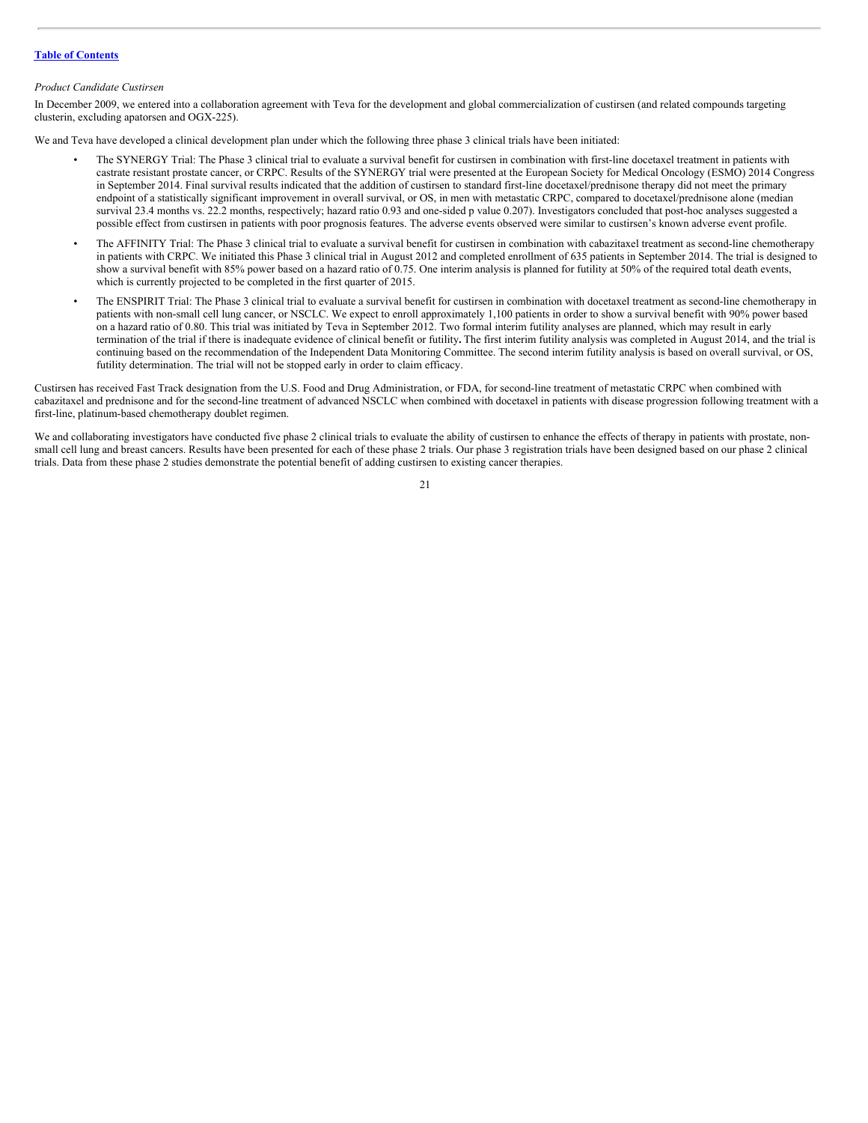#### *Product Candidate Custirsen*

In December 2009, we entered into a collaboration agreement with Teva for the development and global commercialization of custirsen (and related compounds targeting clusterin, excluding apatorsen and OGX-225).

We and Teva have developed a clinical development plan under which the following three phase 3 clinical trials have been initiated:

- The SYNERGY Trial: The Phase 3 clinical trial to evaluate a survival benefit for custirsen in combination with first-line docetaxel treatment in patients with castrate resistant prostate cancer, or CRPC. Results of the SYNERGY trial were presented at the European Society for Medical Oncology (ESMO) 2014 Congress in September 2014. Final survival results indicated that the addition of custirsen to standard first-line docetaxel/prednisone therapy did not meet the primary endpoint of a statistically significant improvement in overall survival, or OS, in men with metastatic CRPC, compared to docetaxel/prednisone alone (median survival 23.4 months vs. 22.2 months, respectively; hazard ratio 0.93 and one-sided p value 0.207). Investigators concluded that post-hoc analyses suggested a possible effect from custirsen in patients with poor prognosis features. The adverse events observed were similar to custirsen's known adverse event profile.
- The AFFINITY Trial: The Phase 3 clinical trial to evaluate a survival benefit for custirsen in combination with cabazitaxel treatment as second-line chemotherapy in patients with CRPC. We initiated this Phase 3 clinical trial in August 2012 and completed enrollment of 635 patients in September 2014. The trial is designed to show a survival benefit with 85% power based on a hazard ratio of 0.75. One interim analysis is planned for futility at 50% of the required total death events, which is currently projected to be completed in the first quarter of 2015.
- The ENSPIRIT Trial: The Phase 3 clinical trial to evaluate a survival benefit for custirsen in combination with docetaxel treatment as second-line chemotherapy in patients with non-small cell lung cancer, or NSCLC. We expect to enroll approximately 1,100 patients in order to show a survival benefit with 90% power based on a hazard ratio of 0.80. This trial was initiated by Teva in September 2012. Two formal interim futility analyses are planned, which may result in early termination of the trial if there is inadequate evidence of clinical benefit or futility**.** The first interim futility analysis was completed in August 2014, and the trial is continuing based on the recommendation of the Independent Data Monitoring Committee. The second interim futility analysis is based on overall survival, or OS, futility determination. The trial will not be stopped early in order to claim efficacy.

Custirsen has received Fast Track designation from the U.S. Food and Drug Administration, or FDA, for second-line treatment of metastatic CRPC when combined with cabazitaxel and prednisone and for the second-line treatment of advanced NSCLC when combined with docetaxel in patients with disease progression following treatment with a first-line, platinum-based chemotherapy doublet regimen.

We and collaborating investigators have conducted five phase 2 clinical trials to evaluate the ability of custirsen to enhance the effects of therapy in patients with prostate, nonsmall cell lung and breast cancers. Results have been presented for each of these phase 2 trials. Our phase 3 registration trials have been designed based on our phase 2 clinical trials. Data from these phase 2 studies demonstrate the potential benefit of adding custirsen to existing cancer therapies.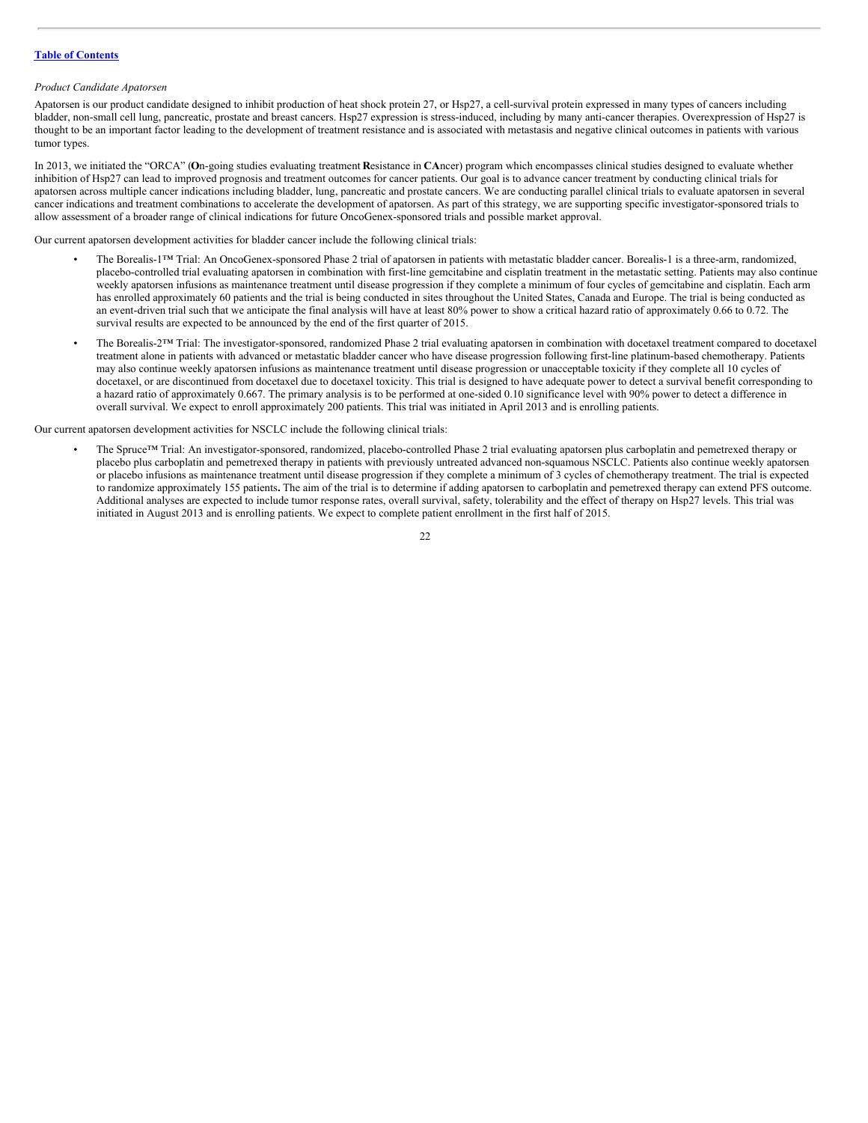#### *Product Candidate Apatorsen*

Apatorsen is our product candidate designed to inhibit production of heat shock protein 27, or Hsp27, a cell-survival protein expressed in many types of cancers including bladder, non-small cell lung, pancreatic, prostate and breast cancers. Hsp27 expression is stress-induced, including by many anti-cancer therapies. Overexpression of Hsp27 is thought to be an important factor leading to the development of treatment resistance and is associated with metastasis and negative clinical outcomes in patients with various tumor types.

In 2013, we initiated the "ORCA" (**O**n-going studies evaluating treatment **R**esistance in **CA**ncer) program which encompasses clinical studies designed to evaluate whether inhibition of Hsp27 can lead to improved prognosis and treatment outcomes for cancer patients. Our goal is to advance cancer treatment by conducting clinical trials for apatorsen across multiple cancer indications including bladder, lung, pancreatic and prostate cancers. We are conducting parallel clinical trials to evaluate apatorsen in several cancer indications and treatment combinations to accelerate the development of apatorsen. As part of this strategy, we are supporting specific investigator-sponsored trials to allow assessment of a broader range of clinical indications for future OncoGenex-sponsored trials and possible market approval.

Our current apatorsen development activities for bladder cancer include the following clinical trials:

- The Borealis-1™ Trial: An OncoGenex-sponsored Phase 2 trial of apatorsen in patients with metastatic bladder cancer. Borealis-1 is a three-arm, randomized, placebo-controlled trial evaluating apatorsen in combination with first-line gemcitabine and cisplatin treatment in the metastatic setting. Patients may also continue weekly apatorsen infusions as maintenance treatment until disease progression if they complete a minimum of four cycles of gemcitabine and cisplatin. Each arm has enrolled approximately 60 patients and the trial is being conducted in sites throughout the United States, Canada and Europe. The trial is being conducted as an event-driven trial such that we anticipate the final analysis will have at least 80% power to show a critical hazard ratio of approximately 0.66 to 0.72. The survival results are expected to be announced by the end of the first quarter of 2015.
- The Borealis-2™ Trial: The investigator-sponsored, randomized Phase 2 trial evaluating apatorsen in combination with docetaxel treatment compared to docetaxel treatment alone in patients with advanced or metastatic bladder cancer who have disease progression following first-line platinum-based chemotherapy. Patients may also continue weekly apatorsen infusions as maintenance treatment until disease progression or unacceptable toxicity if they complete all 10 cycles of docetaxel, or are discontinued from docetaxel due to docetaxel toxicity. This trial is designed to have adequate power to detect a survival benefit corresponding to a hazard ratio of approximately 0.667. The primary analysis is to be performed at one-sided 0.10 significance level with 90% power to detect a difference in overall survival. We expect to enroll approximately 200 patients. This trial was initiated in April 2013 and is enrolling patients.

Our current apatorsen development activities for NSCLC include the following clinical trials:

The Spruce™ Trial: An investigator-sponsored, randomized, placebo-controlled Phase 2 trial evaluating apatorsen plus carboplatin and pemetrexed therapy or placebo plus carboplatin and pemetrexed therapy in patients with previously untreated advanced non-squamous NSCLC. Patients also continue weekly apatorsen or placebo infusions as maintenance treatment until disease progression if they complete a minimum of 3 cycles of chemotherapy treatment. The trial is expected to randomize approximately 155 patients**.** The aim of the trial is to determine if adding apatorsen to carboplatin and pemetrexed therapy can extend PFS outcome. Additional analyses are expected to include tumor response rates, overall survival, safety, tolerability and the effect of therapy on Hsp27 levels. This trial was initiated in August 2013 and is enrolling patients. We expect to complete patient enrollment in the first half of 2015.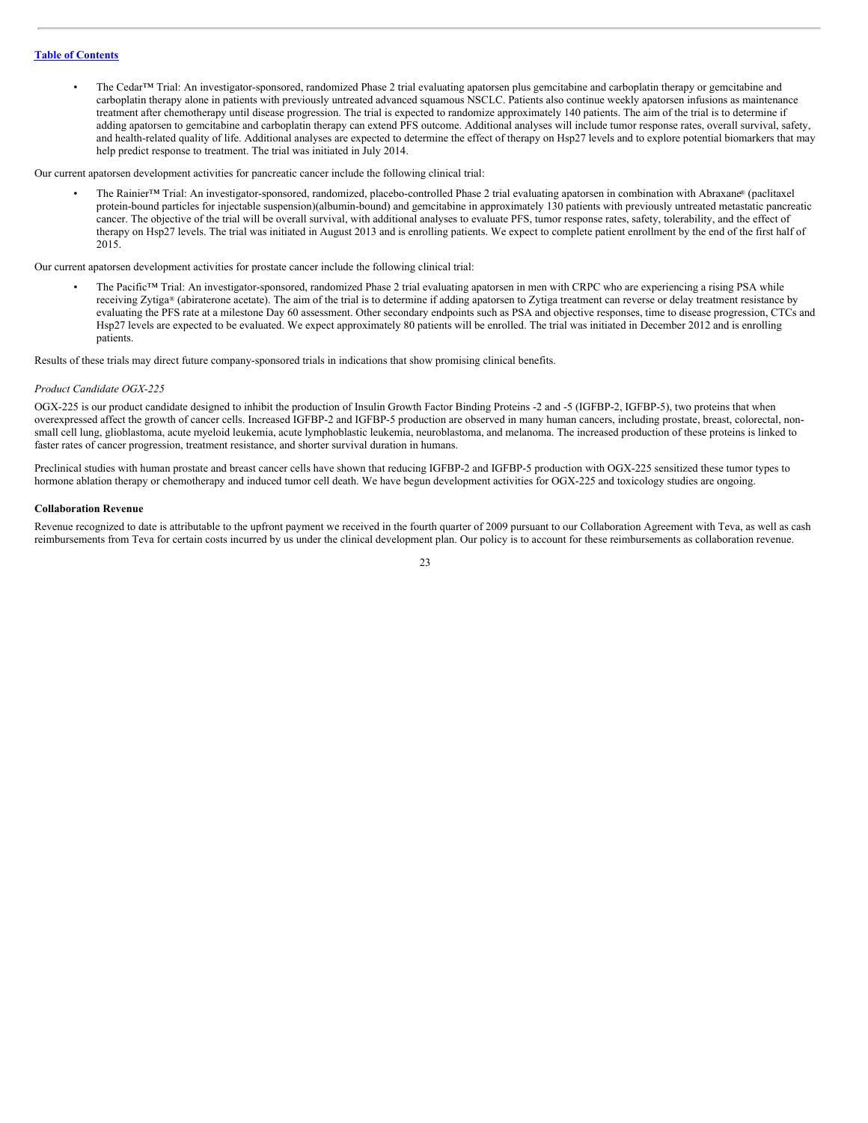• The Cedar™ Trial: An investigator-sponsored, randomized Phase 2 trial evaluating apatorsen plus gemcitabine and carboplatin therapy or gemcitabine and carboplatin therapy alone in patients with previously untreated advanced squamous NSCLC. Patients also continue weekly apatorsen infusions as maintenance treatment after chemotherapy until disease progression. The trial is expected to randomize approximately 140 patients. The aim of the trial is to determine if adding apatorsen to gemcitabine and carboplatin therapy can extend PFS outcome. Additional analyses will include tumor response rates, overall survival, safety, and health-related quality of life. Additional analyses are expected to determine the effect of therapy on Hsp27 levels and to explore potential biomarkers that may help predict response to treatment. The trial was initiated in July 2014.

Our current apatorsen development activities for pancreatic cancer include the following clinical trial:

• The Rainier™ Trial: An investigator-sponsored, randomized, placebo-controlled Phase 2 trial evaluating apatorsen in combination with Abraxane® (paclitaxel protein-bound particles for injectable suspension)(albumin-bound) and gemcitabine in approximately 130 patients with previously untreated metastatic pancreatic cancer. The objective of the trial will be overall survival, with additional analyses to evaluate PFS, tumor response rates, safety, tolerability, and the effect of therapy on Hsp27 levels. The trial was initiated in August 2013 and is enrolling patients. We expect to complete patient enrollment by the end of the first half of 2015.

Our current apatorsen development activities for prostate cancer include the following clinical trial:

The Pacific™ Trial: An investigator-sponsored, randomized Phase 2 trial evaluating apatorsen in men with CRPC who are experiencing a rising PSA while receiving Zytiga® (abiraterone acetate). The aim of the trial is to determine if adding apatorsen to Zytiga treatment can reverse or delay treatment resistance by evaluating the PFS rate at a milestone Day 60 assessment. Other secondary endpoints such as PSA and objective responses, time to disease progression, CTCs and Hsp27 levels are expected to be evaluated. We expect approximately 80 patients will be enrolled. The trial was initiated in December 2012 and is enrolling patients.

Results of these trials may direct future company-sponsored trials in indications that show promising clinical benefits.

#### *Product Candidate OGX-225*

OGX-225 is our product candidate designed to inhibit the production of Insulin Growth Factor Binding Proteins -2 and -5 (IGFBP-2, IGFBP-5), two proteins that when overexpressed affect the growth of cancer cells. Increased IGFBP-2 and IGFBP-5 production are observed in many human cancers, including prostate, breast, colorectal, nonsmall cell lung, glioblastoma, acute myeloid leukemia, acute lymphoblastic leukemia, neuroblastoma, and melanoma. The increased production of these proteins is linked to faster rates of cancer progression, treatment resistance, and shorter survival duration in humans.

Preclinical studies with human prostate and breast cancer cells have shown that reducing IGFBP-2 and IGFBP-5 production with OGX-225 sensitized these tumor types to hormone ablation therapy or chemotherapy and induced tumor cell death. We have begun development activities for OGX-225 and toxicology studies are ongoing.

#### **Collaboration Revenue**

Revenue recognized to date is attributable to the upfront payment we received in the fourth quarter of 2009 pursuant to our Collaboration Agreement with Teva, as well as cash reimbursements from Teva for certain costs incurred by us under the clinical development plan. Our policy is to account for these reimbursements as collaboration revenue.

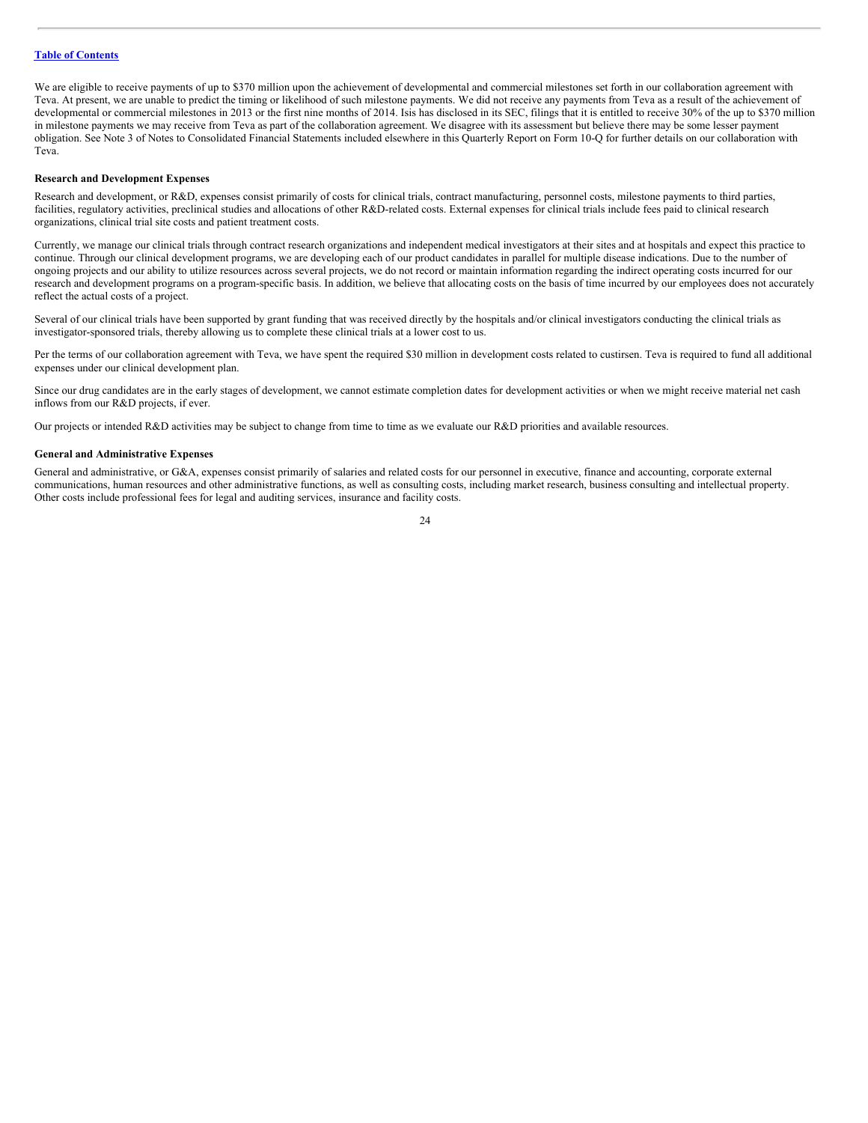We are eligible to receive payments of up to \$370 million upon the achievement of developmental and commercial milestones set forth in our collaboration agreement with Teva. At present, we are unable to predict the timing or likelihood of such milestone payments. We did not receive any payments from Teva as a result of the achievement of developmental or commercial milestones in 2013 or the first nine months of 2014. Isis has disclosed in its SEC, filings that it is entitled to receive 30% of the up to \$370 million in milestone payments we may receive from Teva as part of the collaboration agreement. We disagree with its assessment but believe there may be some lesser payment obligation. See Note 3 of Notes to Consolidated Financial Statements included elsewhere in this Quarterly Report on Form 10-Q for further details on our collaboration with Teva.

#### **Research and Development Expenses**

Research and development, or R&D, expenses consist primarily of costs for clinical trials, contract manufacturing, personnel costs, milestone payments to third parties, facilities, regulatory activities, preclinical studies and allocations of other R&D-related costs. External expenses for clinical trials include fees paid to clinical research organizations, clinical trial site costs and patient treatment costs.

Currently, we manage our clinical trials through contract research organizations and independent medical investigators at their sites and at hospitals and expect this practice to continue. Through our clinical development programs, we are developing each of our product candidates in parallel for multiple disease indications. Due to the number of ongoing projects and our ability to utilize resources across several projects, we do not record or maintain information regarding the indirect operating costs incurred for our research and development programs on a program-specific basis. In addition, we believe that allocating costs on the basis of time incurred by our employees does not accurately reflect the actual costs of a project.

Several of our clinical trials have been supported by grant funding that was received directly by the hospitals and/or clinical investigators conducting the clinical trials as investigator-sponsored trials, thereby allowing us to complete these clinical trials at a lower cost to us.

Per the terms of our collaboration agreement with Teva, we have spent the required \$30 million in development costs related to custirsen. Teva is required to fund all additional expenses under our clinical development plan.

Since our drug candidates are in the early stages of development, we cannot estimate completion dates for development activities or when we might receive material net cash inflows from our R&D projects, if ever.

Our projects or intended R&D activities may be subject to change from time to time as we evaluate our R&D priorities and available resources.

#### **General and Administrative Expenses**

General and administrative, or G&A, expenses consist primarily of salaries and related costs for our personnel in executive, finance and accounting, corporate external communications, human resources and other administrative functions, as well as consulting costs, including market research, business consulting and intellectual property. Other costs include professional fees for legal and auditing services, insurance and facility costs.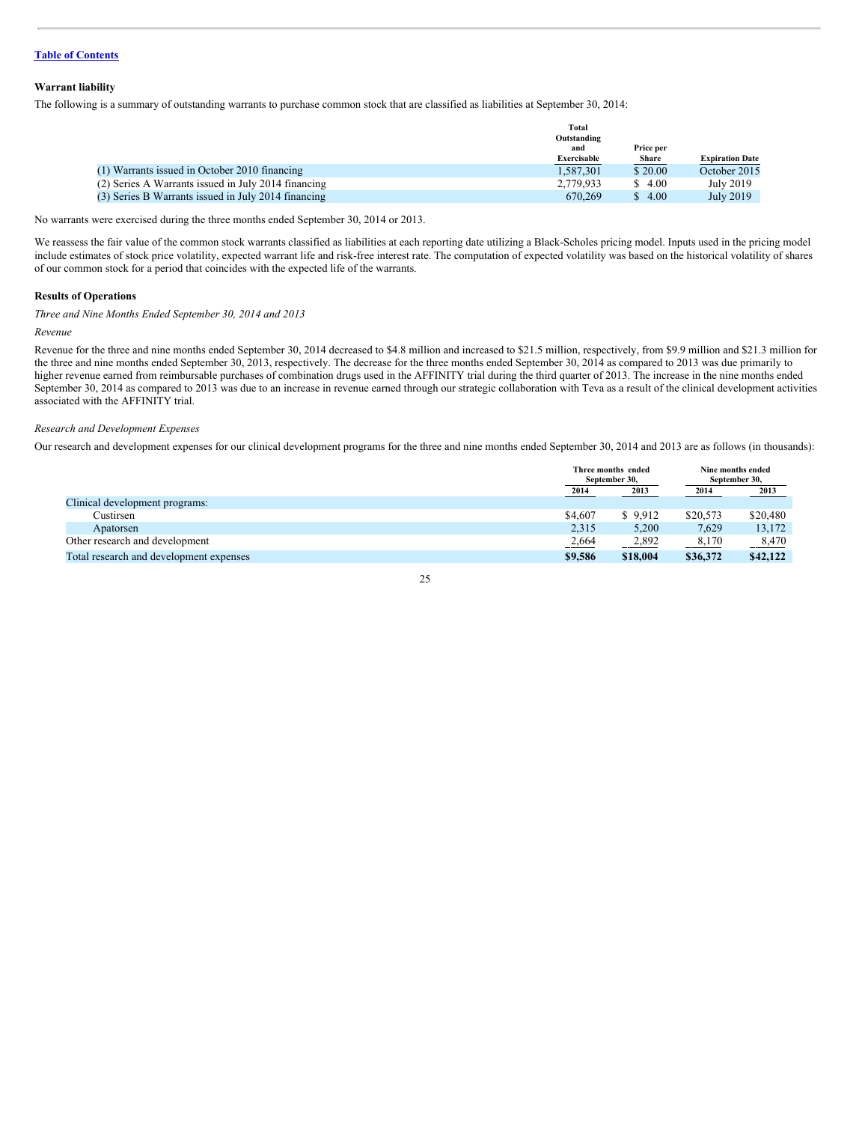#### **Warrant liability**

The following is a summary of outstanding warrants to purchase common stock that are classified as liabilities at September 30, 2014:

|                                                     | Total<br>Outstanding |                    |                        |
|-----------------------------------------------------|----------------------|--------------------|------------------------|
|                                                     | and<br>Exercisable   | Price per<br>Share | <b>Expiration Date</b> |
| (1) Warrants issued in October 2010 financing       | 1.587.301            | \$20.00            | October 2015           |
| (2) Series A Warrants issued in July 2014 financing | 2.779.933            | \$4.00             | July 2019              |
| (3) Series B Warrants issued in July 2014 financing | 670.269              | \$4.00             | July 2019              |

No warrants were exercised during the three months ended September 30, 2014 or 2013.

We reassess the fair value of the common stock warrants classified as liabilities at each reporting date utilizing a Black-Scholes pricing model. Inputs used in the pricing model include estimates of stock price volatility, expected warrant life and risk-free interest rate. The computation of expected volatility was based on the historical volatility of shares of our common stock for a period that coincides with the expected life of the warrants.

#### **Results of Operations**

*Three and Nine Months Ended September 30, 2014 and 2013*

#### *Revenue*

Revenue for the three and nine months ended September 30, 2014 decreased to \$4.8 million and increased to \$21.5 million, respectively, from \$9.9 million and \$21.3 million for the three and nine months ended September 30, 2013, respectively. The decrease for the three months ended September 30, 2014 as compared to 2013 was due primarily to higher revenue earned from reimbursable purchases of combination drugs used in the AFFINITY trial during the third quarter of 2013. The increase in the nine months ended September 30, 2014 as compared to 2013 was due to an increase in revenue earned through our strategic collaboration with Teva as a result of the clinical development activities associated with the AFFINITY trial.

# *Research and Development Expenses*

Our research and development expenses for our clinical development programs for the three and nine months ended September 30, 2014 and 2013 are as follows (in thousands):

|                                         |         | Three months ended<br>Nine months ended<br>September 30,<br>September 30, |          |          |
|-----------------------------------------|---------|---------------------------------------------------------------------------|----------|----------|
|                                         | 2014    | 2014<br>2013                                                              |          | 2013     |
| Clinical development programs:          |         |                                                                           |          |          |
| Custirsen                               | \$4,607 | \$9.912                                                                   | \$20,573 | \$20,480 |
| Apatorsen                               | 2,315   | 5.200                                                                     | 7,629    | 13,172   |
| Other research and development          | 2,664   | 2,892                                                                     | 8,170    | 8,470    |
| Total research and development expenses | \$9,586 | \$18,004                                                                  | \$36,372 | \$42,122 |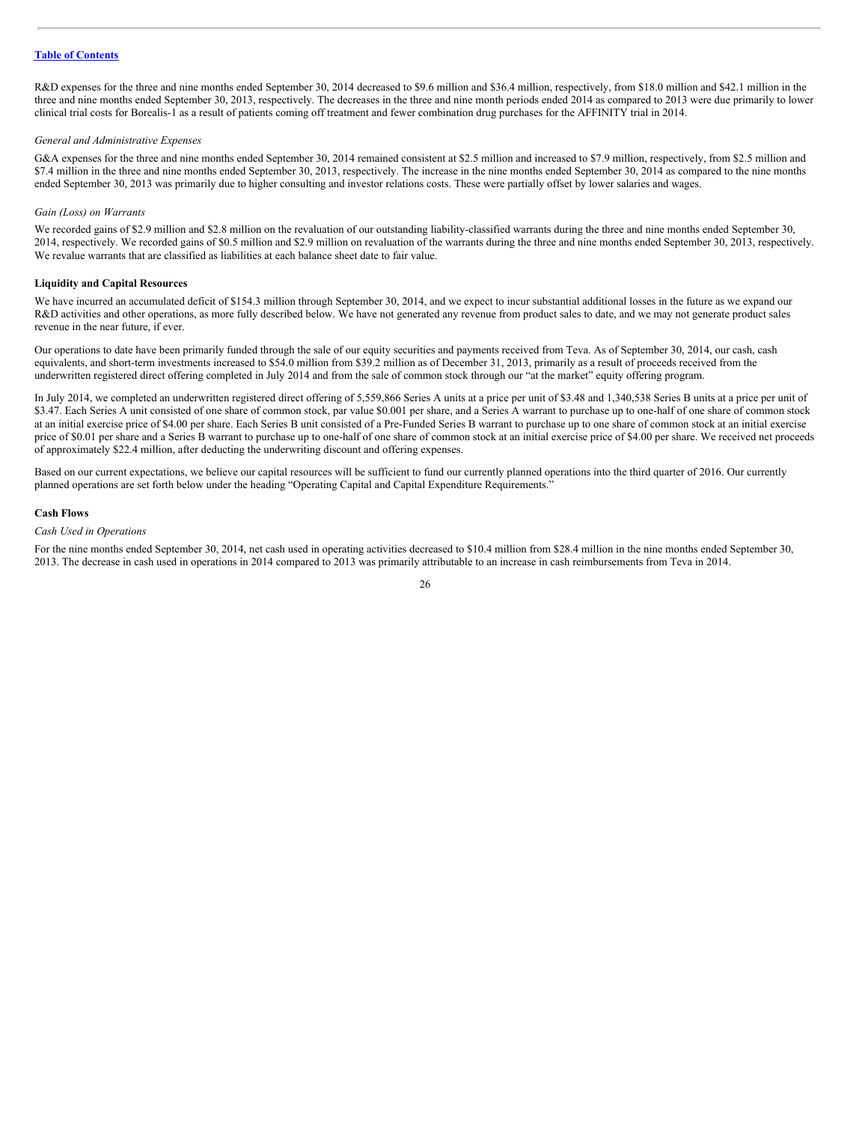R&D expenses for the three and nine months ended September 30, 2014 decreased to \$9.6 million and \$36.4 million, respectively, from \$18.0 million and \$42.1 million in the three and nine months ended September 30, 2013, respectively. The decreases in the three and nine month periods ended 2014 as compared to 2013 were due primarily to lower clinical trial costs for Borealis-1 as a result of patients coming off treatment and fewer combination drug purchases for the AFFINITY trial in 2014.

#### *General and Administrative Expenses*

G&A expenses for the three and nine months ended September 30, 2014 remained consistent at \$2.5 million and increased to \$7.9 million, respectively, from \$2.5 million and \$7.4 million in the three and nine months ended September 30, 2013, respectively. The increase in the nine months ended September 30, 2014 as compared to the nine months ended September 30, 2013 was primarily due to higher consulting and investor relations costs. These were partially offset by lower salaries and wages.

#### *Gain (Loss) on Warrants*

We recorded gains of \$2.9 million and \$2.8 million on the revaluation of our outstanding liability-classified warrants during the three and nine months ended September 30, 2014, respectively. We recorded gains of \$0.5 million and \$2.9 million on revaluation of the warrants during the three and nine months ended September 30, 2013, respectively. We revalue warrants that are classified as liabilities at each balance sheet date to fair value.

#### **Liquidity and Capital Resources**

We have incurred an accumulated deficit of \$154.3 million through September 30, 2014, and we expect to incur substantial additional losses in the future as we expand our R&D activities and other operations, as more fully described below. We have not generated any revenue from product sales to date, and we may not generate product sales revenue in the near future, if ever.

Our operations to date have been primarily funded through the sale of our equity securities and payments received from Teva. As of September 30, 2014, our cash, cash equivalents, and short-term investments increased to \$54.0 million from \$39.2 million as of December 31, 2013, primarily as a result of proceeds received from the underwritten registered direct offering completed in July 2014 and from the sale of common stock through our "at the market" equity offering program.

In July 2014, we completed an underwritten registered direct offering of 5,559,866 Series A units at a price per unit of \$3.48 and 1,340,538 Series B units at a price per unit of \$3.47. Each Series A unit consisted of one share of common stock, par value \$0.001 per share, and a Series A warrant to purchase up to one-half of one share of common stock at an initial exercise price of \$4.00 per share. Each Series B unit consisted of a Pre-Funded Series B warrant to purchase up to one share of common stock at an initial exercise price of \$0.01 per share and a Series B warrant to purchase up to one-half of one share of common stock at an initial exercise price of \$4.00 per share. We received net proceeds of approximately \$22.4 million, after deducting the underwriting discount and offering expenses.

Based on our current expectations, we believe our capital resources will be sufficient to fund our currently planned operations into the third quarter of 2016. Our currently planned operations are set forth below under the heading "Operating Capital and Capital Expenditure Requirements."

#### **Cash Flows**

#### *Cash Used in Operations*

For the nine months ended September 30, 2014, net cash used in operating activities decreased to \$10.4 million from \$28.4 million in the nine months ended September 30, 2013. The decrease in cash used in operations in 2014 compared to 2013 was primarily attributable to an increase in cash reimbursements from Teva in 2014.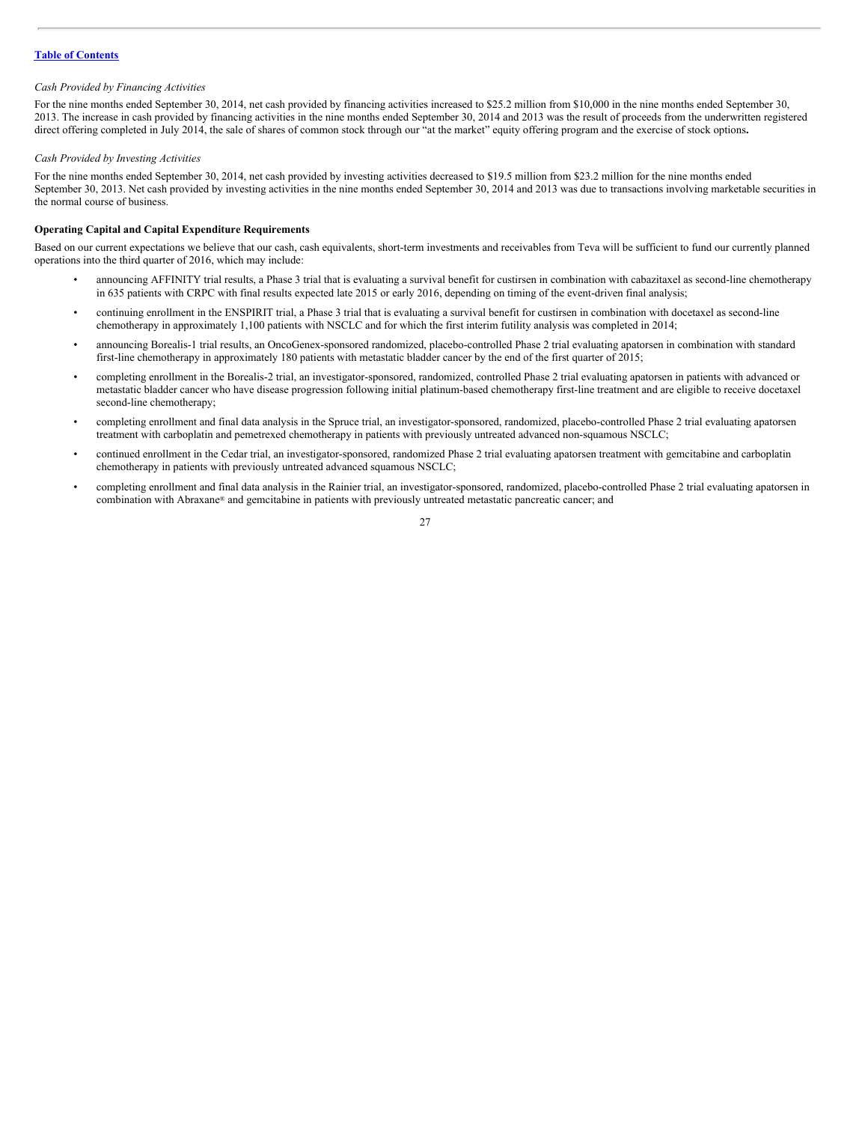#### *Cash Provided by Financing Activities*

For the nine months ended September 30, 2014, net cash provided by financing activities increased to \$25.2 million from \$10,000 in the nine months ended September 30, 2013. The increase in cash provided by financing activities in the nine months ended September 30, 2014 and 2013 was the result of proceeds from the underwritten registered direct offering completed in July 2014, the sale of shares of common stock through our "at the market" equity offering program and the exercise of stock options**.**

#### *Cash Provided by Investing Activities*

For the nine months ended September 30, 2014, net cash provided by investing activities decreased to \$19.5 million from \$23.2 million for the nine months ended September 30, 2013. Net cash provided by investing activities in the nine months ended September 30, 2014 and 2013 was due to transactions involving marketable securities in the normal course of business.

#### **Operating Capital and Capital Expenditure Requirements**

Based on our current expectations we believe that our cash, cash equivalents, short-term investments and receivables from Teva will be sufficient to fund our currently planned operations into the third quarter of 2016, which may include:

- announcing AFFINITY trial results, a Phase 3 trial that is evaluating a survival benefit for custirsen in combination with cabazitaxel as second-line chemotherapy in 635 patients with CRPC with final results expected late 2015 or early 2016, depending on timing of the event-driven final analysis;
- continuing enrollment in the ENSPIRIT trial, a Phase 3 trial that is evaluating a survival benefit for custirsen in combination with docetaxel as second-line chemotherapy in approximately 1,100 patients with NSCLC and for which the first interim futility analysis was completed in 2014;
- announcing Borealis-1 trial results, an OncoGenex-sponsored randomized, placebo-controlled Phase 2 trial evaluating apatorsen in combination with standard first-line chemotherapy in approximately 180 patients with metastatic bladder cancer by the end of the first quarter of 2015;
- completing enrollment in the Borealis-2 trial, an investigator-sponsored, randomized, controlled Phase 2 trial evaluating apatorsen in patients with advanced or metastatic bladder cancer who have disease progression following initial platinum-based chemotherapy first-line treatment and are eligible to receive docetaxel second-line chemotherapy;
- completing enrollment and final data analysis in the Spruce trial, an investigator-sponsored, randomized, placebo-controlled Phase 2 trial evaluating apatorsen treatment with carboplatin and pemetrexed chemotherapy in patients with previously untreated advanced non-squamous NSCLC;
- continued enrollment in the Cedar trial, an investigator-sponsored, randomized Phase 2 trial evaluating apatorsen treatment with gemcitabine and carboplatin chemotherapy in patients with previously untreated advanced squamous NSCLC;
- completing enrollment and final data analysis in the Rainier trial, an investigator-sponsored, randomized, placebo-controlled Phase 2 trial evaluating apatorsen in combination with Abraxane® and gemcitabine in patients with previously untreated metastatic pancreatic cancer; and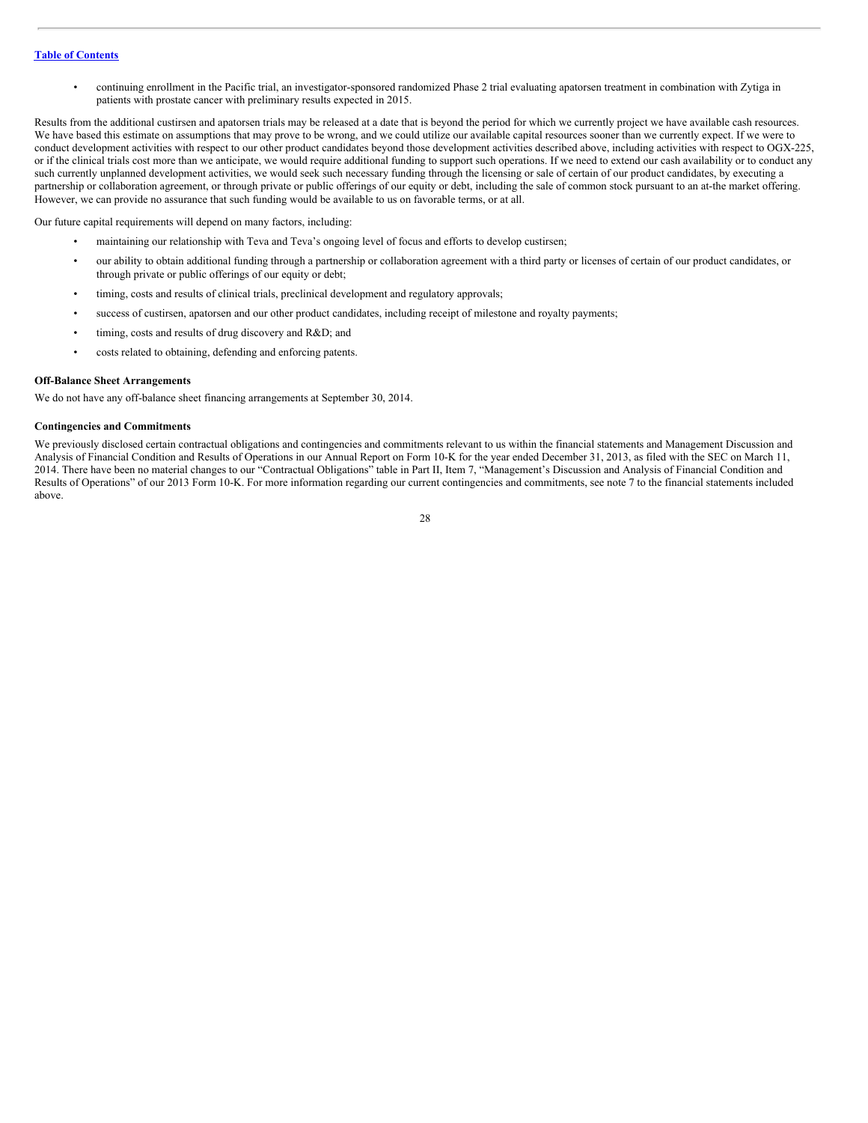• continuing enrollment in the Pacific trial, an investigator-sponsored randomized Phase 2 trial evaluating apatorsen treatment in combination with Zytiga in patients with prostate cancer with preliminary results expected in 2015.

Results from the additional custirsen and apatorsen trials may be released at a date that is beyond the period for which we currently project we have available cash resources. We have based this estimate on assumptions that may prove to be wrong, and we could utilize our available capital resources sooner than we currently expect. If we were to conduct development activities with respect to our other product candidates beyond those development activities described above, including activities with respect to OGX-225, or if the clinical trials cost more than we anticipate, we would require additional funding to support such operations. If we need to extend our cash availability or to conduct any such currently unplanned development activities, we would seek such necessary funding through the licensing or sale of certain of our product candidates, by executing a partnership or collaboration agreement, or through private or public offerings of our equity or debt, including the sale of common stock pursuant to an at-the market offering. However, we can provide no assurance that such funding would be available to us on favorable terms, or at all.

Our future capital requirements will depend on many factors, including:

- maintaining our relationship with Teva and Teva's ongoing level of focus and efforts to develop custirsen;
- our ability to obtain additional funding through a partnership or collaboration agreement with a third party or licenses of certain of our product candidates, or through private or public offerings of our equity or debt;
- timing, costs and results of clinical trials, preclinical development and regulatory approvals;
- success of custirsen, apatorsen and our other product candidates, including receipt of milestone and royalty payments;
- timing, costs and results of drug discovery and R&D; and
- costs related to obtaining, defending and enforcing patents.

#### **Off-Balance Sheet Arrangements**

We do not have any off-balance sheet financing arrangements at September 30, 2014.

#### **Contingencies and Commitments**

We previously disclosed certain contractual obligations and contingencies and commitments relevant to us within the financial statements and Management Discussion and Analysis of Financial Condition and Results of Operations in our Annual Report on Form 10-K for the year ended December 31, 2013, as filed with the SEC on March 11, 2014. There have been no material changes to our "Contractual Obligations" table in Part II, Item 7, "Management's Discussion and Analysis of Financial Condition and Results of Operations" of our 2013 Form 10-K. For more information regarding our current contingencies and commitments, see note 7 to the financial statements included above.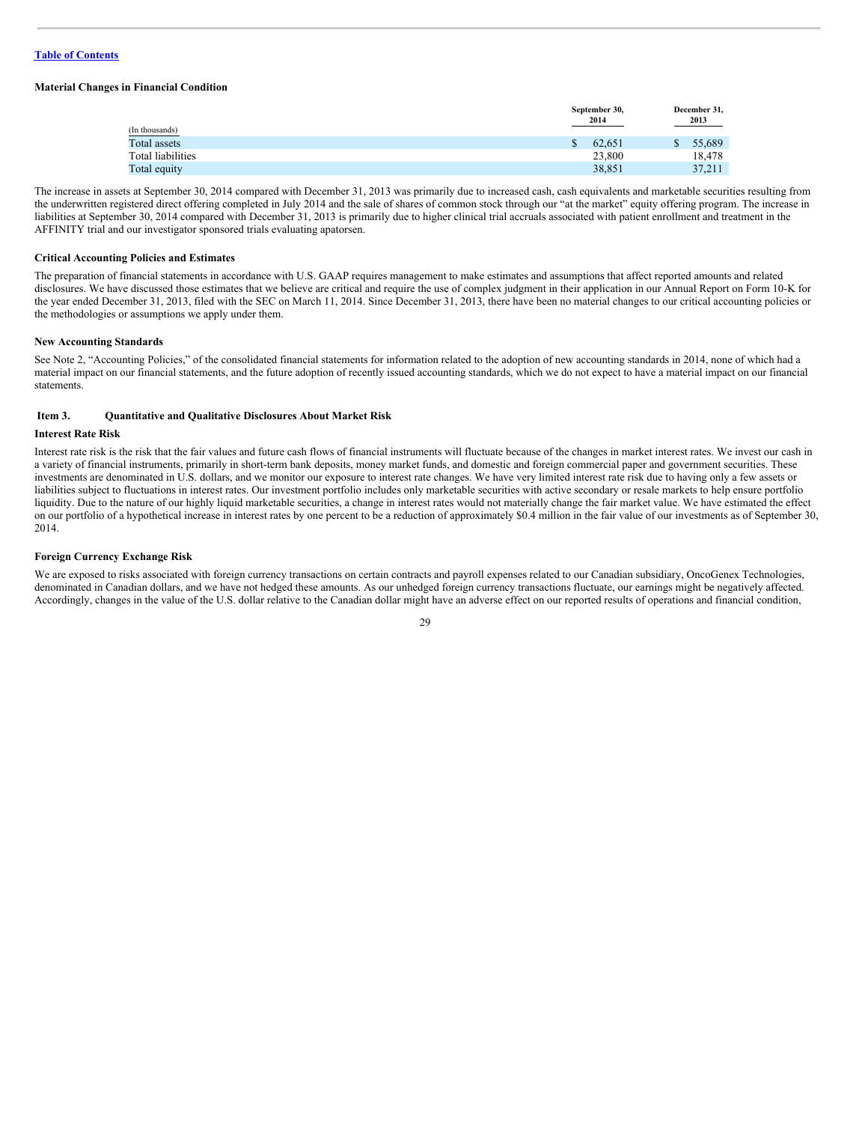### **Material Changes in Financial Condition**

|                                | September 30,<br>2014 | December 31,<br>2013 |
|--------------------------------|-----------------------|----------------------|
| (In thousands)<br>Total assets | 62.651                | 55.689               |
| Total liabilities              | 23,800                | 18.478               |
| Total equity                   | 38,851                | 37.211               |

The increase in assets at September 30, 2014 compared with December 31, 2013 was primarily due to increased cash, cash equivalents and marketable securities resulting from the underwritten registered direct offering completed in July 2014 and the sale of shares of common stock through our "at the market" equity offering program. The increase in liabilities at September 30, 2014 compared with December 31, 2013 is primarily due to higher clinical trial accruals associated with patient enrollment and treatment in the AFFINITY trial and our investigator sponsored trials evaluating apatorsen.

#### **Critical Accounting Policies and Estimates**

The preparation of financial statements in accordance with U.S. GAAP requires management to make estimates and assumptions that affect reported amounts and related disclosures. We have discussed those estimates that we believe are critical and require the use of complex judgment in their application in our Annual Report on Form 10-K for the year ended December 31, 2013, filed with the SEC on March 11, 2014. Since December 31, 2013, there have been no material changes to our critical accounting policies or the methodologies or assumptions we apply under them.

#### **New Accounting Standards**

See Note 2, "Accounting Policies," of the consolidated financial statements for information related to the adoption of new accounting standards in 2014, none of which had a material impact on our financial statements, and the future adoption of recently issued accounting standards, which we do not expect to have a material impact on our financial statements.

# <span id="page-28-0"></span>**Item 3. Quantitative and Qualitative Disclosures About Market Risk**

# **Interest Rate Risk**

Interest rate risk is the risk that the fair values and future cash flows of financial instruments will fluctuate because of the changes in market interest rates. We invest our cash in a variety of financial instruments, primarily in short-term bank deposits, money market funds, and domestic and foreign commercial paper and government securities. These investments are denominated in U.S. dollars, and we monitor our exposure to interest rate changes. We have very limited interest rate risk due to having only a few assets or liabilities subject to fluctuations in interest rates. Our investment portfolio includes only marketable securities with active secondary or resale markets to help ensure portfolio liquidity. Due to the nature of our highly liquid marketable securities, a change in interest rates would not materially change the fair market value. We have estimated the effect on our portfolio of a hypothetical increase in interest rates by one percent to be a reduction of approximately \$0.4 million in the fair value of our investments as of September 30, 2014.

#### **Foreign Currency Exchange Risk**

We are exposed to risks associated with foreign currency transactions on certain contracts and payroll expenses related to our Canadian subsidiary, OncoGenex Technologies, denominated in Canadian dollars, and we have not hedged these amounts. As our unhedged foreign currency transactions fluctuate, our earnings might be negatively affected. Accordingly, changes in the value of the U.S. dollar relative to the Canadian dollar might have an adverse effect on our reported results of operations and financial condition,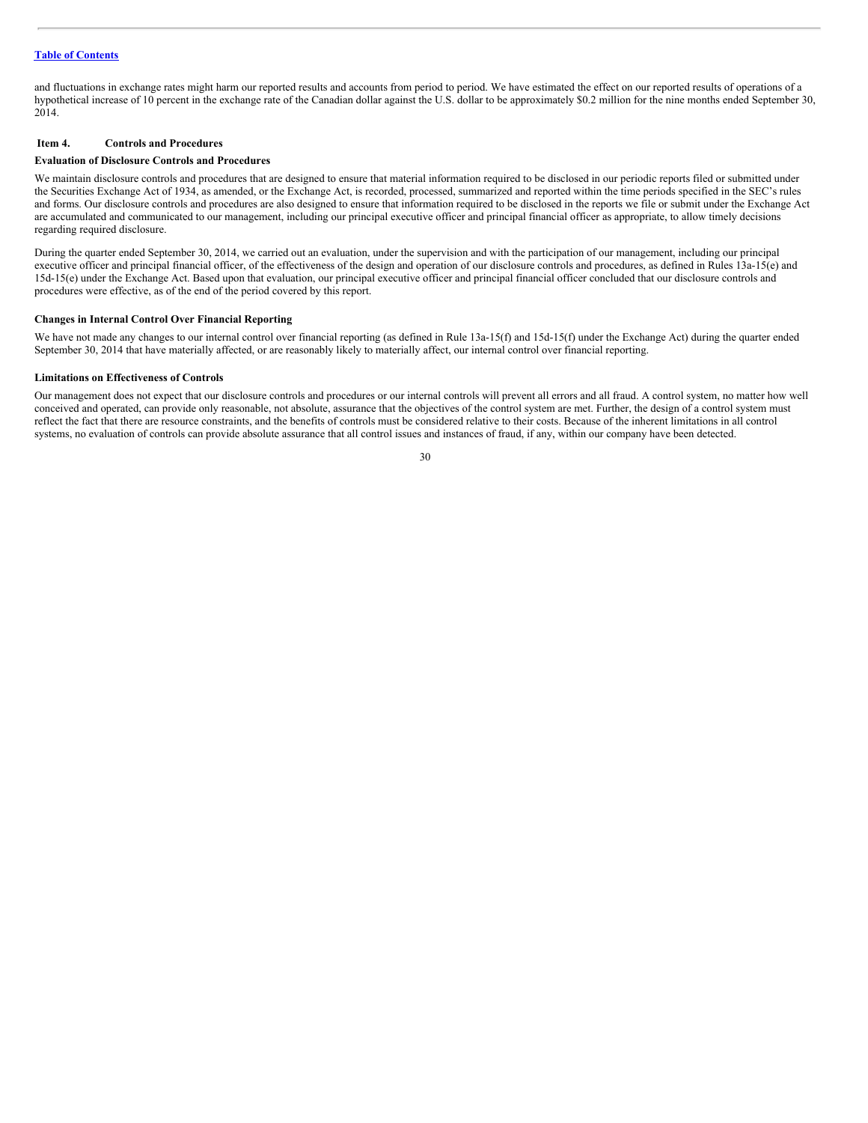and fluctuations in exchange rates might harm our reported results and accounts from period to period. We have estimated the effect on our reported results of operations of a hypothetical increase of 10 percent in the exchange rate of the Canadian dollar against the U.S. dollar to be approximately \$0.2 million for the nine months ended September 30, 2014.

# <span id="page-29-0"></span>**Item 4. Controls and Procedures**

### **Evaluation of Disclosure Controls and Procedures**

We maintain disclosure controls and procedures that are designed to ensure that material information required to be disclosed in our periodic reports filed or submitted under the Securities Exchange Act of 1934, as amended, or the Exchange Act, is recorded, processed, summarized and reported within the time periods specified in the SEC's rules and forms. Our disclosure controls and procedures are also designed to ensure that information required to be disclosed in the reports we file or submit under the Exchange Act are accumulated and communicated to our management, including our principal executive officer and principal financial officer as appropriate, to allow timely decisions regarding required disclosure.

During the quarter ended September 30, 2014, we carried out an evaluation, under the supervision and with the participation of our management, including our principal executive officer and principal financial officer, of the effectiveness of the design and operation of our disclosure controls and procedures, as defined in Rules 13a-15(e) and 15d-15(e) under the Exchange Act. Based upon that evaluation, our principal executive officer and principal financial officer concluded that our disclosure controls and procedures were effective, as of the end of the period covered by this report.

#### **Changes in Internal Control Over Financial Reporting**

We have not made any changes to our internal control over financial reporting (as defined in Rule 13a-15(f) and 15d-15(f) under the Exchange Act) during the quarter ended September 30, 2014 that have materially affected, or are reasonably likely to materially affect, our internal control over financial reporting.

#### **Limitations on Effectiveness of Controls**

Our management does not expect that our disclosure controls and procedures or our internal controls will prevent all errors and all fraud. A control system, no matter how well conceived and operated, can provide only reasonable, not absolute, assurance that the objectives of the control system are met. Further, the design of a control system must reflect the fact that there are resource constraints, and the benefits of controls must be considered relative to their costs. Because of the inherent limitations in all control systems, no evaluation of controls can provide absolute assurance that all control issues and instances of fraud, if any, within our company have been detected.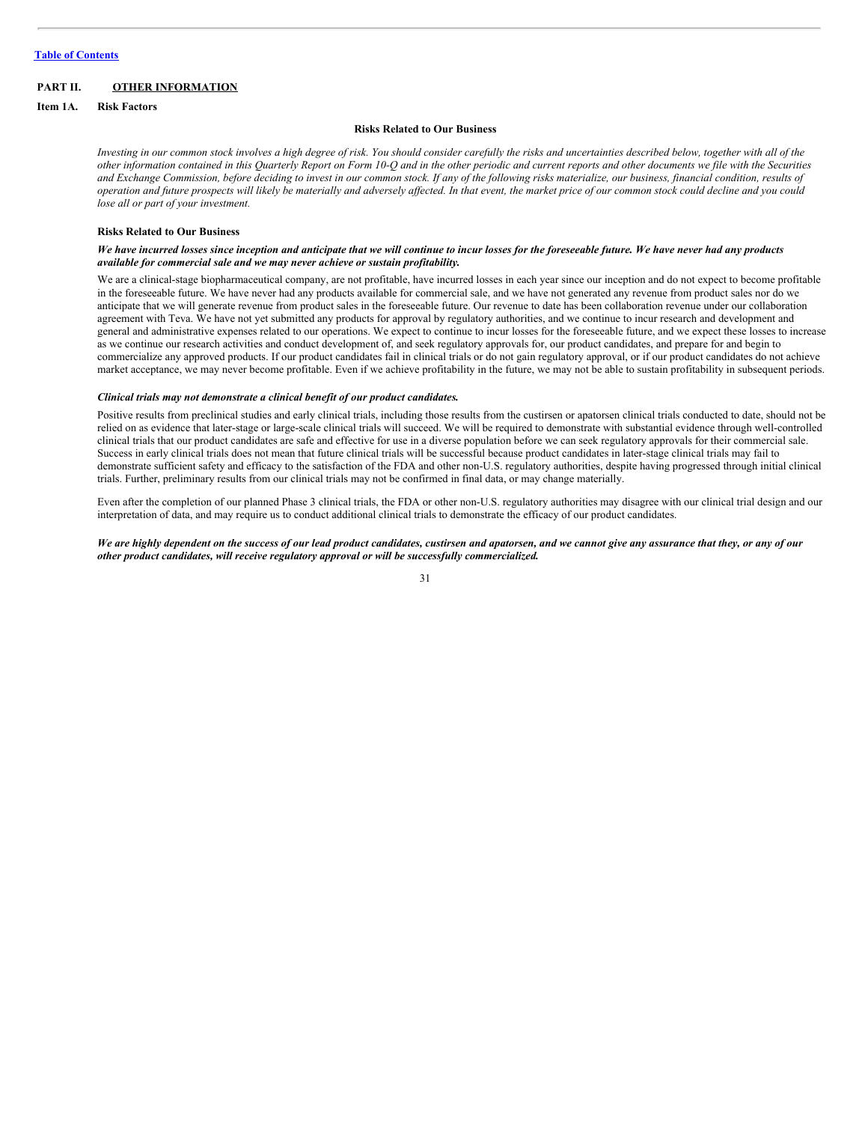# **PART II. OTHER INFORMATION**

#### <span id="page-30-0"></span>**Item 1A. Risk Factors**

#### **Risks Related to Our Business**

Investing in our common stock involves a high degree of risk. You should consider carefully the risks and uncertainties described below, together with all of the other information contained in this Quarterly Report on Form 10-Q and in the other periodic and current reports and other documents we file with the Securities and Exchange Commission, before deciding to invest in our common stock. If any of the following risks materialize, our business, financial condition, results of operation and future prospects will likely be materially and adversely affected. In that event, the market price of our common stock could decline and you could *lose all or part of your investment.*

#### **Risks Related to Our Business**

#### We have incurred losses since inception and anticipate that we will continue to incur losses for the foreseeable future. We have never had any products *available for commercial sale and we may never achieve or sustain profitability.*

We are a clinical-stage biopharmaceutical company, are not profitable, have incurred losses in each year since our inception and do not expect to become profitable in the foreseeable future. We have never had any products available for commercial sale, and we have not generated any revenue from product sales nor do we anticipate that we will generate revenue from product sales in the foreseeable future. Our revenue to date has been collaboration revenue under our collaboration agreement with Teva. We have not yet submitted any products for approval by regulatory authorities, and we continue to incur research and development and general and administrative expenses related to our operations. We expect to continue to incur losses for the foreseeable future, and we expect these losses to increase as we continue our research activities and conduct development of, and seek regulatory approvals for, our product candidates, and prepare for and begin to commercialize any approved products. If our product candidates fail in clinical trials or do not gain regulatory approval, or if our product candidates do not achieve market acceptance, we may never become profitable. Even if we achieve profitability in the future, we may not be able to sustain profitability in subsequent periods.

#### *Clinical trials may not demonstrate a clinical benefit of our product candidates.*

Positive results from preclinical studies and early clinical trials, including those results from the custirsen or apatorsen clinical trials conducted to date, should not be relied on as evidence that later-stage or large-scale clinical trials will succeed. We will be required to demonstrate with substantial evidence through well-controlled clinical trials that our product candidates are safe and effective for use in a diverse population before we can seek regulatory approvals for their commercial sale. Success in early clinical trials does not mean that future clinical trials will be successful because product candidates in later-stage clinical trials may fail to demonstrate sufficient safety and efficacy to the satisfaction of the FDA and other non-U.S. regulatory authorities, despite having progressed through initial clinical trials. Further, preliminary results from our clinical trials may not be confirmed in final data, or may change materially.

Even after the completion of our planned Phase 3 clinical trials, the FDA or other non-U.S. regulatory authorities may disagree with our clinical trial design and our interpretation of data, and may require us to conduct additional clinical trials to demonstrate the efficacy of our product candidates.

#### We are highly dependent on the success of our lead product candidates, custirsen and apatorsen, and we cannot give any assurance that they, or any of our *other product candidates, will receive regulatory approval or will be successfully commercialized.*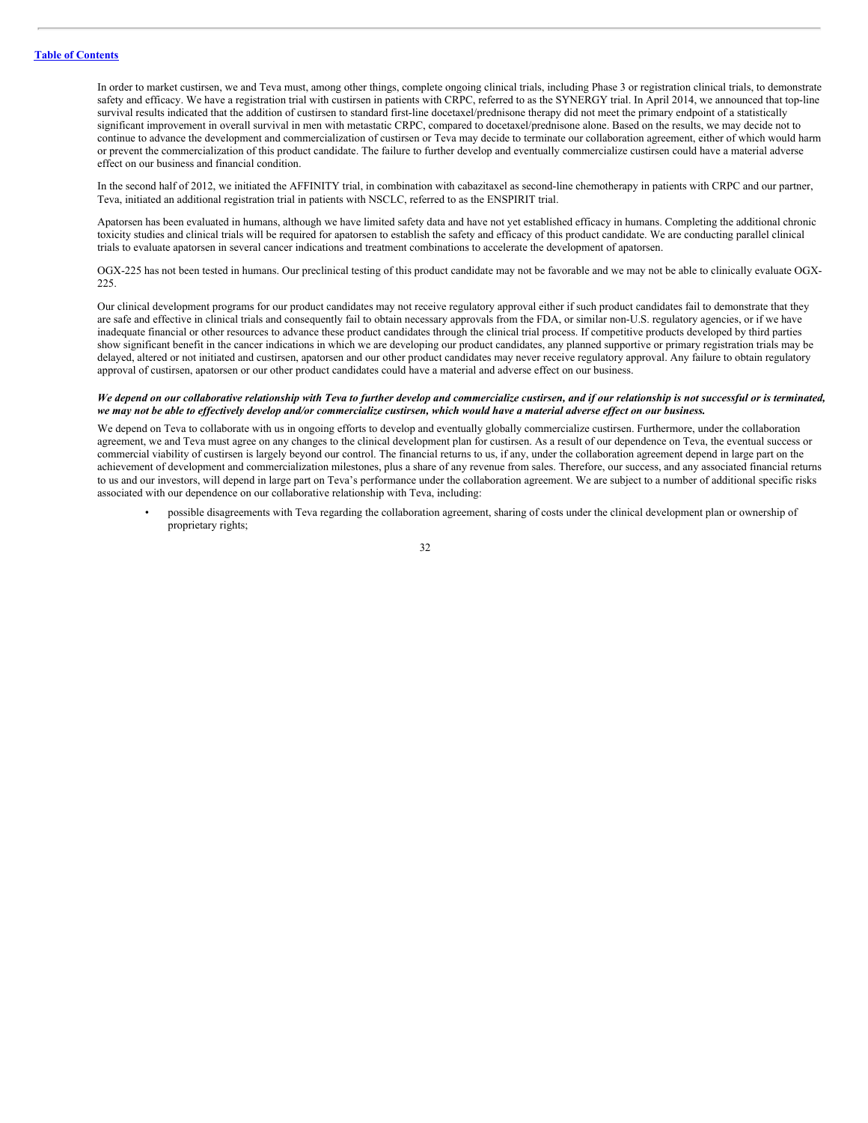In order to market custirsen, we and Teva must, among other things, complete ongoing clinical trials, including Phase 3 or registration clinical trials, to demonstrate safety and efficacy. We have a registration trial with custirsen in patients with CRPC, referred to as the SYNERGY trial. In April 2014, we announced that top-line survival results indicated that the addition of custirsen to standard first-line docetaxel/prednisone therapy did not meet the primary endpoint of a statistically significant improvement in overall survival in men with metastatic CRPC, compared to docetaxel/prednisone alone. Based on the results, we may decide not to continue to advance the development and commercialization of custirsen or Teva may decide to terminate our collaboration agreement, either of which would harm or prevent the commercialization of this product candidate. The failure to further develop and eventually commercialize custirsen could have a material adverse effect on our business and financial condition.

In the second half of 2012, we initiated the AFFINITY trial, in combination with cabazitaxel as second-line chemotherapy in patients with CRPC and our partner, Teva, initiated an additional registration trial in patients with NSCLC, referred to as the ENSPIRIT trial.

Apatorsen has been evaluated in humans, although we have limited safety data and have not yet established efficacy in humans. Completing the additional chronic toxicity studies and clinical trials will be required for apatorsen to establish the safety and efficacy of this product candidate. We are conducting parallel clinical trials to evaluate apatorsen in several cancer indications and treatment combinations to accelerate the development of apatorsen.

OGX-225 has not been tested in humans. Our preclinical testing of this product candidate may not be favorable and we may not be able to clinically evaluate OGX-225.

Our clinical development programs for our product candidates may not receive regulatory approval either if such product candidates fail to demonstrate that they are safe and effective in clinical trials and consequently fail to obtain necessary approvals from the FDA, or similar non-U.S. regulatory agencies, or if we have inadequate financial or other resources to advance these product candidates through the clinical trial process. If competitive products developed by third parties show significant benefit in the cancer indications in which we are developing our product candidates, any planned supportive or primary registration trials may be delayed, altered or not initiated and custirsen, apatorsen and our other product candidates may never receive regulatory approval. Any failure to obtain regulatory approval of custirsen, apatorsen or our other product candidates could have a material and adverse effect on our business.

#### We depend on our collaborative relationship with Teva to further develop and commercialize custirsen, and if our relationship is not successful or is terminated, we may not be able to effectively develop and/or commercialize custirsen, which would have a material adverse effect on our business.

We depend on Teva to collaborate with us in ongoing efforts to develop and eventually globally commercialize custirsen. Furthermore, under the collaboration agreement, we and Teva must agree on any changes to the clinical development plan for custirsen. As a result of our dependence on Teva, the eventual success or commercial viability of custirsen is largely beyond our control. The financial returns to us, if any, under the collaboration agreement depend in large part on the achievement of development and commercialization milestones, plus a share of any revenue from sales. Therefore, our success, and any associated financial returns to us and our investors, will depend in large part on Teva's performance under the collaboration agreement. We are subject to a number of additional specific risks associated with our dependence on our collaborative relationship with Teva, including:

• possible disagreements with Teva regarding the collaboration agreement, sharing of costs under the clinical development plan or ownership of proprietary rights;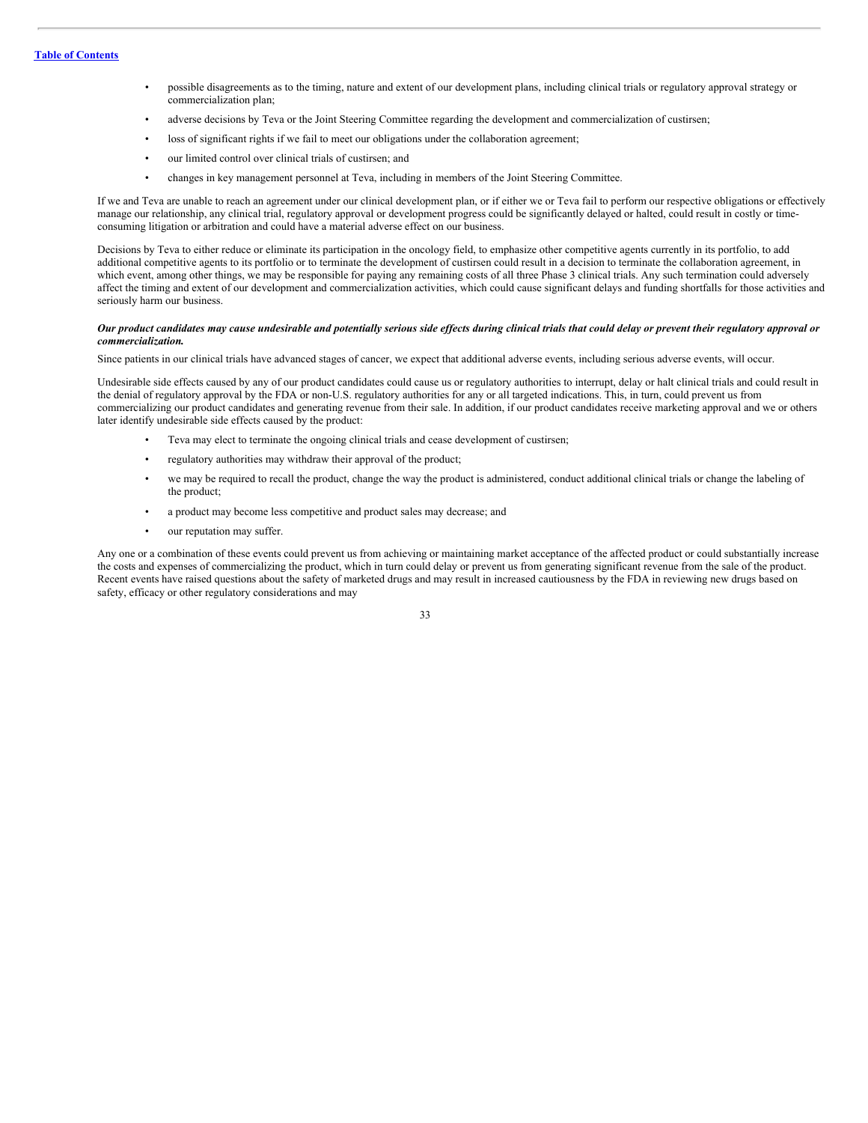- possible disagreements as to the timing, nature and extent of our development plans, including clinical trials or regulatory approval strategy or commercialization plan;
- adverse decisions by Teva or the Joint Steering Committee regarding the development and commercialization of custirsen;
- loss of significant rights if we fail to meet our obligations under the collaboration agreement;
- our limited control over clinical trials of custirsen; and
- changes in key management personnel at Teva, including in members of the Joint Steering Committee.

If we and Teva are unable to reach an agreement under our clinical development plan, or if either we or Teva fail to perform our respective obligations or effectively manage our relationship, any clinical trial, regulatory approval or development progress could be significantly delayed or halted, could result in costly or timeconsuming litigation or arbitration and could have a material adverse effect on our business.

Decisions by Teva to either reduce or eliminate its participation in the oncology field, to emphasize other competitive agents currently in its portfolio, to add additional competitive agents to its portfolio or to terminate the development of custirsen could result in a decision to terminate the collaboration agreement, in which event, among other things, we may be responsible for paying any remaining costs of all three Phase 3 clinical trials. Any such termination could adversely affect the timing and extent of our development and commercialization activities, which could cause significant delays and funding shortfalls for those activities and seriously harm our business.

#### Our product candidates may cause undesirable and potentially serious side effects during clinical trials that could delay or prevent their regulatory approval or *commercialization.*

Since patients in our clinical trials have advanced stages of cancer, we expect that additional adverse events, including serious adverse events, will occur.

Undesirable side effects caused by any of our product candidates could cause us or regulatory authorities to interrupt, delay or halt clinical trials and could result in the denial of regulatory approval by the FDA or non-U.S. regulatory authorities for any or all targeted indications. This, in turn, could prevent us from commercializing our product candidates and generating revenue from their sale. In addition, if our product candidates receive marketing approval and we or others later identify undesirable side effects caused by the product:

- Teva may elect to terminate the ongoing clinical trials and cease development of custirsen;
- regulatory authorities may withdraw their approval of the product;
- we may be required to recall the product, change the way the product is administered, conduct additional clinical trials or change the labeling of the product;
- a product may become less competitive and product sales may decrease; and
- our reputation may suffer.

Any one or a combination of these events could prevent us from achieving or maintaining market acceptance of the affected product or could substantially increase the costs and expenses of commercializing the product, which in turn could delay or prevent us from generating significant revenue from the sale of the product. Recent events have raised questions about the safety of marketed drugs and may result in increased cautiousness by the FDA in reviewing new drugs based on safety, efficacy or other regulatory considerations and may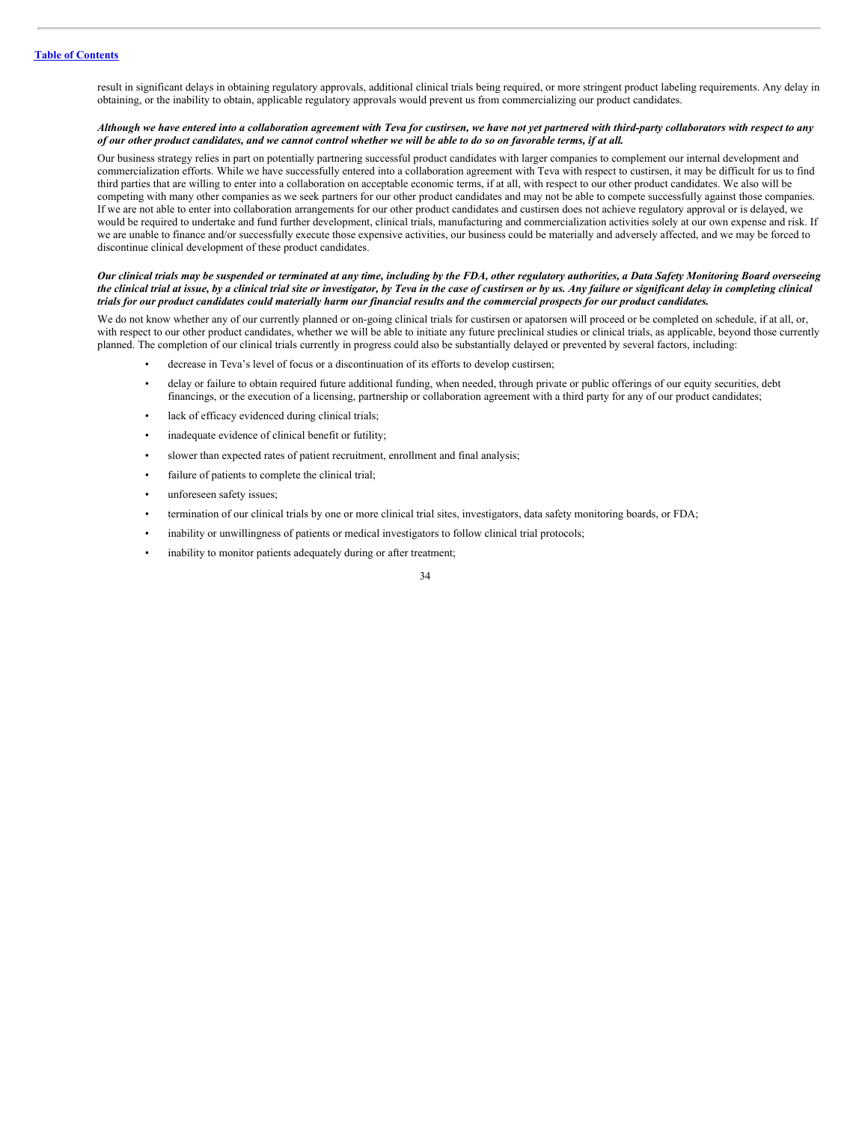result in significant delays in obtaining regulatory approvals, additional clinical trials being required, or more stringent product labeling requirements. Any delay in obtaining, or the inability to obtain, applicable regulatory approvals would prevent us from commercializing our product candidates.

#### Although we have entered into a collaboration agreement with Teva for custirsen, we have not yet partnered with third-party collaborators with respect to any of our other product candidates, and we cannot control whether we will be able to do so on favorable terms, if at all.

Our business strategy relies in part on potentially partnering successful product candidates with larger companies to complement our internal development and commercialization efforts. While we have successfully entered into a collaboration agreement with Teva with respect to custirsen, it may be difficult for us to find third parties that are willing to enter into a collaboration on acceptable economic terms, if at all, with respect to our other product candidates. We also will be competing with many other companies as we seek partners for our other product candidates and may not be able to compete successfully against those companies. If we are not able to enter into collaboration arrangements for our other product candidates and custirsen does not achieve regulatory approval or is delayed, we would be required to undertake and fund further development, clinical trials, manufacturing and commercialization activities solely at our own expense and risk. If we are unable to finance and/or successfully execute those expensive activities, our business could be materially and adversely affected, and we may be forced to discontinue clinical development of these product candidates.

#### Our clinical trials may be suspended or terminated at any time, including by the FDA, other regulatory authorities, a Data Safety Monitoring Board overseeing the clinical trial at issue, by a clinical trial site or investigator, by Teva in the case of custirsen or by us. Any failure or significant delay in completing clinical trials for our product candidates could materially harm our financial results and the commercial prospects for our product candidates.

We do not know whether any of our currently planned or on-going clinical trials for custirsen or apatorsen will proceed or be completed on schedule, if at all, or, with respect to our other product candidates, whether we will be able to initiate any future preclinical studies or clinical trials, as applicable, beyond those currently planned. The completion of our clinical trials currently in progress could also be substantially delayed or prevented by several factors, including:

- decrease in Teva's level of focus or a discontinuation of its efforts to develop custirsen;
- delay or failure to obtain required future additional funding, when needed, through private or public offerings of our equity securities, debt financings, or the execution of a licensing, partnership or collaboration agreement with a third party for any of our product candidates;
- lack of efficacy evidenced during clinical trials;
- inadequate evidence of clinical benefit or futility;
- slower than expected rates of patient recruitment, enrollment and final analysis;
- failure of patients to complete the clinical trial;
- unforeseen safety issues;
- termination of our clinical trials by one or more clinical trial sites, investigators, data safety monitoring boards, or FDA;
- inability or unwillingness of patients or medical investigators to follow clinical trial protocols;
- inability to monitor patients adequately during or after treatment;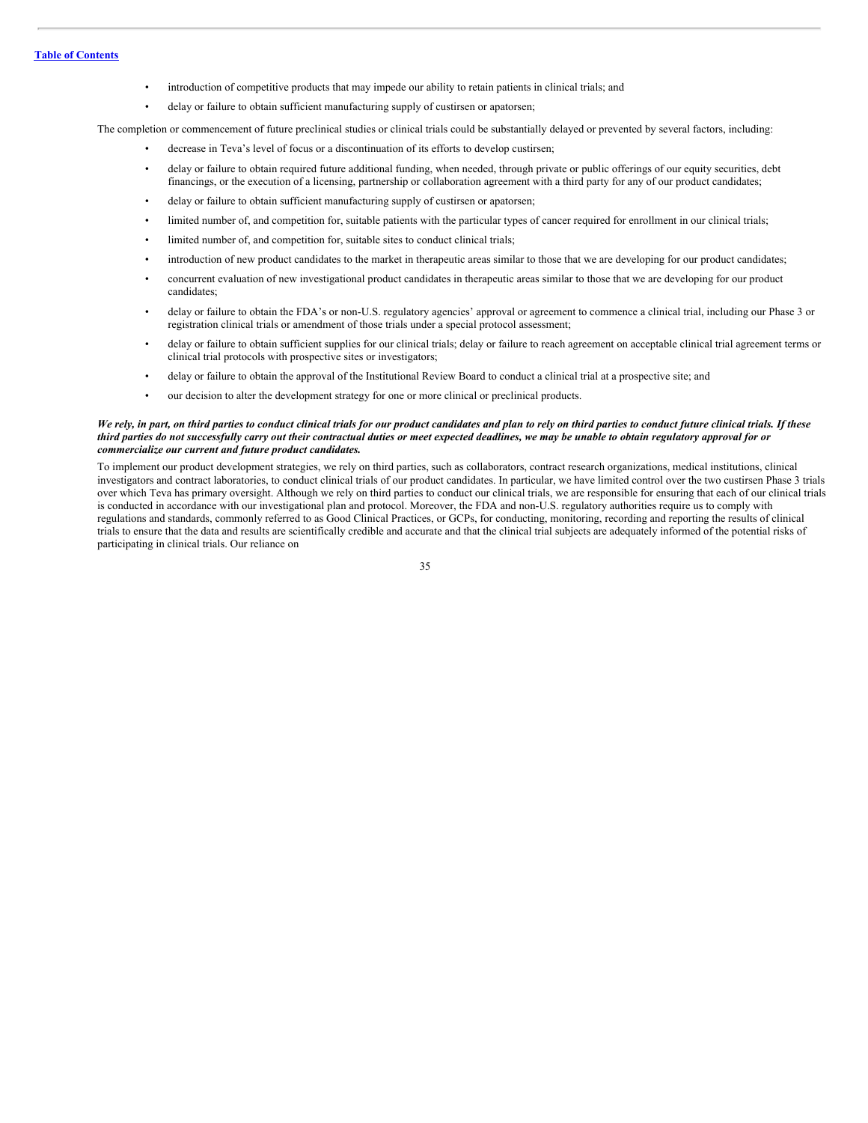- introduction of competitive products that may impede our ability to retain patients in clinical trials; and
- delay or failure to obtain sufficient manufacturing supply of custirsen or apatorsen;

The completion or commencement of future preclinical studies or clinical trials could be substantially delayed or prevented by several factors, including:

- decrease in Teva's level of focus or a discontinuation of its efforts to develop custirsen;
- delay or failure to obtain required future additional funding, when needed, through private or public offerings of our equity securities, debt financings, or the execution of a licensing, partnership or collaboration agreement with a third party for any of our product candidates;
- delay or failure to obtain sufficient manufacturing supply of custirsen or apatorsen;
- limited number of, and competition for, suitable patients with the particular types of cancer required for enrollment in our clinical trials;
- limited number of, and competition for, suitable sites to conduct clinical trials;
- introduction of new product candidates to the market in therapeutic areas similar to those that we are developing for our product candidates;
- concurrent evaluation of new investigational product candidates in therapeutic areas similar to those that we are developing for our product candidates;
- delay or failure to obtain the FDA's or non-U.S. regulatory agencies' approval or agreement to commence a clinical trial, including our Phase 3 or registration clinical trials or amendment of those trials under a special protocol assessment;
- delay or failure to obtain sufficient supplies for our clinical trials; delay or failure to reach agreement on acceptable clinical trial agreement terms or clinical trial protocols with prospective sites or investigators;
- delay or failure to obtain the approval of the Institutional Review Board to conduct a clinical trial at a prospective site; and
- our decision to alter the development strategy for one or more clinical or preclinical products.

#### We rely, in part, on third parties to conduct clinical trials for our product candidates and plan to rely on third parties to conduct future clinical trials. If these third parties do not successfully carry out their contractual duties or meet expected deadlines, we may be unable to obtain regulatory approval for or *commercialize our current and future product candidates.*

To implement our product development strategies, we rely on third parties, such as collaborators, contract research organizations, medical institutions, clinical investigators and contract laboratories, to conduct clinical trials of our product candidates. In particular, we have limited control over the two custirsen Phase 3 trials over which Teva has primary oversight. Although we rely on third parties to conduct our clinical trials, we are responsible for ensuring that each of our clinical trials is conducted in accordance with our investigational plan and protocol. Moreover, the FDA and non-U.S. regulatory authorities require us to comply with regulations and standards, commonly referred to as Good Clinical Practices, or GCPs, for conducting, monitoring, recording and reporting the results of clinical trials to ensure that the data and results are scientifically credible and accurate and that the clinical trial subjects are adequately informed of the potential risks of participating in clinical trials. Our reliance on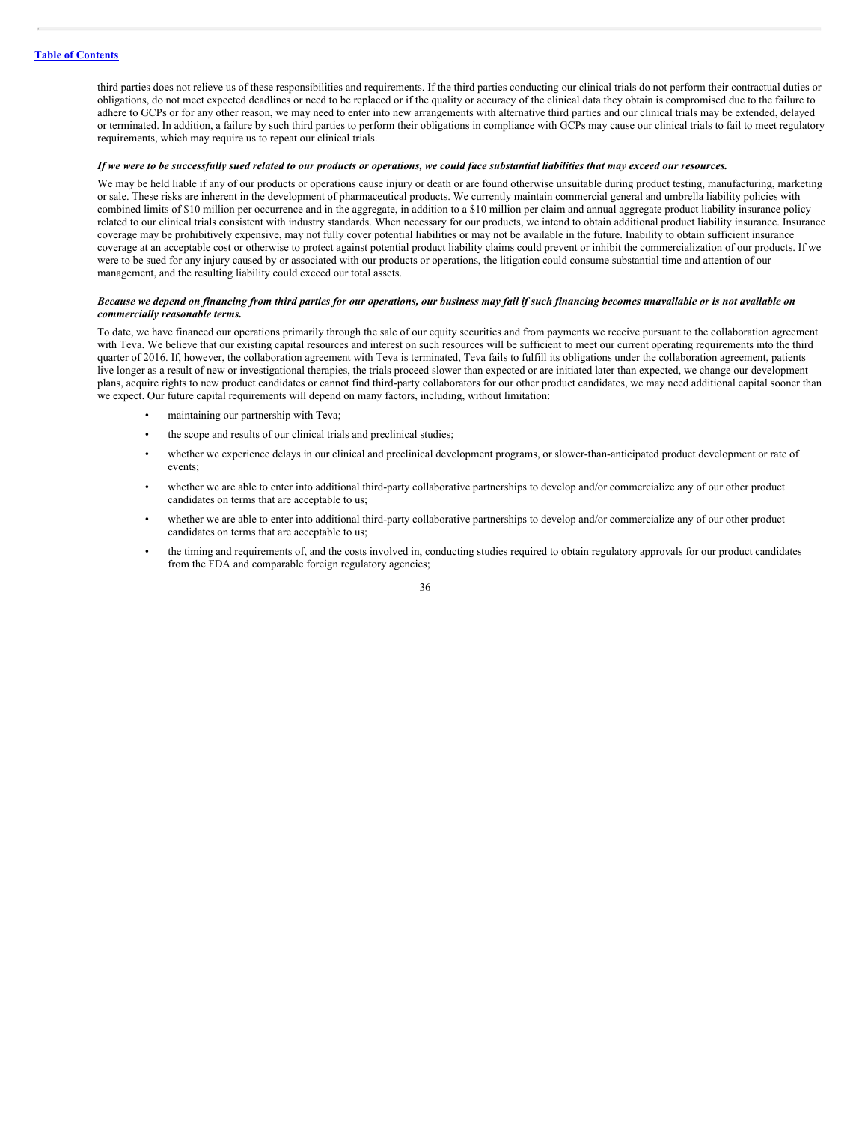third parties does not relieve us of these responsibilities and requirements. If the third parties conducting our clinical trials do not perform their contractual duties or obligations, do not meet expected deadlines or need to be replaced or if the quality or accuracy of the clinical data they obtain is compromised due to the failure to adhere to GCPs or for any other reason, we may need to enter into new arrangements with alternative third parties and our clinical trials may be extended, delayed or terminated. In addition, a failure by such third parties to perform their obligations in compliance with GCPs may cause our clinical trials to fail to meet regulatory requirements, which may require us to repeat our clinical trials.

#### If we were to be successfully sued related to our products or operations, we could face substantial liabilities that may exceed our resources.

We may be held liable if any of our products or operations cause injury or death or are found otherwise unsuitable during product testing, manufacturing, marketing or sale. These risks are inherent in the development of pharmaceutical products. We currently maintain commercial general and umbrella liability policies with combined limits of \$10 million per occurrence and in the aggregate, in addition to a \$10 million per claim and annual aggregate product liability insurance policy related to our clinical trials consistent with industry standards. When necessary for our products, we intend to obtain additional product liability insurance. Insurance coverage may be prohibitively expensive, may not fully cover potential liabilities or may not be available in the future. Inability to obtain sufficient insurance coverage at an acceptable cost or otherwise to protect against potential product liability claims could prevent or inhibit the commercialization of our products. If we were to be sued for any injury caused by or associated with our products or operations, the litigation could consume substantial time and attention of our management, and the resulting liability could exceed our total assets.

#### Because we depend on financing from third parties for our operations, our business may fail if such financing becomes unavailable or is not available on *commercially reasonable terms.*

To date, we have financed our operations primarily through the sale of our equity securities and from payments we receive pursuant to the collaboration agreement with Teva. We believe that our existing capital resources and interest on such resources will be sufficient to meet our current operating requirements into the third quarter of 2016. If, however, the collaboration agreement with Teva is terminated, Teva fails to fulfill its obligations under the collaboration agreement, patients live longer as a result of new or investigational therapies, the trials proceed slower than expected or are initiated later than expected, we change our development plans, acquire rights to new product candidates or cannot find third-party collaborators for our other product candidates, we may need additional capital sooner than we expect. Our future capital requirements will depend on many factors, including, without limitation:

- maintaining our partnership with Teva;
- the scope and results of our clinical trials and preclinical studies;
- whether we experience delays in our clinical and preclinical development programs, or slower-than-anticipated product development or rate of events;
- whether we are able to enter into additional third-party collaborative partnerships to develop and/or commercialize any of our other product candidates on terms that are acceptable to us;
- whether we are able to enter into additional third-party collaborative partnerships to develop and/or commercialize any of our other product candidates on terms that are acceptable to us;
- the timing and requirements of, and the costs involved in, conducting studies required to obtain regulatory approvals for our product candidates from the FDA and comparable foreign regulatory agencies;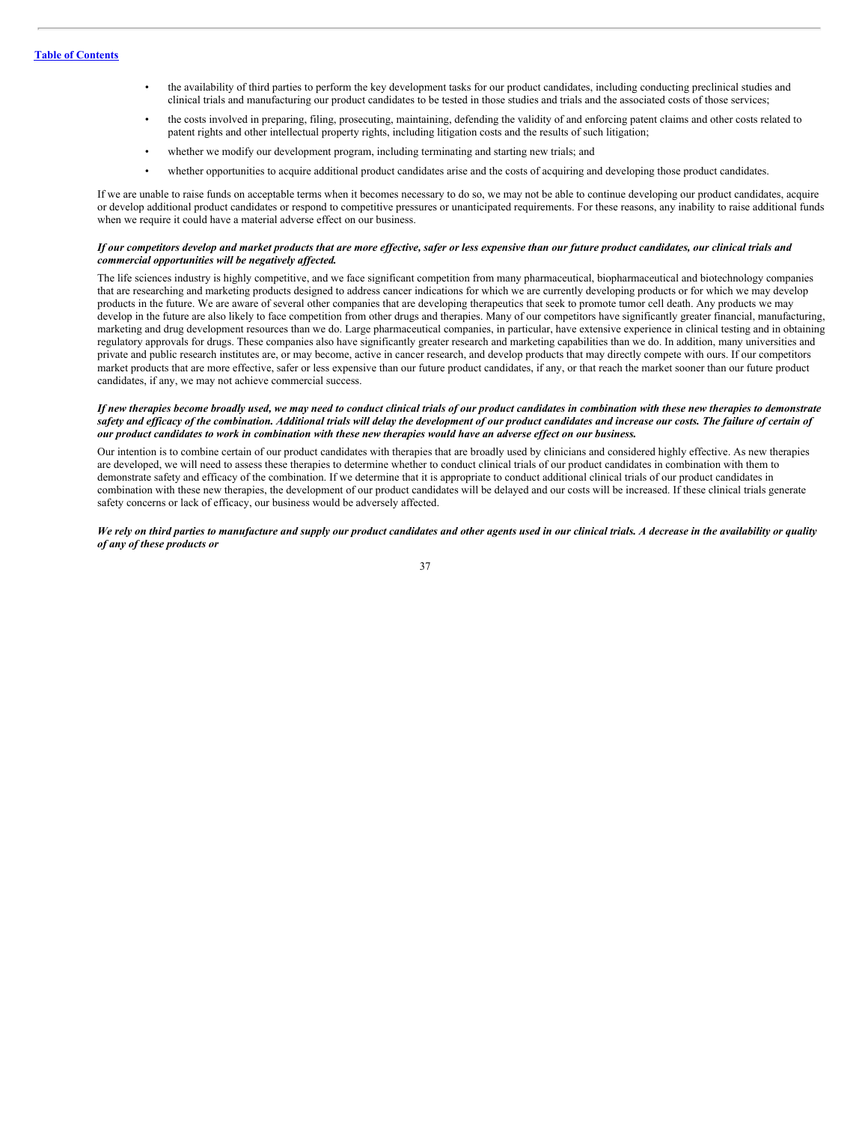- the availability of third parties to perform the key development tasks for our product candidates, including conducting preclinical studies and clinical trials and manufacturing our product candidates to be tested in those studies and trials and the associated costs of those services;
- the costs involved in preparing, filing, prosecuting, maintaining, defending the validity of and enforcing patent claims and other costs related to patent rights and other intellectual property rights, including litigation costs and the results of such litigation;
- whether we modify our development program, including terminating and starting new trials; and
- whether opportunities to acquire additional product candidates arise and the costs of acquiring and developing those product candidates.

If we are unable to raise funds on acceptable terms when it becomes necessary to do so, we may not be able to continue developing our product candidates, acquire or develop additional product candidates or respond to competitive pressures or unanticipated requirements. For these reasons, any inability to raise additional funds when we require it could have a material adverse effect on our business.

#### If our competitors develop and market products that are more effective, safer or less expensive than our future product candidates, our clinical trials and *commercial opportunities will be negatively af ected.*

The life sciences industry is highly competitive, and we face significant competition from many pharmaceutical, biopharmaceutical and biotechnology companies that are researching and marketing products designed to address cancer indications for which we are currently developing products or for which we may develop products in the future. We are aware of several other companies that are developing therapeutics that seek to promote tumor cell death. Any products we may develop in the future are also likely to face competition from other drugs and therapies. Many of our competitors have significantly greater financial, manufacturing, marketing and drug development resources than we do. Large pharmaceutical companies, in particular, have extensive experience in clinical testing and in obtaining regulatory approvals for drugs. These companies also have significantly greater research and marketing capabilities than we do. In addition, many universities and private and public research institutes are, or may become, active in cancer research, and develop products that may directly compete with ours. If our competitors market products that are more effective, safer or less expensive than our future product candidates, if any, or that reach the market sooner than our future product candidates, if any, we may not achieve commercial success.

#### If new therapies become broadly used, we may need to conduct clinical trials of our product candidates in combination with these new therapies to demonstrate safety and efficacy of the combination. Additional trials will delay the development of our product candidates and increase our costs. The failure of certain of our product candidates to work in combination with these new therapies would have an adverse effect on our business.

Our intention is to combine certain of our product candidates with therapies that are broadly used by clinicians and considered highly effective. As new therapies are developed, we will need to assess these therapies to determine whether to conduct clinical trials of our product candidates in combination with them to demonstrate safety and efficacy of the combination. If we determine that it is appropriate to conduct additional clinical trials of our product candidates in combination with these new therapies, the development of our product candidates will be delayed and our costs will be increased. If these clinical trials generate safety concerns or lack of efficacy, our business would be adversely affected.

#### We rely on third parties to manufacture and supply our product candidates and other agents used in our clinical trials. A decrease in the availability or quality *of any of these products or*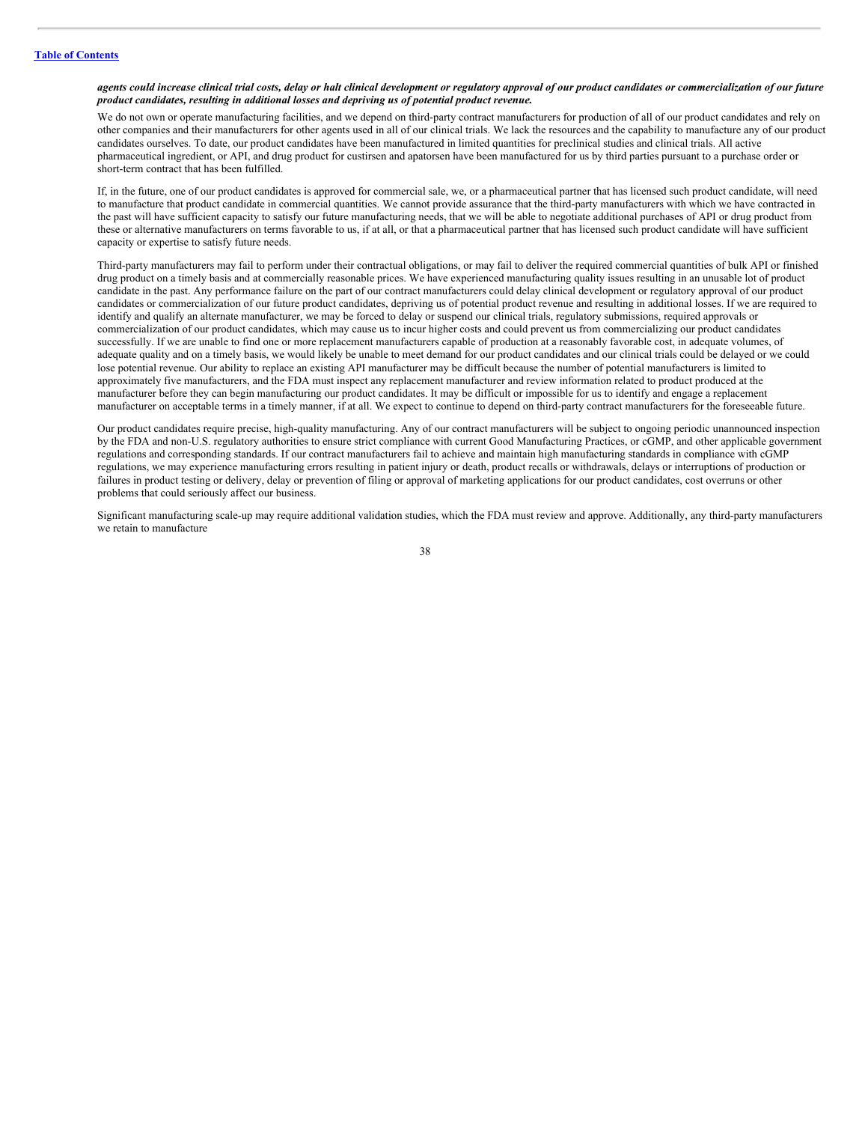# agents could increase clinical trial costs, delay or halt clinical development or regulatory approval of our product candidates or commercialization of our future *product candidates, resulting in additional losses and depriving us of potential product revenue.*

We do not own or operate manufacturing facilities, and we depend on third-party contract manufacturers for production of all of our product candidates and rely on other companies and their manufacturers for other agents used in all of our clinical trials. We lack the resources and the capability to manufacture any of our product candidates ourselves. To date, our product candidates have been manufactured in limited quantities for preclinical studies and clinical trials. All active pharmaceutical ingredient, or API, and drug product for custirsen and apatorsen have been manufactured for us by third parties pursuant to a purchase order or short-term contract that has been fulfilled.

If, in the future, one of our product candidates is approved for commercial sale, we, or a pharmaceutical partner that has licensed such product candidate, will need to manufacture that product candidate in commercial quantities. We cannot provide assurance that the third-party manufacturers with which we have contracted in the past will have sufficient capacity to satisfy our future manufacturing needs, that we will be able to negotiate additional purchases of API or drug product from these or alternative manufacturers on terms favorable to us, if at all, or that a pharmaceutical partner that has licensed such product candidate will have sufficient capacity or expertise to satisfy future needs.

Third-party manufacturers may fail to perform under their contractual obligations, or may fail to deliver the required commercial quantities of bulk API or finished drug product on a timely basis and at commercially reasonable prices. We have experienced manufacturing quality issues resulting in an unusable lot of product candidate in the past. Any performance failure on the part of our contract manufacturers could delay clinical development or regulatory approval of our product candidates or commercialization of our future product candidates, depriving us of potential product revenue and resulting in additional losses. If we are required to identify and qualify an alternate manufacturer, we may be forced to delay or suspend our clinical trials, regulatory submissions, required approvals or commercialization of our product candidates, which may cause us to incur higher costs and could prevent us from commercializing our product candidates successfully. If we are unable to find one or more replacement manufacturers capable of production at a reasonably favorable cost, in adequate volumes, of adequate quality and on a timely basis, we would likely be unable to meet demand for our product candidates and our clinical trials could be delayed or we could lose potential revenue. Our ability to replace an existing API manufacturer may be difficult because the number of potential manufacturers is limited to approximately five manufacturers, and the FDA must inspect any replacement manufacturer and review information related to product produced at the manufacturer before they can begin manufacturing our product candidates. It may be difficult or impossible for us to identify and engage a replacement manufacturer on acceptable terms in a timely manner, if at all. We expect to continue to depend on third-party contract manufacturers for the foreseeable future.

Our product candidates require precise, high-quality manufacturing. Any of our contract manufacturers will be subject to ongoing periodic unannounced inspection by the FDA and non-U.S. regulatory authorities to ensure strict compliance with current Good Manufacturing Practices, or cGMP, and other applicable government regulations and corresponding standards. If our contract manufacturers fail to achieve and maintain high manufacturing standards in compliance with cGMP regulations, we may experience manufacturing errors resulting in patient injury or death, product recalls or withdrawals, delays or interruptions of production or failures in product testing or delivery, delay or prevention of filing or approval of marketing applications for our product candidates, cost overruns or other problems that could seriously affect our business.

Significant manufacturing scale-up may require additional validation studies, which the FDA must review and approve. Additionally, any third-party manufacturers we retain to manufacture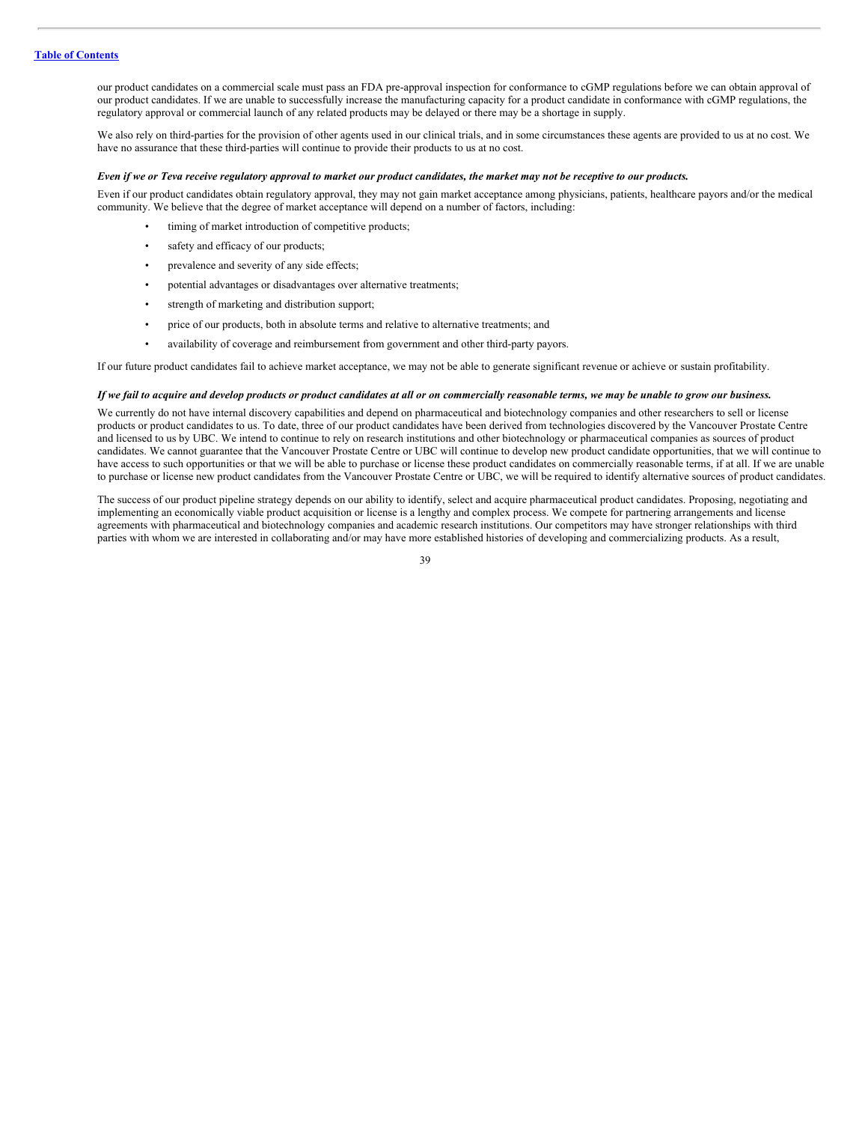our product candidates on a commercial scale must pass an FDA pre-approval inspection for conformance to cGMP regulations before we can obtain approval of our product candidates. If we are unable to successfully increase the manufacturing capacity for a product candidate in conformance with cGMP regulations, the regulatory approval or commercial launch of any related products may be delayed or there may be a shortage in supply.

We also rely on third-parties for the provision of other agents used in our clinical trials, and in some circumstances these agents are provided to us at no cost. We have no assurance that these third-parties will continue to provide their products to us at no cost.

#### Even if we or Teva receive regulatory approval to market our product candidates, the market may not be receptive to our products.

Even if our product candidates obtain regulatory approval, they may not gain market acceptance among physicians, patients, healthcare payors and/or the medical community. We believe that the degree of market acceptance will depend on a number of factors, including:

- timing of market introduction of competitive products;
- safety and efficacy of our products;
- prevalence and severity of any side effects;
- potential advantages or disadvantages over alternative treatments;
- strength of marketing and distribution support;
- price of our products, both in absolute terms and relative to alternative treatments; and
- availability of coverage and reimbursement from government and other third-party payors.

If our future product candidates fail to achieve market acceptance, we may not be able to generate significant revenue or achieve or sustain profitability.

#### If we fail to acquire and develop products or product candidates at all or on commercially reasonable terms, we may be unable to grow our business.

We currently do not have internal discovery capabilities and depend on pharmaceutical and biotechnology companies and other researchers to sell or license products or product candidates to us. To date, three of our product candidates have been derived from technologies discovered by the Vancouver Prostate Centre and licensed to us by UBC. We intend to continue to rely on research institutions and other biotechnology or pharmaceutical companies as sources of product candidates. We cannot guarantee that the Vancouver Prostate Centre or UBC will continue to develop new product candidate opportunities, that we will continue to have access to such opportunities or that we will be able to purchase or license these product candidates on commercially reasonable terms, if at all. If we are unable to purchase or license new product candidates from the Vancouver Prostate Centre or UBC, we will be required to identify alternative sources of product candidates.

The success of our product pipeline strategy depends on our ability to identify, select and acquire pharmaceutical product candidates. Proposing, negotiating and implementing an economically viable product acquisition or license is a lengthy and complex process. We compete for partnering arrangements and license agreements with pharmaceutical and biotechnology companies and academic research institutions. Our competitors may have stronger relationships with third parties with whom we are interested in collaborating and/or may have more established histories of developing and commercializing products. As a result,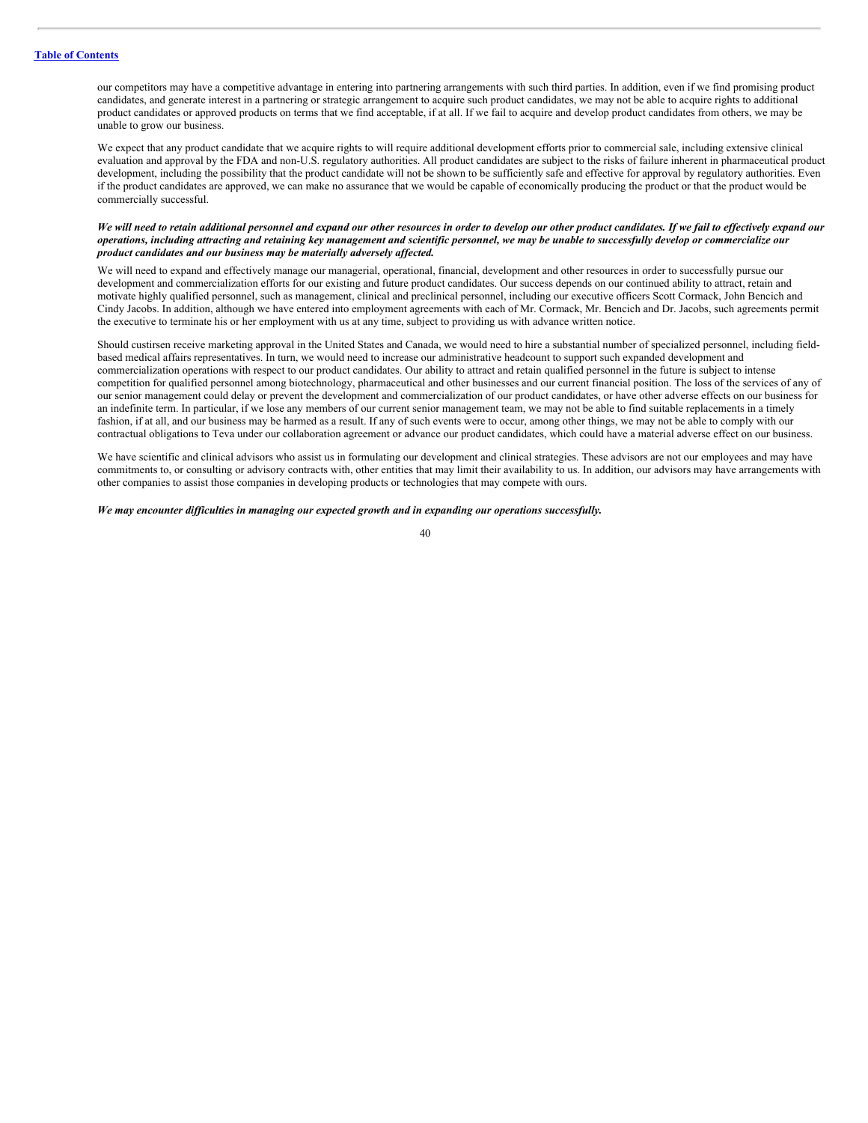our competitors may have a competitive advantage in entering into partnering arrangements with such third parties. In addition, even if we find promising product candidates, and generate interest in a partnering or strategic arrangement to acquire such product candidates, we may not be able to acquire rights to additional product candidates or approved products on terms that we find acceptable, if at all. If we fail to acquire and develop product candidates from others, we may be unable to grow our business.

We expect that any product candidate that we acquire rights to will require additional development efforts prior to commercial sale, including extensive clinical evaluation and approval by the FDA and non-U.S. regulatory authorities. All product candidates are subject to the risks of failure inherent in pharmaceutical product development, including the possibility that the product candidate will not be shown to be sufficiently safe and effective for approval by regulatory authorities. Even if the product candidates are approved, we can make no assurance that we would be capable of economically producing the product or that the product would be commercially successful.

#### We will need to retain additional personnel and expand our other resources in order to develop our other product candidates. If we fail to effectively expand our operations, including attracting and retaining key management and scientific personnel, we may be unable to successfully develop or commercialize our *product candidates and our business may be materially adversely af ected.*

We will need to expand and effectively manage our managerial, operational, financial, development and other resources in order to successfully pursue our development and commercialization efforts for our existing and future product candidates. Our success depends on our continued ability to attract, retain and motivate highly qualified personnel, such as management, clinical and preclinical personnel, including our executive officers Scott Cormack, John Bencich and Cindy Jacobs. In addition, although we have entered into employment agreements with each of Mr. Cormack, Mr. Bencich and Dr. Jacobs, such agreements permit the executive to terminate his or her employment with us at any time, subject to providing us with advance written notice.

Should custirsen receive marketing approval in the United States and Canada, we would need to hire a substantial number of specialized personnel, including fieldbased medical affairs representatives. In turn, we would need to increase our administrative headcount to support such expanded development and commercialization operations with respect to our product candidates. Our ability to attract and retain qualified personnel in the future is subject to intense competition for qualified personnel among biotechnology, pharmaceutical and other businesses and our current financial position. The loss of the services of any of our senior management could delay or prevent the development and commercialization of our product candidates, or have other adverse effects on our business for an indefinite term. In particular, if we lose any members of our current senior management team, we may not be able to find suitable replacements in a timely fashion, if at all, and our business may be harmed as a result. If any of such events were to occur, among other things, we may not be able to comply with our contractual obligations to Teva under our collaboration agreement or advance our product candidates, which could have a material adverse effect on our business.

We have scientific and clinical advisors who assist us in formulating our development and clinical strategies. These advisors are not our employees and may have commitments to, or consulting or advisory contracts with, other entities that may limit their availability to us. In addition, our advisors may have arrangements with other companies to assist those companies in developing products or technologies that may compete with ours.

*We may encounter dif iculties in managing our expected growth and in expanding our operations successfully.*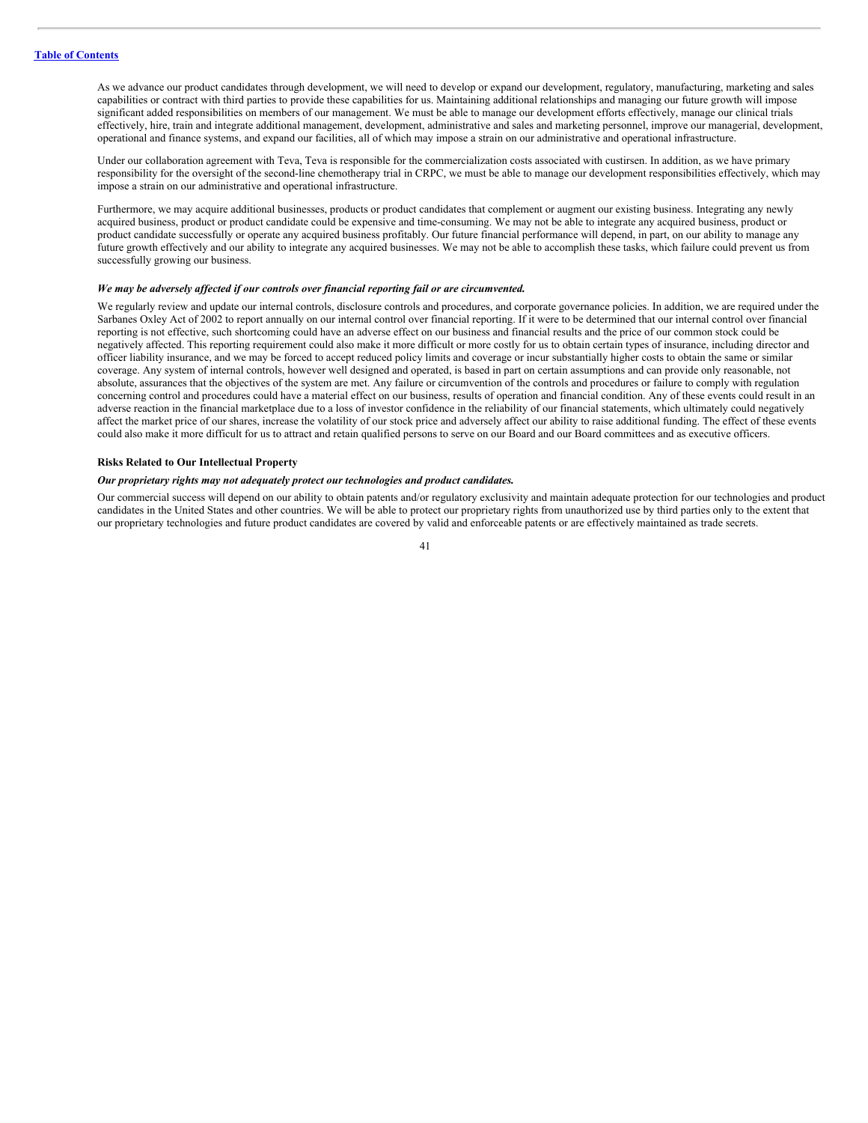As we advance our product candidates through development, we will need to develop or expand our development, regulatory, manufacturing, marketing and sales capabilities or contract with third parties to provide these capabilities for us. Maintaining additional relationships and managing our future growth will impose significant added responsibilities on members of our management. We must be able to manage our development efforts effectively, manage our clinical trials effectively, hire, train and integrate additional management, development, administrative and sales and marketing personnel, improve our managerial, development, operational and finance systems, and expand our facilities, all of which may impose a strain on our administrative and operational infrastructure.

Under our collaboration agreement with Teva, Teva is responsible for the commercialization costs associated with custirsen. In addition, as we have primary responsibility for the oversight of the second-line chemotherapy trial in CRPC, we must be able to manage our development responsibilities effectively, which may impose a strain on our administrative and operational infrastructure.

Furthermore, we may acquire additional businesses, products or product candidates that complement or augment our existing business. Integrating any newly acquired business, product or product candidate could be expensive and time-consuming. We may not be able to integrate any acquired business, product or product candidate successfully or operate any acquired business profitably. Our future financial performance will depend, in part, on our ability to manage any future growth effectively and our ability to integrate any acquired businesses. We may not be able to accomplish these tasks, which failure could prevent us from successfully growing our business.

#### *We may be adversely af ected if our controls over financial reporting fail or are circumvented.*

We regularly review and update our internal controls, disclosure controls and procedures, and corporate governance policies. In addition, we are required under the Sarbanes Oxley Act of 2002 to report annually on our internal control over financial reporting. If it were to be determined that our internal control over financial reporting is not effective, such shortcoming could have an adverse effect on our business and financial results and the price of our common stock could be negatively affected. This reporting requirement could also make it more difficult or more costly for us to obtain certain types of insurance, including director and officer liability insurance, and we may be forced to accept reduced policy limits and coverage or incur substantially higher costs to obtain the same or similar coverage. Any system of internal controls, however well designed and operated, is based in part on certain assumptions and can provide only reasonable, not absolute, assurances that the objectives of the system are met. Any failure or circumvention of the controls and procedures or failure to comply with regulation concerning control and procedures could have a material effect on our business, results of operation and financial condition. Any of these events could result in an adverse reaction in the financial marketplace due to a loss of investor confidence in the reliability of our financial statements, which ultimately could negatively affect the market price of our shares, increase the volatility of our stock price and adversely affect our ability to raise additional funding. The effect of these events could also make it more difficult for us to attract and retain qualified persons to serve on our Board and our Board committees and as executive officers.

#### **Risks Related to Our Intellectual Property**

#### *Our proprietary rights may not adequately protect our technologies and product candidates.*

Our commercial success will depend on our ability to obtain patents and/or regulatory exclusivity and maintain adequate protection for our technologies and product candidates in the United States and other countries. We will be able to protect our proprietary rights from unauthorized use by third parties only to the extent that our proprietary technologies and future product candidates are covered by valid and enforceable patents or are effectively maintained as trade secrets.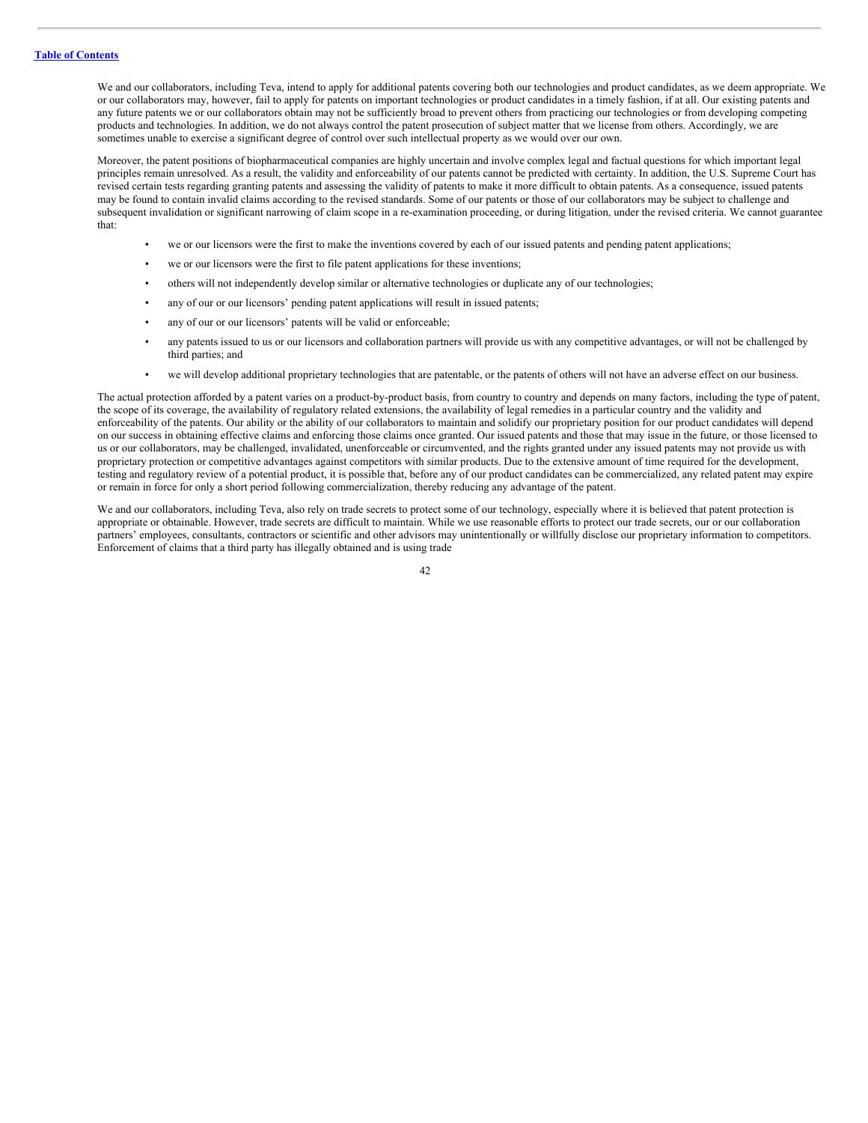We and our collaborators, including Teva, intend to apply for additional patents covering both our technologies and product candidates, as we deem appropriate. We or our collaborators may, however, fail to apply for patents on important technologies or product candidates in a timely fashion, if at all. Our existing patents and any future patents we or our collaborators obtain may not be sufficiently broad to prevent others from practicing our technologies or from developing competing products and technologies. In addition, we do not always control the patent prosecution of subject matter that we license from others. Accordingly, we are sometimes unable to exercise a significant degree of control over such intellectual property as we would over our own.

Moreover, the patent positions of biopharmaceutical companies are highly uncertain and involve complex legal and factual questions for which important legal principles remain unresolved. As a result, the validity and enforceability of our patents cannot be predicted with certainty. In addition, the U.S. Supreme Court has revised certain tests regarding granting patents and assessing the validity of patents to make it more difficult to obtain patents. As a consequence, issued patents may be found to contain invalid claims according to the revised standards. Some of our patents or those of our collaborators may be subject to challenge and subsequent invalidation or significant narrowing of claim scope in a re-examination proceeding, or during litigation, under the revised criteria. We cannot guarantee that:

- we or our licensors were the first to make the inventions covered by each of our issued patents and pending patent applications;
- we or our licensors were the first to file patent applications for these inventions;
- others will not independently develop similar or alternative technologies or duplicate any of our technologies;
- any of our or our licensors' pending patent applications will result in issued patents;
- any of our or our licensors' patents will be valid or enforceable;
- any patents issued to us or our licensors and collaboration partners will provide us with any competitive advantages, or will not be challenged by third parties; and
- we will develop additional proprietary technologies that are patentable, or the patents of others will not have an adverse effect on our business.

The actual protection afforded by a patent varies on a product-by-product basis, from country to country and depends on many factors, including the type of patent, the scope of its coverage, the availability of regulatory related extensions, the availability of legal remedies in a particular country and the validity and enforceability of the patents. Our ability or the ability of our collaborators to maintain and solidify our proprietary position for our product candidates will depend on our success in obtaining effective claims and enforcing those claims once granted. Our issued patents and those that may issue in the future, or those licensed to us or our collaborators, may be challenged, invalidated, unenforceable or circumvented, and the rights granted under any issued patents may not provide us with proprietary protection or competitive advantages against competitors with similar products. Due to the extensive amount of time required for the development, testing and regulatory review of a potential product, it is possible that, before any of our product candidates can be commercialized, any related patent may expire or remain in force for only a short period following commercialization, thereby reducing any advantage of the patent.

We and our collaborators, including Teva, also rely on trade secrets to protect some of our technology, especially where it is believed that patent protection is appropriate or obtainable. However, trade secrets are difficult to maintain. While we use reasonable efforts to protect our trade secrets, our or our collaboration partners' employees, consultants, contractors or scientific and other advisors may unintentionally or willfully disclose our proprietary information to competitors. Enforcement of claims that a third party has illegally obtained and is using trade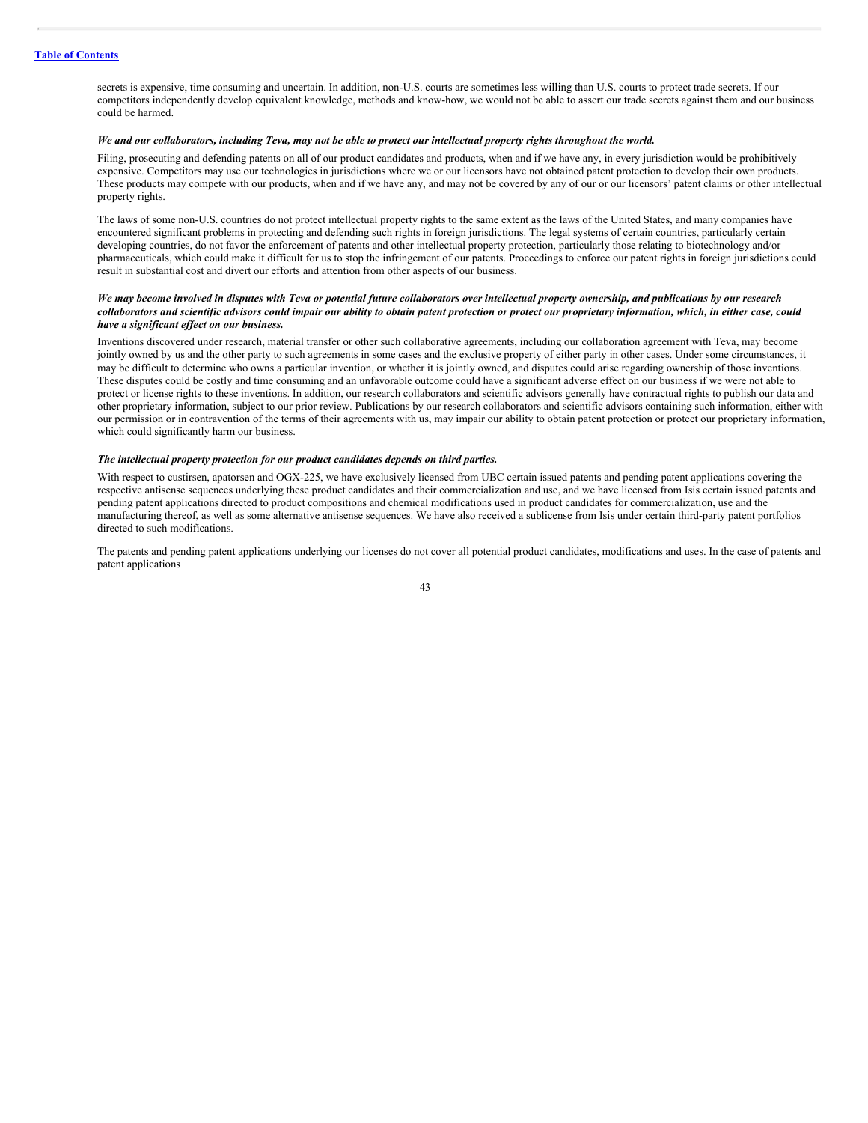secrets is expensive, time consuming and uncertain. In addition, non-U.S. courts are sometimes less willing than U.S. courts to protect trade secrets. If our competitors independently develop equivalent knowledge, methods and know-how, we would not be able to assert our trade secrets against them and our business could be harmed.

#### We and our collaborators, including Teva, may not be able to protect our intellectual property rights throughout the world.

Filing, prosecuting and defending patents on all of our product candidates and products, when and if we have any, in every jurisdiction would be prohibitively expensive. Competitors may use our technologies in jurisdictions where we or our licensors have not obtained patent protection to develop their own products. These products may compete with our products, when and if we have any, and may not be covered by any of our or our licensors' patent claims or other intellectual property rights.

The laws of some non-U.S. countries do not protect intellectual property rights to the same extent as the laws of the United States, and many companies have encountered significant problems in protecting and defending such rights in foreign jurisdictions. The legal systems of certain countries, particularly certain developing countries, do not favor the enforcement of patents and other intellectual property protection, particularly those relating to biotechnology and/or pharmaceuticals, which could make it difficult for us to stop the infringement of our patents. Proceedings to enforce our patent rights in foreign jurisdictions could result in substantial cost and divert our efforts and attention from other aspects of our business.

#### We may become involved in disputes with Teva or potential future collaborators over intellectual property ownership, and publications by our research collaborators and scientific advisors could impair our ability to obtain patent protection or protect our proprietary information, which, in either case, could *have a significant ef ect on our business.*

Inventions discovered under research, material transfer or other such collaborative agreements, including our collaboration agreement with Teva, may become jointly owned by us and the other party to such agreements in some cases and the exclusive property of either party in other cases. Under some circumstances, it may be difficult to determine who owns a particular invention, or whether it is jointly owned, and disputes could arise regarding ownership of those inventions. These disputes could be costly and time consuming and an unfavorable outcome could have a significant adverse effect on our business if we were not able to protect or license rights to these inventions. In addition, our research collaborators and scientific advisors generally have contractual rights to publish our data and other proprietary information, subject to our prior review. Publications by our research collaborators and scientific advisors containing such information, either with our permission or in contravention of the terms of their agreements with us, may impair our ability to obtain patent protection or protect our proprietary information, which could significantly harm our business.

# *The intellectual property protection for our product candidates depends on third parties.*

With respect to custirsen, apatorsen and OGX-225, we have exclusively licensed from UBC certain issued patents and pending patent applications covering the respective antisense sequences underlying these product candidates and their commercialization and use, and we have licensed from Isis certain issued patents and pending patent applications directed to product compositions and chemical modifications used in product candidates for commercialization, use and the manufacturing thereof, as well as some alternative antisense sequences. We have also received a sublicense from Isis under certain third-party patent portfolios directed to such modifications.

The patents and pending patent applications underlying our licenses do not cover all potential product candidates, modifications and uses. In the case of patents and patent applications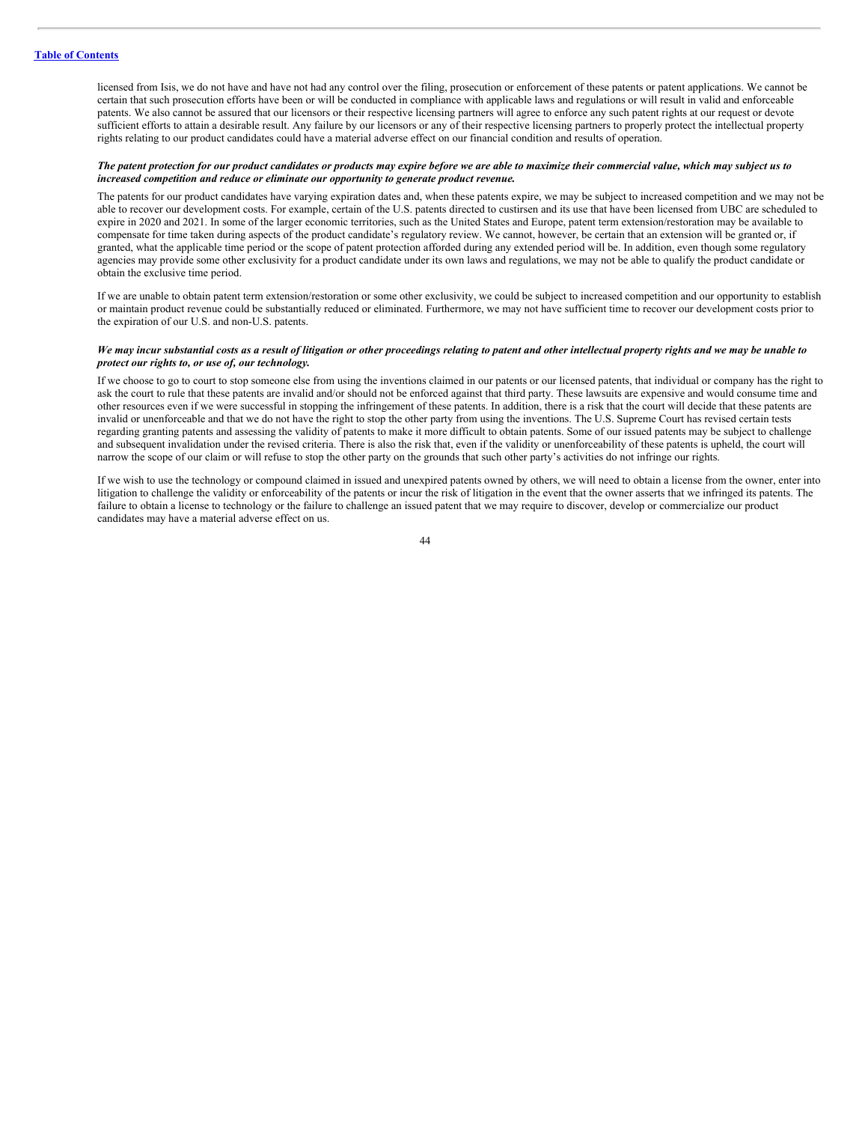licensed from Isis, we do not have and have not had any control over the filing, prosecution or enforcement of these patents or patent applications. We cannot be certain that such prosecution efforts have been or will be conducted in compliance with applicable laws and regulations or will result in valid and enforceable patents. We also cannot be assured that our licensors or their respective licensing partners will agree to enforce any such patent rights at our request or devote sufficient efforts to attain a desirable result. Any failure by our licensors or any of their respective licensing partners to properly protect the intellectual property rights relating to our product candidates could have a material adverse effect on our financial condition and results of operation.

#### The patent protection for our product candidates or products may expire before we are able to maximize their commercial value, which may subject us to *increased competition and reduce or eliminate our opportunity to generate product revenue.*

The patents for our product candidates have varying expiration dates and, when these patents expire, we may be subject to increased competition and we may not be able to recover our development costs. For example, certain of the U.S. patents directed to custirsen and its use that have been licensed from UBC are scheduled to expire in 2020 and 2021. In some of the larger economic territories, such as the United States and Europe, patent term extension/restoration may be available to compensate for time taken during aspects of the product candidate's regulatory review. We cannot, however, be certain that an extension will be granted or, if granted, what the applicable time period or the scope of patent protection afforded during any extended period will be. In addition, even though some regulatory agencies may provide some other exclusivity for a product candidate under its own laws and regulations, we may not be able to qualify the product candidate or obtain the exclusive time period.

If we are unable to obtain patent term extension/restoration or some other exclusivity, we could be subject to increased competition and our opportunity to establish or maintain product revenue could be substantially reduced or eliminated. Furthermore, we may not have sufficient time to recover our development costs prior to the expiration of our U.S. and non-U.S. patents.

#### We may incur substantial costs as a result of litigation or other proceedings relating to patent and other intellectual property rights and we may be unable to *protect our rights to, or use of, our technology.*

If we choose to go to court to stop someone else from using the inventions claimed in our patents or our licensed patents, that individual or company has the right to ask the court to rule that these patents are invalid and/or should not be enforced against that third party. These lawsuits are expensive and would consume time and other resources even if we were successful in stopping the infringement of these patents. In addition, there is a risk that the court will decide that these patents are invalid or unenforceable and that we do not have the right to stop the other party from using the inventions. The U.S. Supreme Court has revised certain tests regarding granting patents and assessing the validity of patents to make it more difficult to obtain patents. Some of our issued patents may be subject to challenge and subsequent invalidation under the revised criteria. There is also the risk that, even if the validity or unenforceability of these patents is upheld, the court will narrow the scope of our claim or will refuse to stop the other party on the grounds that such other party's activities do not infringe our rights.

If we wish to use the technology or compound claimed in issued and unexpired patents owned by others, we will need to obtain a license from the owner, enter into litigation to challenge the validity or enforceability of the patents or incur the risk of litigation in the event that the owner asserts that we infringed its patents. The failure to obtain a license to technology or the failure to challenge an issued patent that we may require to discover, develop or commercialize our product candidates may have a material adverse effect on us.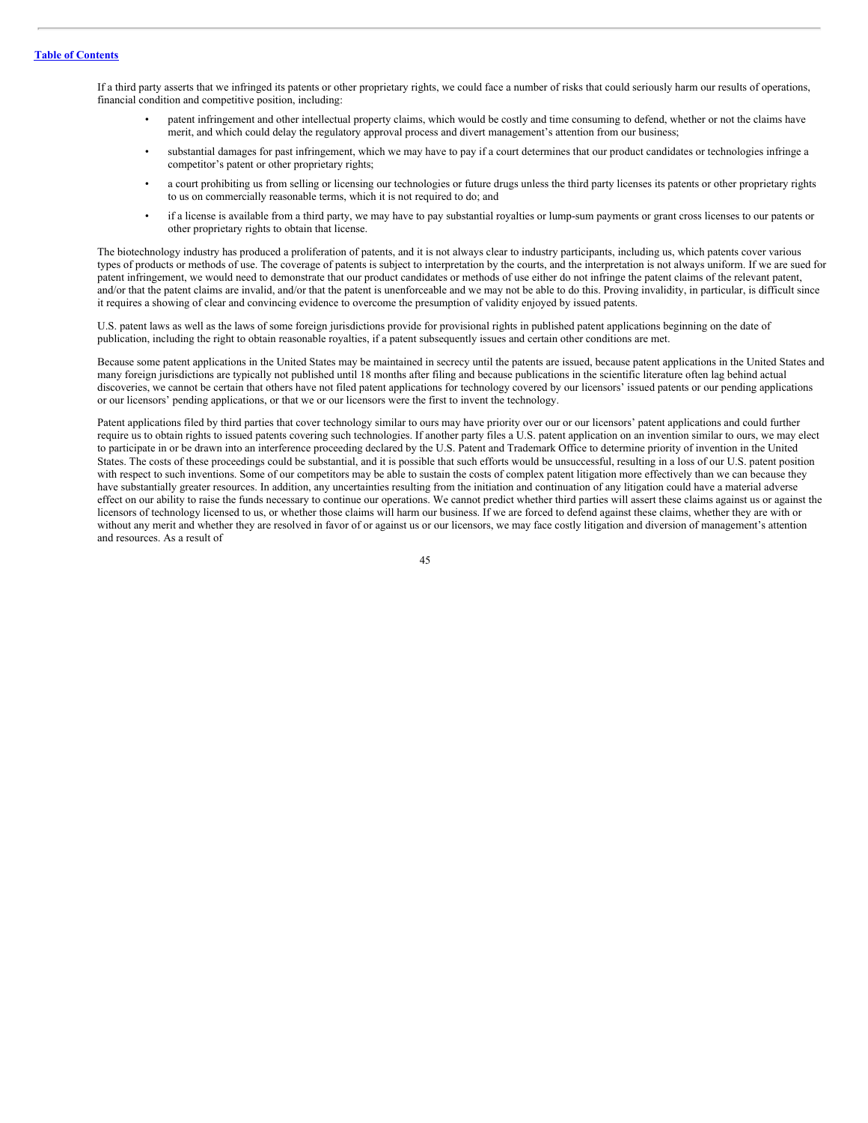If a third party asserts that we infringed its patents or other proprietary rights, we could face a number of risks that could seriously harm our results of operations, financial condition and competitive position, including:

- patent infringement and other intellectual property claims, which would be costly and time consuming to defend, whether or not the claims have merit, and which could delay the regulatory approval process and divert management's attention from our business;
- substantial damages for past infringement, which we may have to pay if a court determines that our product candidates or technologies infringe a competitor's patent or other proprietary rights;
- a court prohibiting us from selling or licensing our technologies or future drugs unless the third party licenses its patents or other proprietary rights to us on commercially reasonable terms, which it is not required to do; and
- if a license is available from a third party, we may have to pay substantial royalties or lump-sum payments or grant cross licenses to our patents or other proprietary rights to obtain that license.

The biotechnology industry has produced a proliferation of patents, and it is not always clear to industry participants, including us, which patents cover various types of products or methods of use. The coverage of patents is subject to interpretation by the courts, and the interpretation is not always uniform. If we are sued for patent infringement, we would need to demonstrate that our product candidates or methods of use either do not infringe the patent claims of the relevant patent, and/or that the patent claims are invalid, and/or that the patent is unenforceable and we may not be able to do this. Proving invalidity, in particular, is difficult since it requires a showing of clear and convincing evidence to overcome the presumption of validity enjoyed by issued patents.

U.S. patent laws as well as the laws of some foreign jurisdictions provide for provisional rights in published patent applications beginning on the date of publication, including the right to obtain reasonable royalties, if a patent subsequently issues and certain other conditions are met.

Because some patent applications in the United States may be maintained in secrecy until the patents are issued, because patent applications in the United States and many foreign jurisdictions are typically not published until 18 months after filing and because publications in the scientific literature often lag behind actual discoveries, we cannot be certain that others have not filed patent applications for technology covered by our licensors' issued patents or our pending applications or our licensors' pending applications, or that we or our licensors were the first to invent the technology.

Patent applications filed by third parties that cover technology similar to ours may have priority over our or our licensors' patent applications and could further require us to obtain rights to issued patents covering such technologies. If another party files a U.S. patent application on an invention similar to ours, we may elect to participate in or be drawn into an interference proceeding declared by the U.S. Patent and Trademark Office to determine priority of invention in the United States. The costs of these proceedings could be substantial, and it is possible that such efforts would be unsuccessful, resulting in a loss of our U.S. patent position with respect to such inventions. Some of our competitors may be able to sustain the costs of complex patent litigation more effectively than we can because they have substantially greater resources. In addition, any uncertainties resulting from the initiation and continuation of any litigation could have a material adverse effect on our ability to raise the funds necessary to continue our operations. We cannot predict whether third parties will assert these claims against us or against the licensors of technology licensed to us, or whether those claims will harm our business. If we are forced to defend against these claims, whether they are with or without any merit and whether they are resolved in favor of or against us or our licensors, we may face costly litigation and diversion of management's attention and resources. As a result of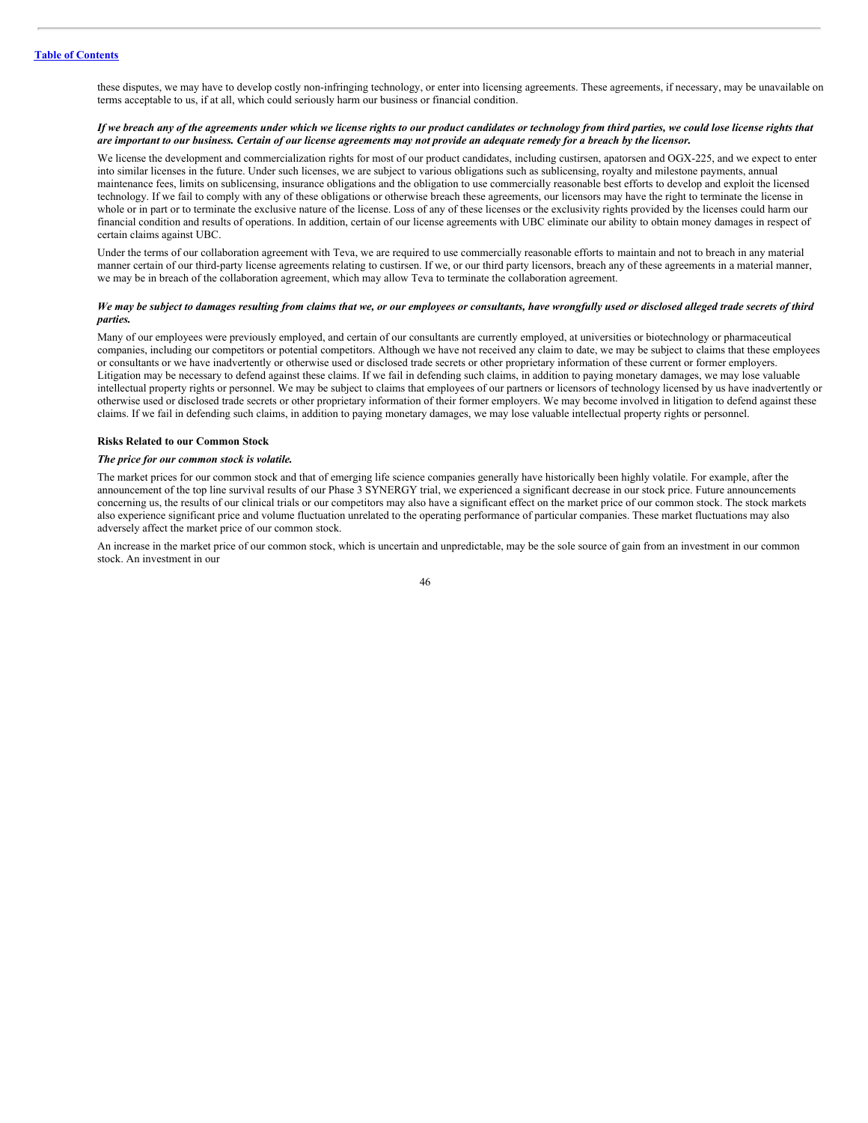these disputes, we may have to develop costly non-infringing technology, or enter into licensing agreements. These agreements, if necessary, may be unavailable on terms acceptable to us, if at all, which could seriously harm our business or financial condition.

#### If we breach any of the agreements under which we license rights to our product candidates or technology from third parties, we could lose license rights that are important to our business. Certain of our license agreements may not provide an adequate remedy for a breach by the licensor.

We license the development and commercialization rights for most of our product candidates, including custirsen, apatorsen and OGX-225, and we expect to enter into similar licenses in the future. Under such licenses, we are subject to various obligations such as sublicensing, royalty and milestone payments, annual maintenance fees, limits on sublicensing, insurance obligations and the obligation to use commercially reasonable best efforts to develop and exploit the licensed technology. If we fail to comply with any of these obligations or otherwise breach these agreements, our licensors may have the right to terminate the license in whole or in part or to terminate the exclusive nature of the license. Loss of any of these licenses or the exclusivity rights provided by the licenses could harm our financial condition and results of operations. In addition, certain of our license agreements with UBC eliminate our ability to obtain money damages in respect of certain claims against UBC.

Under the terms of our collaboration agreement with Teva, we are required to use commercially reasonable efforts to maintain and not to breach in any material manner certain of our third-party license agreements relating to custirsen. If we, or our third party licensors, breach any of these agreements in a material manner, we may be in breach of the collaboration agreement, which may allow Teva to terminate the collaboration agreement.

# We may be subject to damages resulting from claims that we, or our employees or consultants, have wrongfully used or disclosed alleged trade secrets of third *parties.*

Many of our employees were previously employed, and certain of our consultants are currently employed, at universities or biotechnology or pharmaceutical companies, including our competitors or potential competitors. Although we have not received any claim to date, we may be subject to claims that these employees or consultants or we have inadvertently or otherwise used or disclosed trade secrets or other proprietary information of these current or former employers. Litigation may be necessary to defend against these claims. If we fail in defending such claims, in addition to paying monetary damages, we may lose valuable intellectual property rights or personnel. We may be subject to claims that employees of our partners or licensors of technology licensed by us have inadvertently or otherwise used or disclosed trade secrets or other proprietary information of their former employers. We may become involved in litigation to defend against these claims. If we fail in defending such claims, in addition to paying monetary damages, we may lose valuable intellectual property rights or personnel.

#### **Risks Related to our Common Stock**

#### *The price for our common stock is volatile.*

The market prices for our common stock and that of emerging life science companies generally have historically been highly volatile. For example, after the announcement of the top line survival results of our Phase 3 SYNERGY trial, we experienced a significant decrease in our stock price. Future announcements concerning us, the results of our clinical trials or our competitors may also have a significant effect on the market price of our common stock. The stock markets also experience significant price and volume fluctuation unrelated to the operating performance of particular companies. These market fluctuations may also adversely affect the market price of our common stock.

An increase in the market price of our common stock, which is uncertain and unpredictable, may be the sole source of gain from an investment in our common stock. An investment in our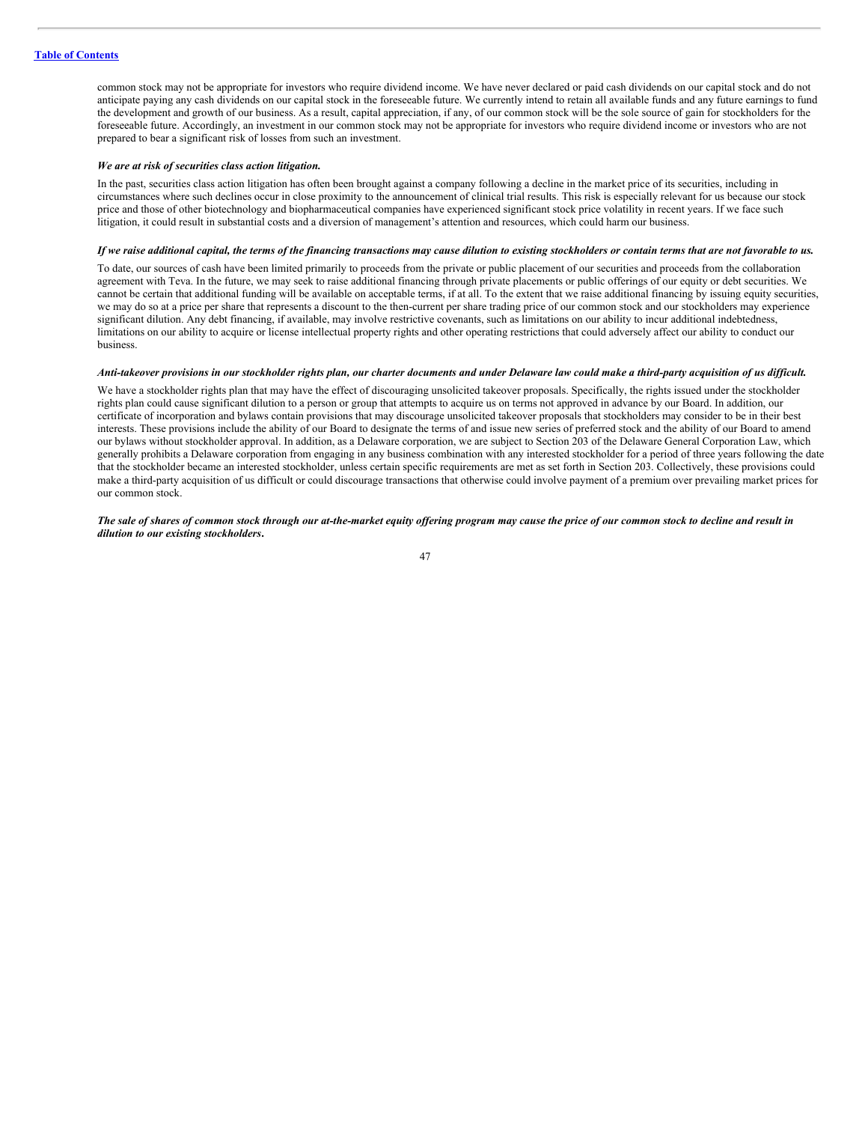common stock may not be appropriate for investors who require dividend income. We have never declared or paid cash dividends on our capital stock and do not anticipate paying any cash dividends on our capital stock in the foreseeable future. We currently intend to retain all available funds and any future earnings to fund the development and growth of our business. As a result, capital appreciation, if any, of our common stock will be the sole source of gain for stockholders for the foreseeable future. Accordingly, an investment in our common stock may not be appropriate for investors who require dividend income or investors who are not prepared to bear a significant risk of losses from such an investment.

#### *We are at risk of securities class action litigation.*

In the past, securities class action litigation has often been brought against a company following a decline in the market price of its securities, including in circumstances where such declines occur in close proximity to the announcement of clinical trial results. This risk is especially relevant for us because our stock price and those of other biotechnology and biopharmaceutical companies have experienced significant stock price volatility in recent years. If we face such litigation, it could result in substantial costs and a diversion of management's attention and resources, which could harm our business.

#### If we raise additional capital, the terms of the financing transactions may cause dilution to existing stockholders or contain terms that are not favorable to us.

To date, our sources of cash have been limited primarily to proceeds from the private or public placement of our securities and proceeds from the collaboration agreement with Teva. In the future, we may seek to raise additional financing through private placements or public offerings of our equity or debt securities. We cannot be certain that additional funding will be available on acceptable terms, if at all. To the extent that we raise additional financing by issuing equity securities, we may do so at a price per share that represents a discount to the then-current per share trading price of our common stock and our stockholders may experience significant dilution. Any debt financing, if available, may involve restrictive covenants, such as limitations on our ability to incur additional indebtedness, limitations on our ability to acquire or license intellectual property rights and other operating restrictions that could adversely affect our ability to conduct our business.

#### Anti-takeover provisions in our stockholder rights plan, our charter documents and under Delaware law could make a third-party acquisition of us difficult.

We have a stockholder rights plan that may have the effect of discouraging unsolicited takeover proposals. Specifically, the rights issued under the stockholder rights plan could cause significant dilution to a person or group that attempts to acquire us on terms not approved in advance by our Board. In addition, our certificate of incorporation and bylaws contain provisions that may discourage unsolicited takeover proposals that stockholders may consider to be in their best interests. These provisions include the ability of our Board to designate the terms of and issue new series of preferred stock and the ability of our Board to amend our bylaws without stockholder approval. In addition, as a Delaware corporation, we are subject to Section 203 of the Delaware General Corporation Law, which generally prohibits a Delaware corporation from engaging in any business combination with any interested stockholder for a period of three years following the date that the stockholder became an interested stockholder, unless certain specific requirements are met as set forth in Section 203. Collectively, these provisions could make a third-party acquisition of us difficult or could discourage transactions that otherwise could involve payment of a premium over prevailing market prices for our common stock.

#### The sale of shares of common stock through our at-the-market equity offering program may cause the price of our common stock to decline and result in *dilution to our existing stockholders***.**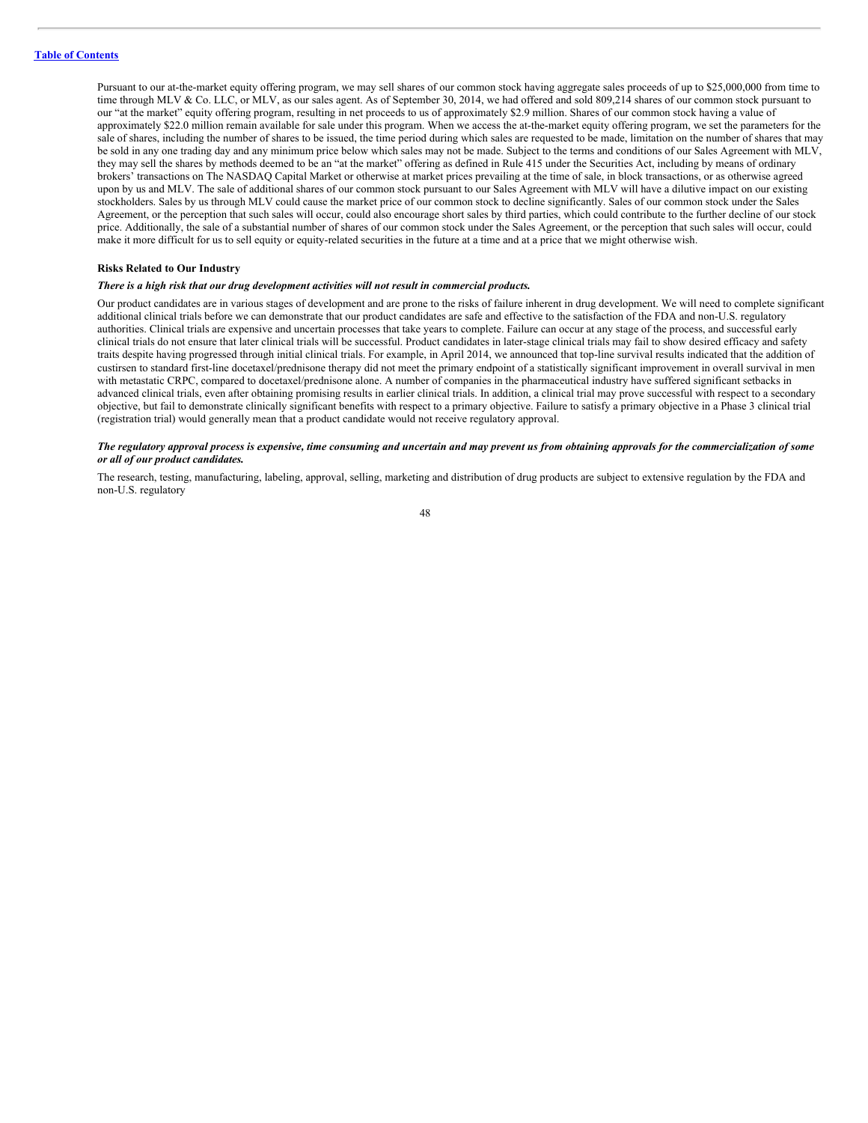Pursuant to our at-the-market equity offering program, we may sell shares of our common stock having aggregate sales proceeds of up to \$25,000,000 from time to time through MLV & Co. LLC, or MLV, as our sales agent. As of September 30, 2014, we had offered and sold 809,214 shares of our common stock pursuant to our "at the market" equity offering program, resulting in net proceeds to us of approximately \$2.9 million. Shares of our common stock having a value of approximately \$22.0 million remain available for sale under this program. When we access the at-the-market equity offering program, we set the parameters for the sale of shares, including the number of shares to be issued, the time period during which sales are requested to be made, limitation on the number of shares that may be sold in any one trading day and any minimum price below which sales may not be made. Subject to the terms and conditions of our Sales Agreement with MLV, they may sell the shares by methods deemed to be an "at the market" offering as defined in Rule 415 under the Securities Act, including by means of ordinary brokers' transactions on The NASDAQ Capital Market or otherwise at market prices prevailing at the time of sale, in block transactions, or as otherwise agreed upon by us and MLV. The sale of additional shares of our common stock pursuant to our Sales Agreement with MLV will have a dilutive impact on our existing stockholders. Sales by us through MLV could cause the market price of our common stock to decline significantly. Sales of our common stock under the Sales Agreement, or the perception that such sales will occur, could also encourage short sales by third parties, which could contribute to the further decline of our stock price. Additionally, the sale of a substantial number of shares of our common stock under the Sales Agreement, or the perception that such sales will occur, could make it more difficult for us to sell equity or equity-related securities in the future at a time and at a price that we might otherwise wish.

#### **Risks Related to Our Industry**

#### *There is a high risk that our drug development activities will not result in commercial products.*

Our product candidates are in various stages of development and are prone to the risks of failure inherent in drug development. We will need to complete significant additional clinical trials before we can demonstrate that our product candidates are safe and effective to the satisfaction of the FDA and non-U.S. regulatory authorities. Clinical trials are expensive and uncertain processes that take years to complete. Failure can occur at any stage of the process, and successful early clinical trials do not ensure that later clinical trials will be successful. Product candidates in later-stage clinical trials may fail to show desired efficacy and safety traits despite having progressed through initial clinical trials. For example, in April 2014, we announced that top-line survival results indicated that the addition of custirsen to standard first-line docetaxel/prednisone therapy did not meet the primary endpoint of a statistically significant improvement in overall survival in men with metastatic CRPC, compared to docetaxel/prednisone alone. A number of companies in the pharmaceutical industry have suffered significant setbacks in advanced clinical trials, even after obtaining promising results in earlier clinical trials. In addition, a clinical trial may prove successful with respect to a secondary objective, but fail to demonstrate clinically significant benefits with respect to a primary objective. Failure to satisfy a primary objective in a Phase 3 clinical trial (registration trial) would generally mean that a product candidate would not receive regulatory approval.

#### The regulatory approval process is expensive, time consuming and uncertain and may prevent us from obtaining approvals for the commercialization of some *or all of our product candidates.*

The research, testing, manufacturing, labeling, approval, selling, marketing and distribution of drug products are subject to extensive regulation by the FDA and non-U.S. regulatory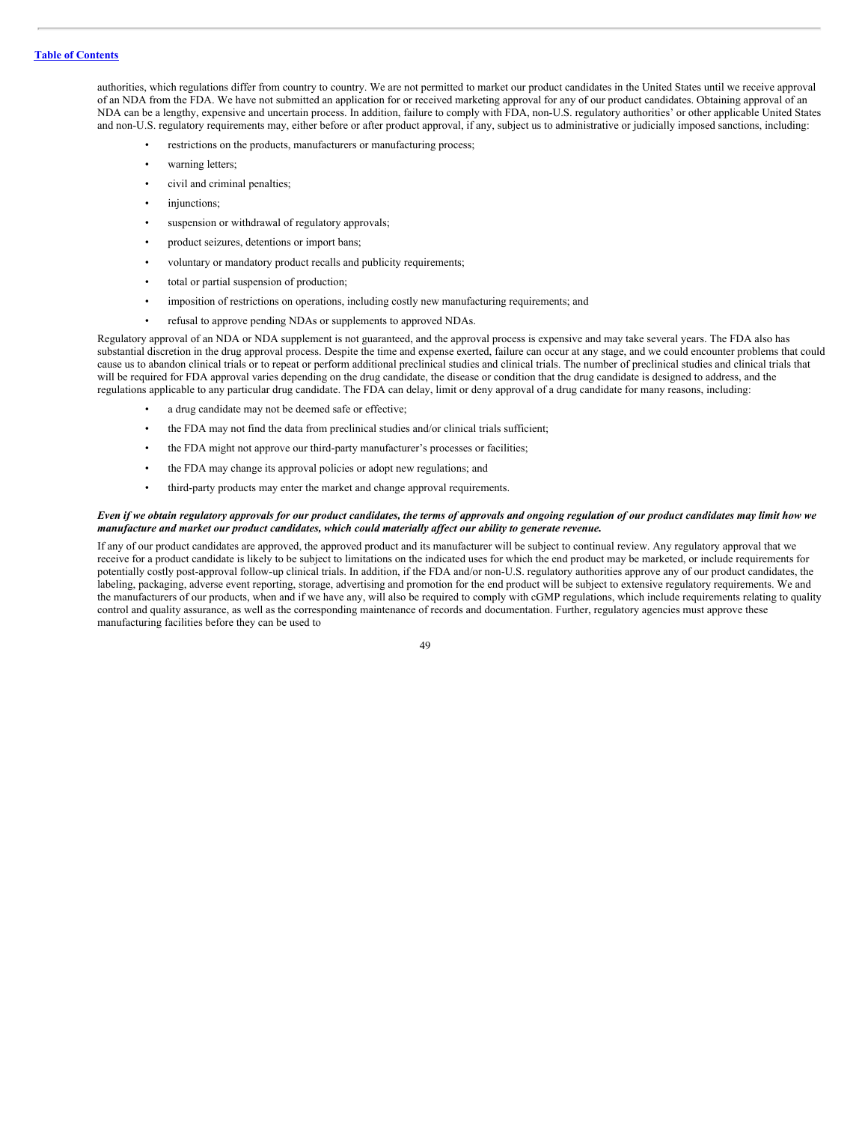authorities, which regulations differ from country to country. We are not permitted to market our product candidates in the United States until we receive approval of an NDA from the FDA. We have not submitted an application for or received marketing approval for any of our product candidates. Obtaining approval of an NDA can be a lengthy, expensive and uncertain process. In addition, failure to comply with FDA, non-U.S. regulatory authorities' or other applicable United States and non-U.S. regulatory requirements may, either before or after product approval, if any, subject us to administrative or judicially imposed sanctions, including:

- restrictions on the products, manufacturers or manufacturing process;
- warning letters:
- civil and criminal penalties;
- injunctions;
- suspension or withdrawal of regulatory approvals;
- product seizures, detentions or import bans;
- voluntary or mandatory product recalls and publicity requirements;
- total or partial suspension of production;
- imposition of restrictions on operations, including costly new manufacturing requirements; and
- refusal to approve pending NDAs or supplements to approved NDAs.

Regulatory approval of an NDA or NDA supplement is not guaranteed, and the approval process is expensive and may take several years. The FDA also has substantial discretion in the drug approval process. Despite the time and expense exerted, failure can occur at any stage, and we could encounter problems that could cause us to abandon clinical trials or to repeat or perform additional preclinical studies and clinical trials. The number of preclinical studies and clinical trials that will be required for FDA approval varies depending on the drug candidate, the disease or condition that the drug candidate is designed to address, and the regulations applicable to any particular drug candidate. The FDA can delay, limit or deny approval of a drug candidate for many reasons, including:

- a drug candidate may not be deemed safe or effective;
- the FDA may not find the data from preclinical studies and/or clinical trials sufficient;
- the FDA might not approve our third-party manufacturer's processes or facilities;
- the FDA may change its approval policies or adopt new regulations; and
- third-party products may enter the market and change approval requirements.

#### Even if we obtain regulatory approvals for our product candidates, the terms of approvals and ongoing regulation of our product candidates may limit how we *manufacture and market our product candidates, which could materially af ect our ability to generate revenue.*

If any of our product candidates are approved, the approved product and its manufacturer will be subject to continual review. Any regulatory approval that we receive for a product candidate is likely to be subject to limitations on the indicated uses for which the end product may be marketed, or include requirements for potentially costly post-approval follow-up clinical trials. In addition, if the FDA and/or non-U.S. regulatory authorities approve any of our product candidates, the labeling, packaging, adverse event reporting, storage, advertising and promotion for the end product will be subject to extensive regulatory requirements. We and the manufacturers of our products, when and if we have any, will also be required to comply with cGMP regulations, which include requirements relating to quality control and quality assurance, as well as the corresponding maintenance of records and documentation. Further, regulatory agencies must approve these manufacturing facilities before they can be used to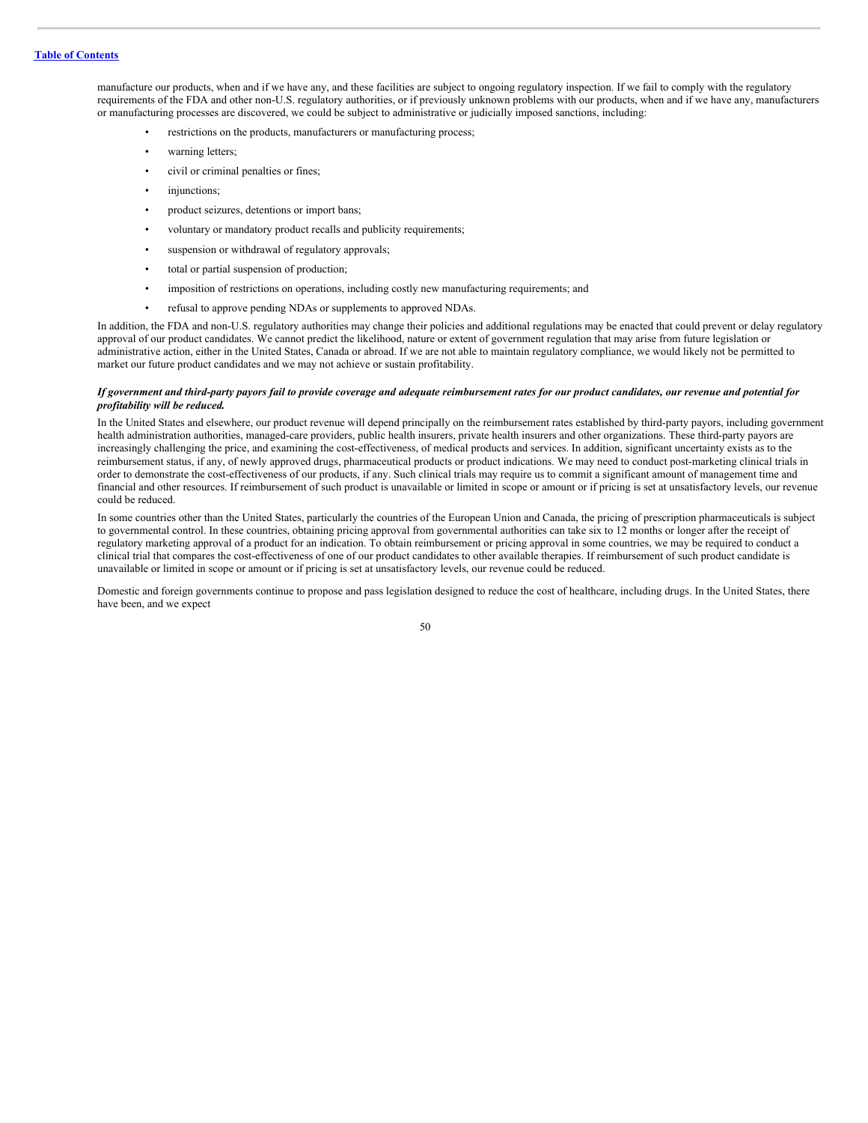manufacture our products, when and if we have any, and these facilities are subject to ongoing regulatory inspection. If we fail to comply with the regulatory requirements of the FDA and other non-U.S. regulatory authorities, or if previously unknown problems with our products, when and if we have any, manufacturers or manufacturing processes are discovered, we could be subject to administrative or judicially imposed sanctions, including:

- restrictions on the products, manufacturers or manufacturing process;
- warning letters;
- civil or criminal penalties or fines;
- injunctions;
- product seizures, detentions or import bans;
- voluntary or mandatory product recalls and publicity requirements;
- suspension or withdrawal of regulatory approvals;
- total or partial suspension of production;
- imposition of restrictions on operations, including costly new manufacturing requirements; and
- refusal to approve pending NDAs or supplements to approved NDAs.

In addition, the FDA and non-U.S. regulatory authorities may change their policies and additional regulations may be enacted that could prevent or delay regulatory approval of our product candidates. We cannot predict the likelihood, nature or extent of government regulation that may arise from future legislation or administrative action, either in the United States, Canada or abroad. If we are not able to maintain regulatory compliance, we would likely not be permitted to market our future product candidates and we may not achieve or sustain profitability.

#### If government and third-party payors fail to provide coverage and adequate reimbursement rates for our product candidates, our revenue and potential for *profitability will be reduced.*

In the United States and elsewhere, our product revenue will depend principally on the reimbursement rates established by third-party payors, including government health administration authorities, managed-care providers, public health insurers, private health insurers and other organizations. These third-party payors are increasingly challenging the price, and examining the cost-effectiveness, of medical products and services. In addition, significant uncertainty exists as to the reimbursement status, if any, of newly approved drugs, pharmaceutical products or product indications. We may need to conduct post-marketing clinical trials in order to demonstrate the cost-effectiveness of our products, if any. Such clinical trials may require us to commit a significant amount of management time and financial and other resources. If reimbursement of such product is unavailable or limited in scope or amount or if pricing is set at unsatisfactory levels, our revenue could be reduced.

In some countries other than the United States, particularly the countries of the European Union and Canada, the pricing of prescription pharmaceuticals is subject to governmental control. In these countries, obtaining pricing approval from governmental authorities can take six to 12 months or longer after the receipt of regulatory marketing approval of a product for an indication. To obtain reimbursement or pricing approval in some countries, we may be required to conduct a clinical trial that compares the cost-effectiveness of one of our product candidates to other available therapies. If reimbursement of such product candidate is unavailable or limited in scope or amount or if pricing is set at unsatisfactory levels, our revenue could be reduced.

Domestic and foreign governments continue to propose and pass legislation designed to reduce the cost of healthcare, including drugs. In the United States, there have been, and we expect

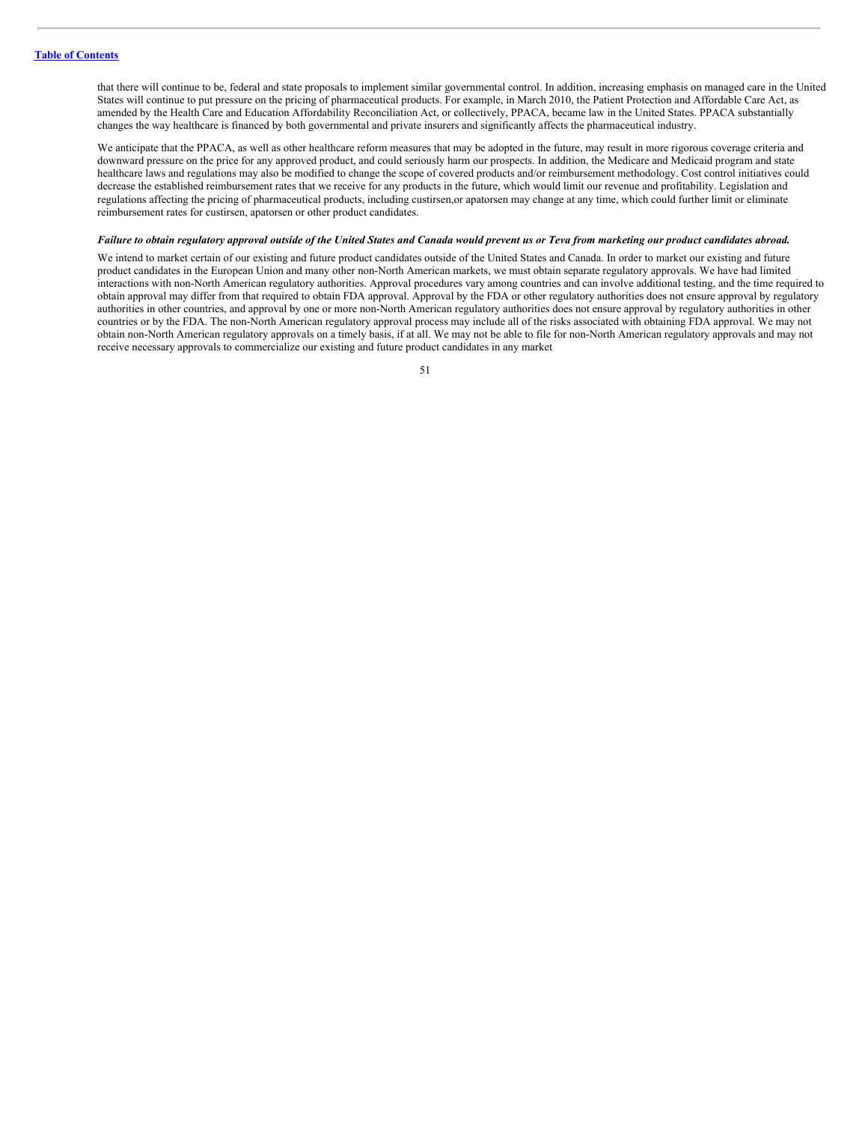that there will continue to be, federal and state proposals to implement similar governmental control. In addition, increasing emphasis on managed care in the United States will continue to put pressure on the pricing of pharmaceutical products. For example, in March 2010, the Patient Protection and Affordable Care Act, as amended by the Health Care and Education Affordability Reconciliation Act, or collectively, PPACA, became law in the United States. PPACA substantially changes the way healthcare is financed by both governmental and private insurers and significantly affects the pharmaceutical industry.

We anticipate that the PPACA, as well as other healthcare reform measures that may be adopted in the future, may result in more rigorous coverage criteria and downward pressure on the price for any approved product, and could seriously harm our prospects. In addition, the Medicare and Medicaid program and state healthcare laws and regulations may also be modified to change the scope of covered products and/or reimbursement methodology. Cost control initiatives could decrease the established reimbursement rates that we receive for any products in the future, which would limit our revenue and profitability. Legislation and regulations affecting the pricing of pharmaceutical products, including custirsen,or apatorsen may change at any time, which could further limit or eliminate reimbursement rates for custirsen, apatorsen or other product candidates.

#### Failure to obtain regulatory approval outside of the United States and Canada would prevent us or Teva from marketing our product candidates abroad.

We intend to market certain of our existing and future product candidates outside of the United States and Canada. In order to market our existing and future product candidates in the European Union and many other non-North American markets, we must obtain separate regulatory approvals. We have had limited interactions with non-North American regulatory authorities. Approval procedures vary among countries and can involve additional testing, and the time required to obtain approval may differ from that required to obtain FDA approval. Approval by the FDA or other regulatory authorities does not ensure approval by regulatory authorities in other countries, and approval by one or more non-North American regulatory authorities does not ensure approval by regulatory authorities in other countries or by the FDA. The non-North American regulatory approval process may include all of the risks associated with obtaining FDA approval. We may not obtain non-North American regulatory approvals on a timely basis, if at all. We may not be able to file for non-North American regulatory approvals and may not receive necessary approvals to commercialize our existing and future product candidates in any market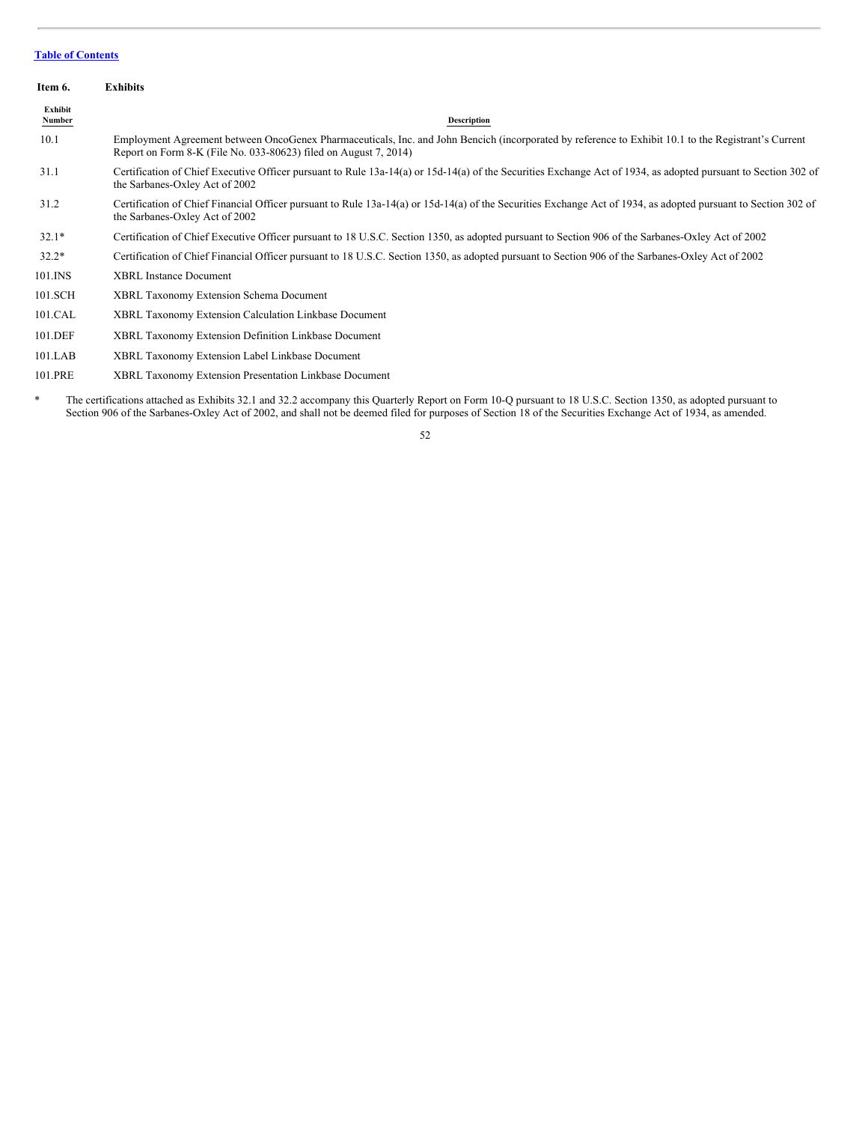<span id="page-51-0"></span>

| Item 6.                  | <b>Exhibits</b>                                                                                                                                                                                                          |
|--------------------------|--------------------------------------------------------------------------------------------------------------------------------------------------------------------------------------------------------------------------|
| Exhibit<br><b>Number</b> | <b>Description</b>                                                                                                                                                                                                       |
| 10.1                     | Employment Agreement between OncoGenex Pharmaceuticals, Inc. and John Bencich (incorporated by reference to Exhibit 10.1 to the Registrant's Current<br>Report on Form 8-K (File No. 033-80623) filed on August 7, 2014) |
| 31.1                     | Certification of Chief Executive Officer pursuant to Rule 13a-14(a) or 15d-14(a) of the Securities Exchange Act of 1934, as adopted pursuant to Section 302 of<br>the Sarbanes-Oxley Act of 2002                         |
| 31.2                     | Certification of Chief Financial Officer pursuant to Rule 13a-14(a) or 15d-14(a) of the Securities Exchange Act of 1934, as adopted pursuant to Section 302 of<br>the Sarbanes-Oxley Act of 2002                         |
| $32.1*$                  | Certification of Chief Executive Officer pursuant to 18 U.S.C. Section 1350, as adopted pursuant to Section 906 of the Sarbanes-Oxley Act of 2002                                                                        |
| $32.2*$                  | Certification of Chief Financial Officer pursuant to 18 U.S.C. Section 1350, as adopted pursuant to Section 906 of the Sarbanes-Oxley Act of 2002                                                                        |
| 101.INS                  | <b>XBRL Instance Document</b>                                                                                                                                                                                            |
| 101.SCH                  | XBRL Taxonomy Extension Schema Document                                                                                                                                                                                  |
| 101.CAL                  | <b>XBRL Taxonomy Extension Calculation Linkbase Document</b>                                                                                                                                                             |
| 101.DEF                  | XBRL Taxonomy Extension Definition Linkbase Document                                                                                                                                                                     |
| $101$ .LAB               | XBRL Taxonomy Extension Label Linkbase Document                                                                                                                                                                          |
| 101.PRE                  | XBRL Taxonomy Extension Presentation Linkbase Document                                                                                                                                                                   |

\* The certifications attached as Exhibits 32.1 and 32.2 accompany this Quarterly Report on Form 10-Q pursuant to 18 U.S.C. Section 1350, as adopted pursuant to Section 906 of the Sarbanes-Oxley Act of 2002, and shall not be deemed filed for purposes of Section 18 of the Securities Exchange Act of 1934, as amended.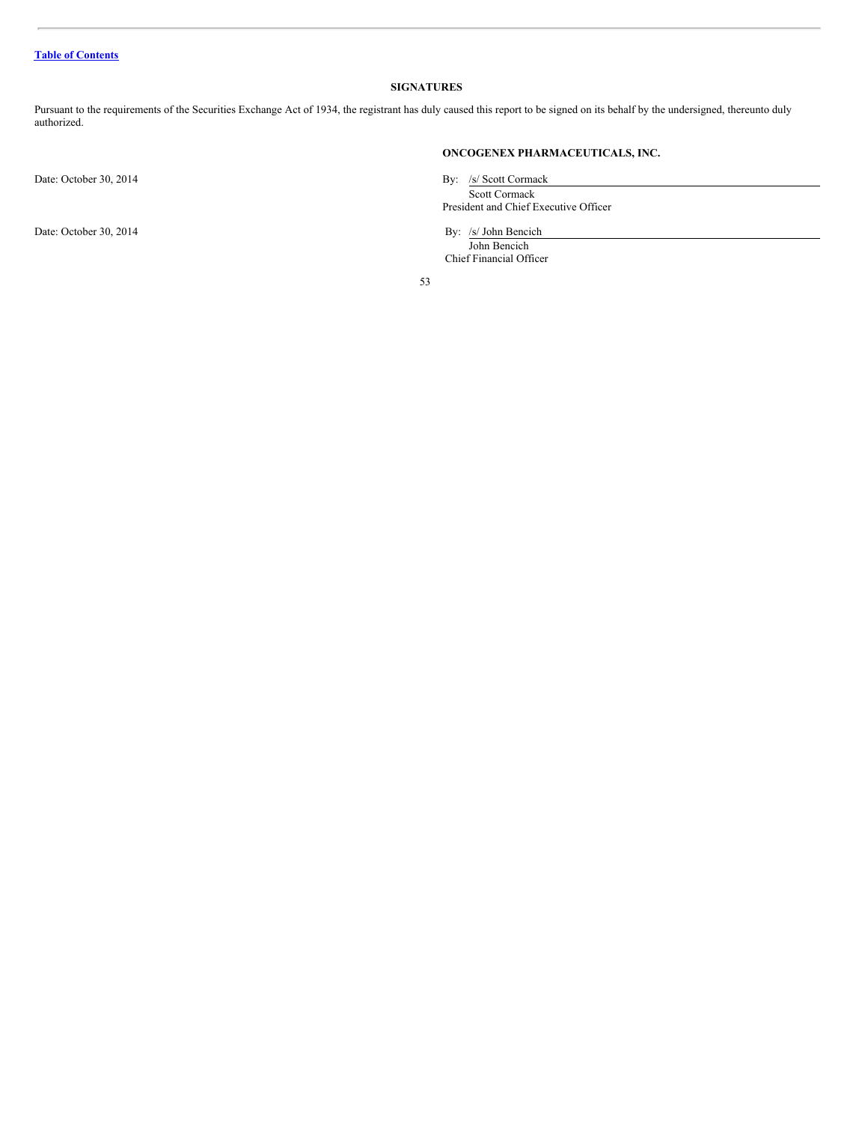# <span id="page-52-0"></span>**SIGNATURES**

Pursuant to the requirements of the Securities Exchange Act of 1934, the registrant has duly caused this report to be signed on its behalf by the undersigned, thereunto duly authorized.

Date: October 30, 2014 By: /s/ John Bencich

# **ONCOGENEX PHARMACEUTICALS, INC.**

Date: October 30, 2014 By: /s/ Scott Cormack Scott Cormack President and Chief Executive Officer

John Bencich Chief Financial Officer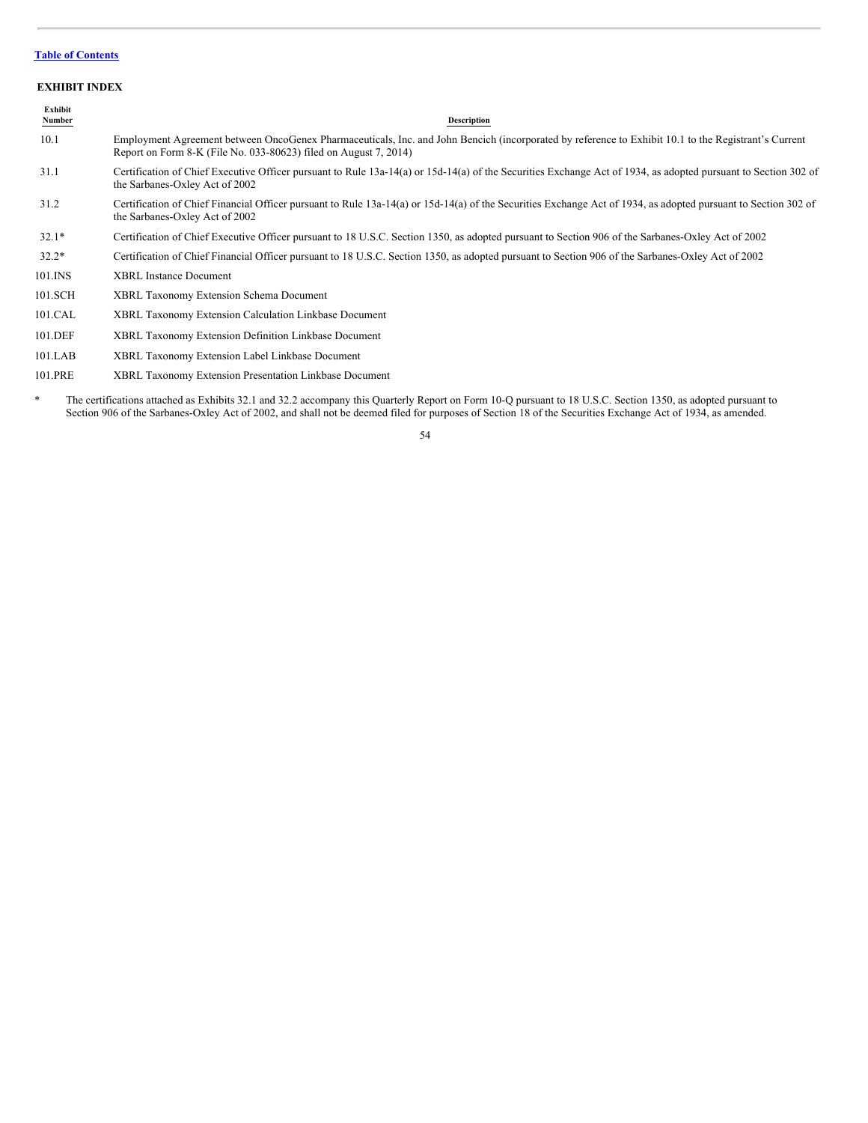# <span id="page-53-0"></span>**EXHIBIT INDEX**

| Exhibit<br>Number | Description                                                                                                                                                                                                              |
|-------------------|--------------------------------------------------------------------------------------------------------------------------------------------------------------------------------------------------------------------------|
| 10.1              | Employment Agreement between OncoGenex Pharmaceuticals, Inc. and John Bencich (incorporated by reference to Exhibit 10.1 to the Registrant's Current<br>Report on Form 8-K (File No. 033-80623) filed on August 7, 2014) |
| 31.1              | Certification of Chief Executive Officer pursuant to Rule 13a-14(a) or 15d-14(a) of the Securities Exchange Act of 1934, as adopted pursuant to Section 302 of<br>the Sarbanes-Oxley Act of 2002                         |
| 31.2              | Certification of Chief Financial Officer pursuant to Rule 13a-14(a) or 15d-14(a) of the Securities Exchange Act of 1934, as adopted pursuant to Section 302 of<br>the Sarbanes-Oxley Act of 2002                         |
| $32.1*$           | Certification of Chief Executive Officer pursuant to 18 U.S.C. Section 1350, as adopted pursuant to Section 906 of the Sarbanes-Oxley Act of 2002                                                                        |
| $32.2*$           | Certification of Chief Financial Officer pursuant to 18 U.S.C. Section 1350, as adopted pursuant to Section 906 of the Sarbanes-Oxley Act of 2002                                                                        |
| 101.INS           | <b>XBRL Instance Document</b>                                                                                                                                                                                            |
| 101.SCH           | <b>XBRL Taxonomy Extension Schema Document</b>                                                                                                                                                                           |
| 101.CAL           | XBRL Taxonomy Extension Calculation Linkbase Document                                                                                                                                                                    |
| 101.DEF           | XBRL Taxonomy Extension Definition Linkbase Document                                                                                                                                                                     |
| $101$ .LAB        | XBRL Taxonomy Extension Label Linkbase Document                                                                                                                                                                          |
| 101.PRE           | <b>XBRL Taxonomy Extension Presentation Linkbase Document</b>                                                                                                                                                            |

\* The certifications attached as Exhibits 32.1 and 32.2 accompany this Quarterly Report on Form 10-Q pursuant to 18 U.S.C. Section 1350, as adopted pursuant to Section 906 of the Sarbanes-Oxley Act of 2002, and shall not be deemed filed for purposes of Section 18 of the Securities Exchange Act of 1934, as amended.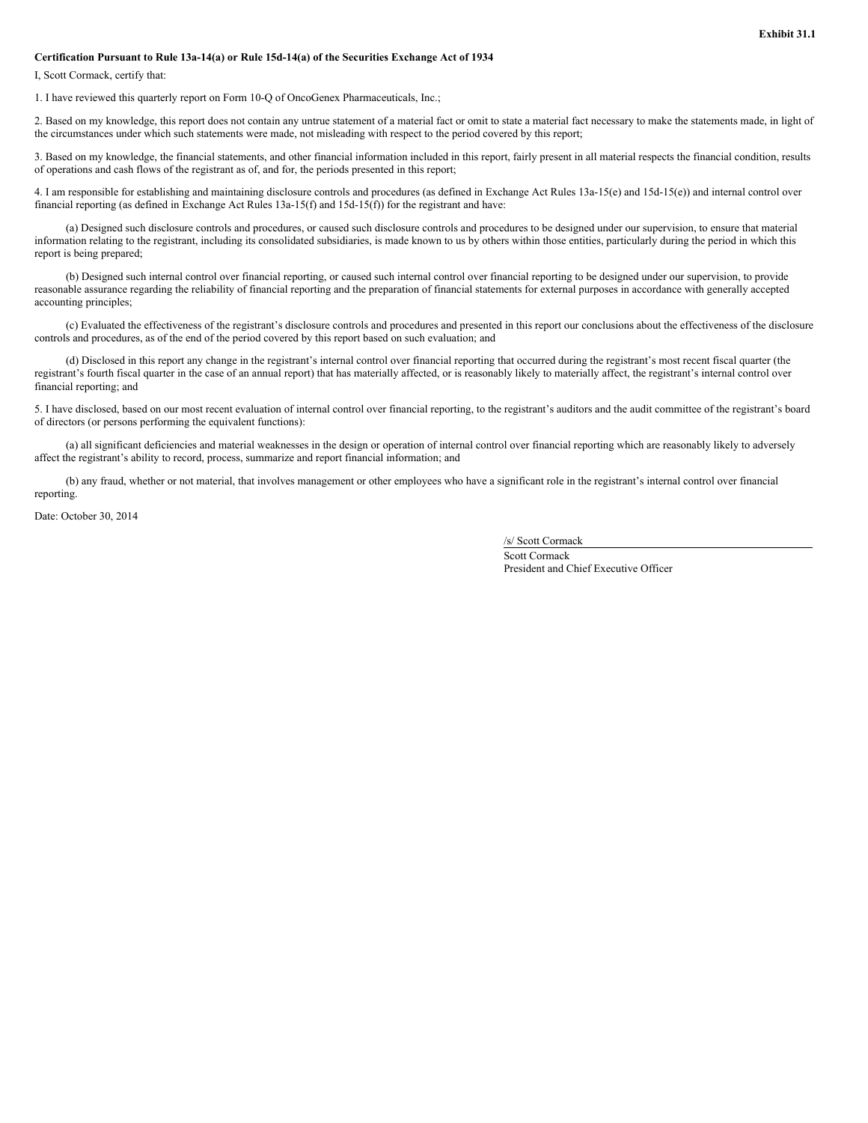#### **Certification Pursuant to Rule 13a-14(a) or Rule 15d-14(a) of the Securities Exchange Act of 1934**

I, Scott Cormack, certify that:

1. I have reviewed this quarterly report on Form 10-Q of OncoGenex Pharmaceuticals, Inc.;

2. Based on my knowledge, this report does not contain any untrue statement of a material fact or omit to state a material fact necessary to make the statements made, in light of the circumstances under which such statements were made, not misleading with respect to the period covered by this report;

3. Based on my knowledge, the financial statements, and other financial information included in this report, fairly present in all material respects the financial condition, results of operations and cash flows of the registrant as of, and for, the periods presented in this report;

4. I am responsible for establishing and maintaining disclosure controls and procedures (as defined in Exchange Act Rules 13a-15(e) and 15d-15(e)) and internal control over financial reporting (as defined in Exchange Act Rules 13a-15(f) and 15d-15(f)) for the registrant and have:

(a) Designed such disclosure controls and procedures, or caused such disclosure controls and procedures to be designed under our supervision, to ensure that material information relating to the registrant, including its consolidated subsidiaries, is made known to us by others within those entities, particularly during the period in which this report is being prepared;

(b) Designed such internal control over financial reporting, or caused such internal control over financial reporting to be designed under our supervision, to provide reasonable assurance regarding the reliability of financial reporting and the preparation of financial statements for external purposes in accordance with generally accepted accounting principles;

(c) Evaluated the effectiveness of the registrant's disclosure controls and procedures and presented in this report our conclusions about the effectiveness of the disclosure controls and procedures, as of the end of the period covered by this report based on such evaluation; and

(d) Disclosed in this report any change in the registrant's internal control over financial reporting that occurred during the registrant's most recent fiscal quarter (the registrant's fourth fiscal quarter in the case of an annual report) that has materially affected, or is reasonably likely to materially affect, the registrant's internal control over financial reporting; and

5. I have disclosed, based on our most recent evaluation of internal control over financial reporting, to the registrant's auditors and the audit committee of the registrant's board of directors (or persons performing the equivalent functions):

(a) all significant deficiencies and material weaknesses in the design or operation of internal control over financial reporting which are reasonably likely to adversely affect the registrant's ability to record, process, summarize and report financial information; and

(b) any fraud, whether or not material, that involves management or other employees who have a significant role in the registrant's internal control over financial reporting.

Date: October 30, 2014

/s/ Scott Cormack

Scott Cormack President and Chief Executive Officer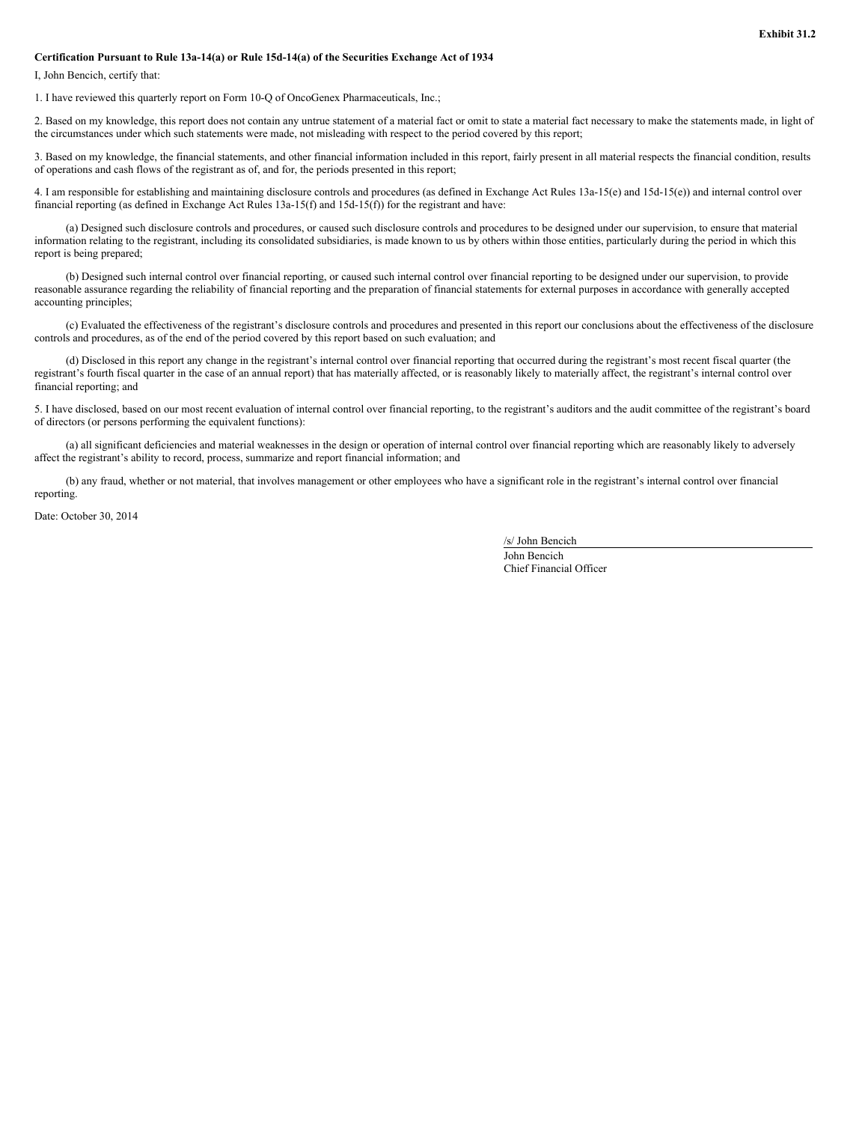#### **Certification Pursuant to Rule 13a-14(a) or Rule 15d-14(a) of the Securities Exchange Act of 1934**

I, John Bencich, certify that:

1. I have reviewed this quarterly report on Form 10-Q of OncoGenex Pharmaceuticals, Inc.;

2. Based on my knowledge, this report does not contain any untrue statement of a material fact or omit to state a material fact necessary to make the statements made, in light of the circumstances under which such statements were made, not misleading with respect to the period covered by this report;

3. Based on my knowledge, the financial statements, and other financial information included in this report, fairly present in all material respects the financial condition, results of operations and cash flows of the registrant as of, and for, the periods presented in this report;

4. I am responsible for establishing and maintaining disclosure controls and procedures (as defined in Exchange Act Rules 13a-15(e) and 15d-15(e)) and internal control over financial reporting (as defined in Exchange Act Rules 13a-15(f) and 15d-15(f)) for the registrant and have:

(a) Designed such disclosure controls and procedures, or caused such disclosure controls and procedures to be designed under our supervision, to ensure that material information relating to the registrant, including its consolidated subsidiaries, is made known to us by others within those entities, particularly during the period in which this report is being prepared;

(b) Designed such internal control over financial reporting, or caused such internal control over financial reporting to be designed under our supervision, to provide reasonable assurance regarding the reliability of financial reporting and the preparation of financial statements for external purposes in accordance with generally accepted accounting principles;

(c) Evaluated the effectiveness of the registrant's disclosure controls and procedures and presented in this report our conclusions about the effectiveness of the disclosure controls and procedures, as of the end of the period covered by this report based on such evaluation; and

(d) Disclosed in this report any change in the registrant's internal control over financial reporting that occurred during the registrant's most recent fiscal quarter (the registrant's fourth fiscal quarter in the case of an annual report) that has materially affected, or is reasonably likely to materially affect, the registrant's internal control over financial reporting; and

5. I have disclosed, based on our most recent evaluation of internal control over financial reporting, to the registrant's auditors and the audit committee of the registrant's board of directors (or persons performing the equivalent functions):

(a) all significant deficiencies and material weaknesses in the design or operation of internal control over financial reporting which are reasonably likely to adversely affect the registrant's ability to record, process, summarize and report financial information; and

(b) any fraud, whether or not material, that involves management or other employees who have a significant role in the registrant's internal control over financial reporting.

Date: October 30, 2014

/s/ John Bencich

John Bencich Chief Financial Officer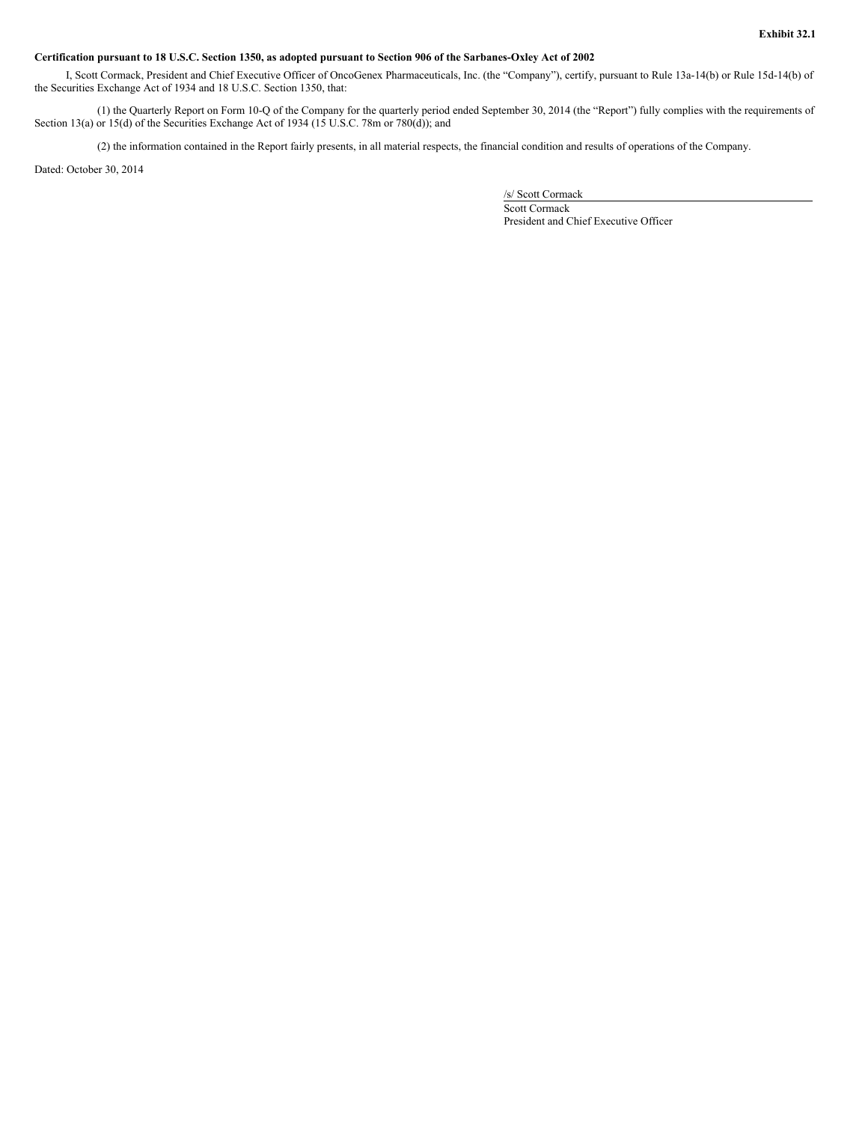# Certification pursuant to 18 U.S.C. Section 1350, as adopted pursuant to Section 906 of the Sarbanes-Oxley Act of 2002

I, Scott Cormack, President and Chief Executive Officer of OncoGenex Pharmaceuticals, Inc. (the "Company"), certify, pursuant to Rule 13a-14(b) or Rule 15d-14(b) of the Securities Exchange Act of 1934 and 18 U.S.C. Section 1350, that:

(1) the Quarterly Report on Form 10-Q of the Company for the quarterly period ended September 30, 2014 (the "Report") fully complies with the requirements of Section 13(a) or 15(d) of the Securities Exchange Act of 1934 (15 U.S.C. 78m or 780(d)); and

(2) the information contained in the Report fairly presents, in all material respects, the financial condition and results of operations of the Company.

Dated: October 30, 2014

/s/ Scott Cormack

Scott Cormack President and Chief Executive Officer